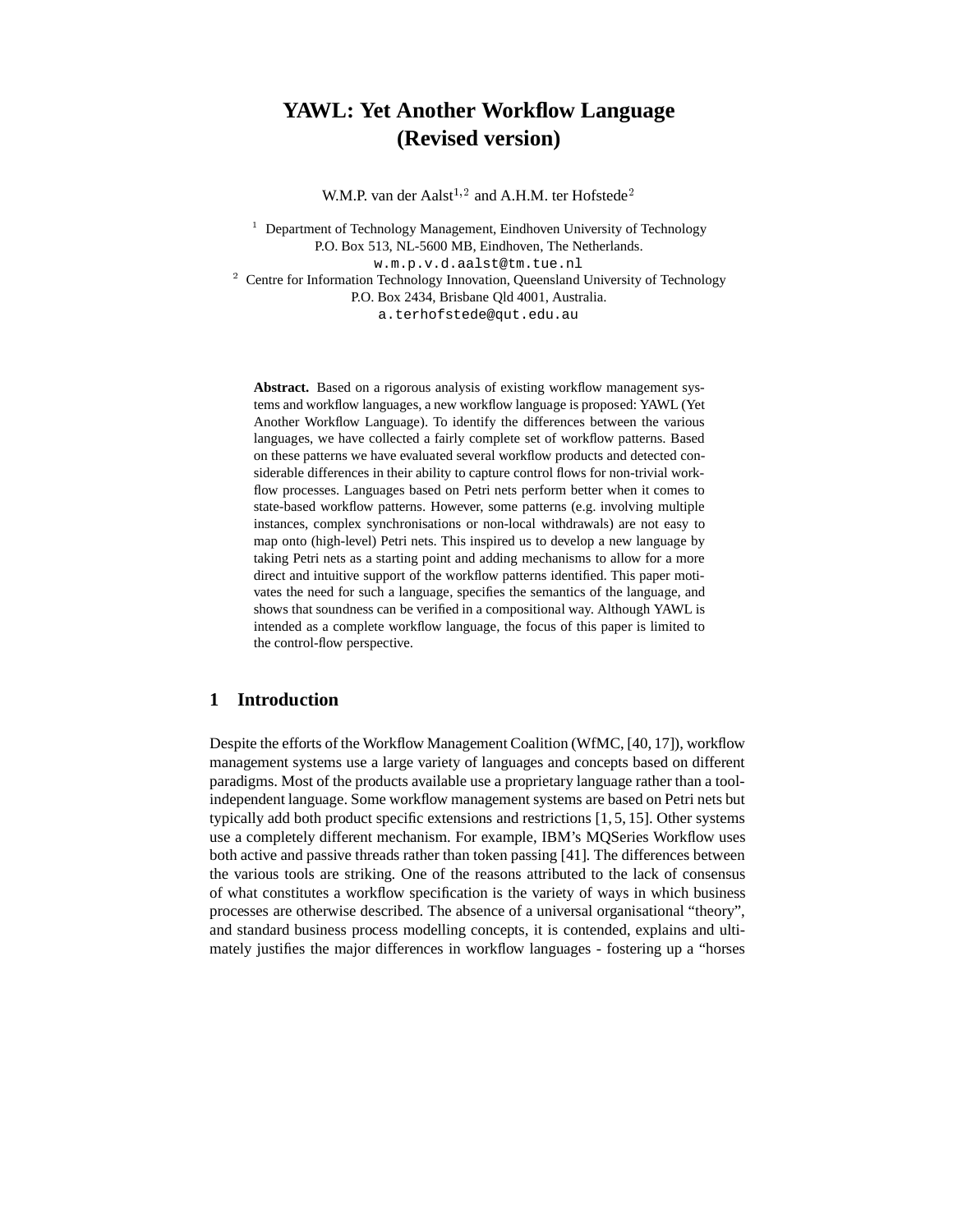# **YAWL: Yet Another Workflow Language (Revised version)**

W.M.P. van der Aalst<sup>1,2</sup> and A.H.M. ter Hofstede<sup>2</sup>

<sup>1</sup> Department of Technology Management, Eindhoven University of Technology P.O. Box 513, NL-5600 MB, Eindhoven, The Netherlands. w.m.p.v.d.aalst@tm.tue.nl <sup>2</sup> Centre for Information Technology Innovation, Queensland University of Technology P.O. Box 2434, Brisbane Qld 4001, Australia. a.terhofstede@qut.edu.au

**Abstract.** Based on a rigorous analysis of existing workflow management systems and workflow languages, a new workflow language is proposed: YAWL (Yet Another Workflow Language). To identify the differences between the various languages, we have collected a fairly complete set of workflow patterns. Based on these patterns we have evaluated several workflow products and detected considerable differences in their ability to capture control flows for non-trivial workflow processes. Languages based on Petri nets perform better when it comes to state-based workflow patterns. However, some patterns (e.g. involving multiple instances, complex synchronisations or non-local withdrawals) are not easy to map onto (high-level) Petri nets. This inspired us to develop a new language by taking Petri nets as a starting point and adding mechanisms to allow for a more direct and intuitive support of the workflow patterns identified. This paper motivates the need for such a language, specifies the semantics of the language, and shows that soundness can be verified in a compositional way. Although YAWL is intended as a complete workflow language, the focus of this paper is limited to the control-flow perspective.

# **1 Introduction**

Despite the efforts of the Workflow Management Coalition (WfMC, [40, 17]), workflow management systems use a large variety of languages and concepts based on different paradigms. Most of the products available use a proprietary language rather than a toolindependent language. Some workflow management systems are based on Petri nets but typically add both product specific extensions and restrictions [1, 5, 15]. Other systems use a completely different mechanism. For example, IBM's MQSeries Workflow uses both active and passive threads rather than token passing [41]. The differences between the various tools are striking. One of the reasons attributed to the lack of consensus of what constitutes a workflow specification is the variety of ways in which business processes are otherwise described. The absence of a universal organisational "theory", and standard business process modelling concepts, it is contended, explains and ultimately justifies the major differences in workflow languages - fostering up a "horses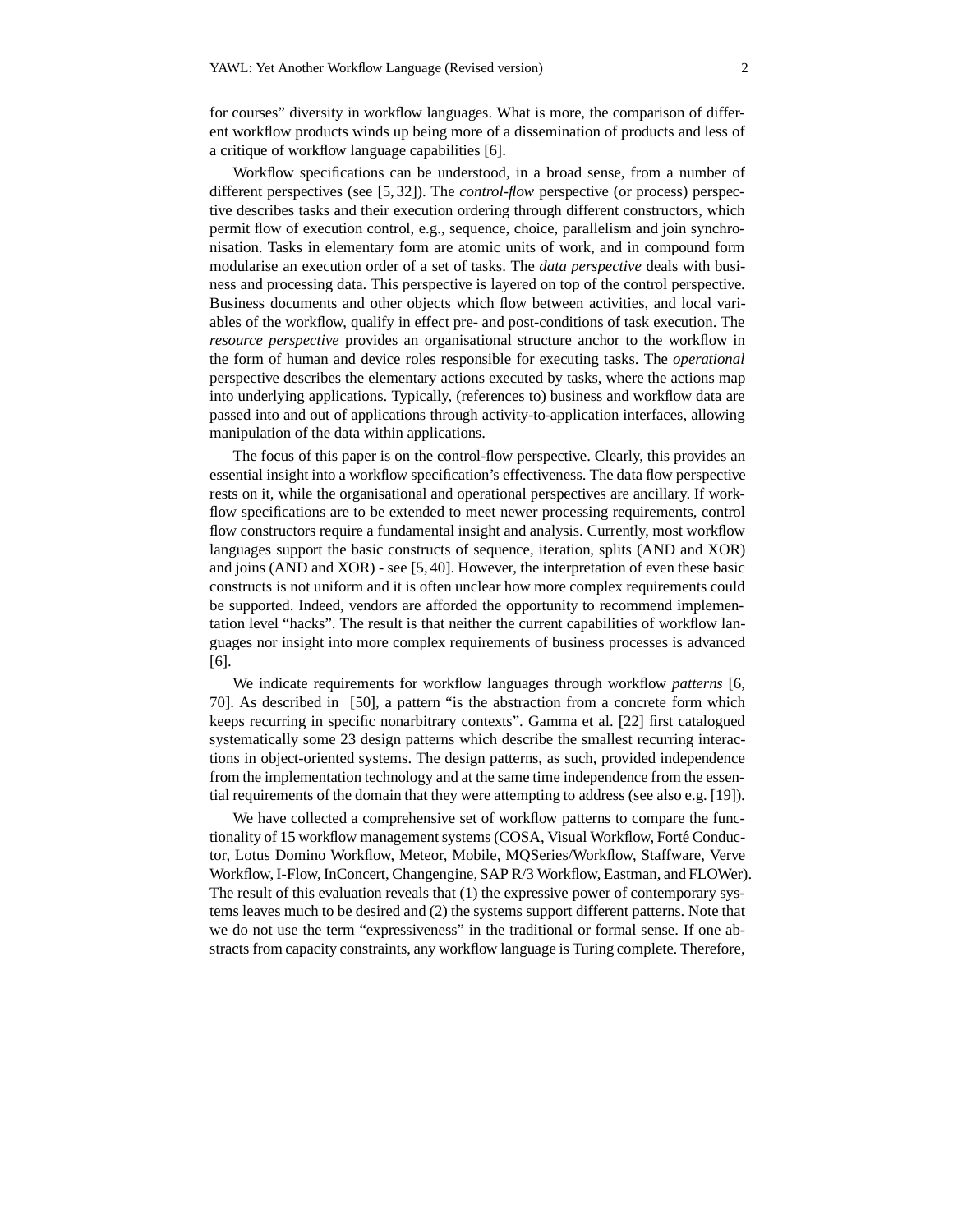for courses" diversity in workflow languages. What is more, the comparison of different workflow products winds up being more of a dissemination of products and less of a critique of workflow language capabilities [6].

Workflow specifications can be understood, in a broad sense, from a number of different perspectives (see [5, 32]). The *control-flow* perspective (or process) perspective describes tasks and their execution ordering through different constructors, which permit flow of execution control, e.g., sequence, choice, parallelism and join synchronisation. Tasks in elementary form are atomic units of work, and in compound form modularise an execution order of a set of tasks. The *data perspective* deals with business and processing data. This perspective is layered on top of the control perspective. Business documents and other objects which flow between activities, and local variables of the workflow, qualify in effect pre- and post-conditions of task execution. The *resource perspective* provides an organisational structure anchor to the workflow in the form of human and device roles responsible for executing tasks. The *operational* perspective describes the elementary actions executed by tasks, where the actions map into underlying applications. Typically, (references to) business and workflow data are passed into and out of applications through activity-to-application interfaces, allowing manipulation of the data within applications.

The focus of this paper is on the control-flow perspective. Clearly, this provides an essential insight into a workflow specification's effectiveness. The data flow perspective rests on it, while the organisational and operational perspectives are ancillary. If workflow specifications are to be extended to meet newer processing requirements, control flow constructors require a fundamental insight and analysis. Currently, most workflow languages support the basic constructs of sequence, iteration, splits (AND and XOR) and joins (AND and XOR) - see [5, 40]. However, the interpretation of even these basic constructs is not uniform and it is often unclear how more complex requirements could be supported. Indeed, vendors are afforded the opportunity to recommend implementation level "hacks". The result is that neither the current capabilities of workflow languages nor insight into more complex requirements of business processes is advanced [6].

We indicate requirements for workflow languages through workflow *patterns* [6, 70]. As described in [50], a pattern "is the abstraction from a concrete form which keeps recurring in specific nonarbitrary contexts". Gamma et al. [22] first catalogued systematically some 23 design patterns which describe the smallest recurring interactions in object-oriented systems. The design patterns, as such, provided independence from the implementation technology and at the same time independence from the essential requirements of the domain that they were attempting to address (see also e.g. [19]).

We have collected a comprehensive set of workflow patterns to compare the functionality of 15 workflow management systems (COSA, Visual Workflow, Forté Conductor, Lotus Domino Workflow, Meteor, Mobile, MQSeries/Workflow, Staffware, Verve Workflow, I-Flow, InConcert, Changengine, SAP R/3 Workflow, Eastman, and FLOWer). The result of this evaluation reveals that (1) the expressive power of contemporary systems leaves much to be desired and (2) the systems support different patterns. Note that we do not use the term "expressiveness" in the traditional or formal sense. If one abstracts from capacity constraints, any workflow language is Turing complete. Therefore,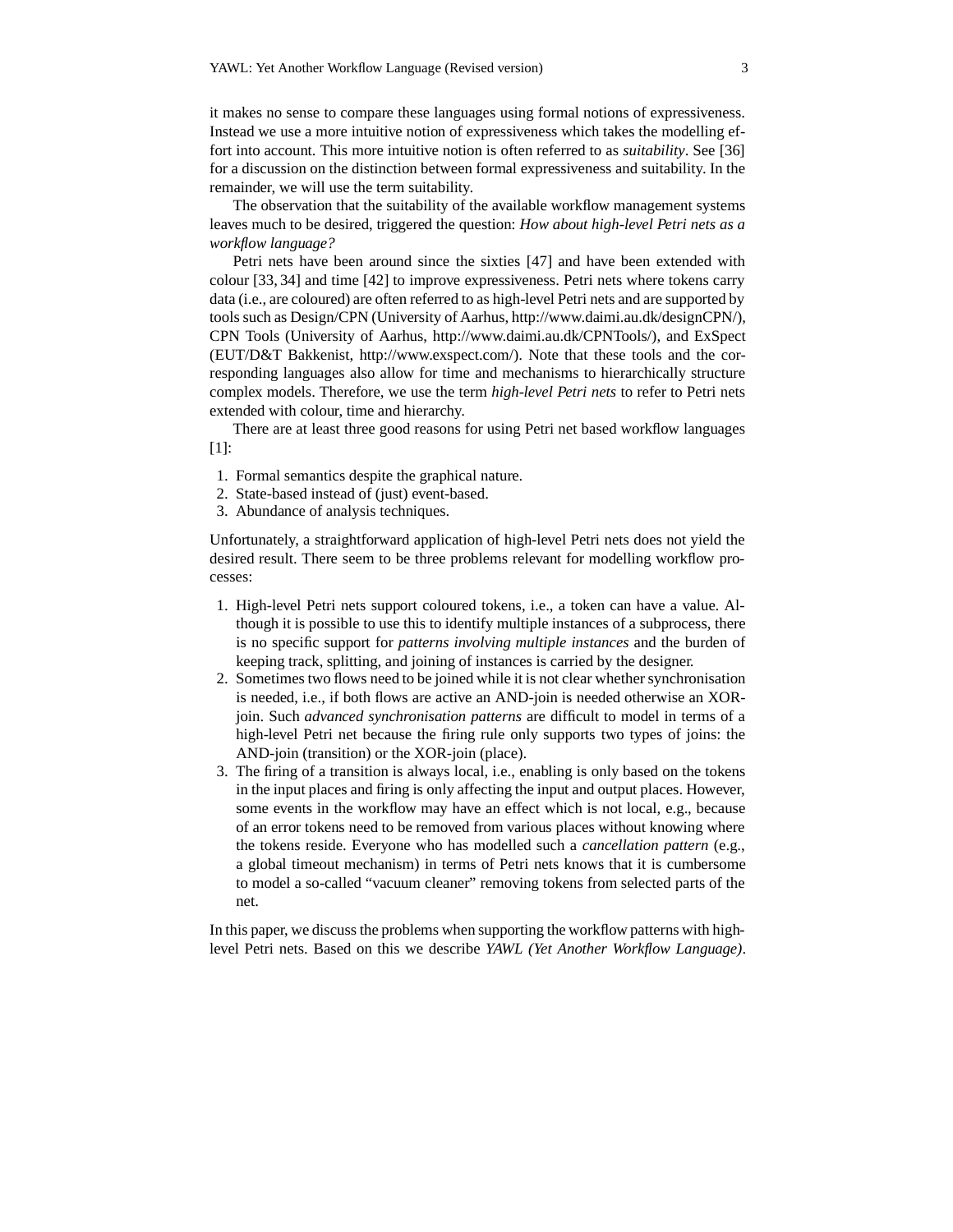it makes no sense to compare these languages using formal notions of expressiveness. Instead we use a more intuitive notion of expressiveness which takes the modelling effort into account. This more intuitive notion is often referred to as *suitability*. See [36] for a discussion on the distinction between formal expressiveness and suitability. In the remainder, we will use the term suitability.

The observation that the suitability of the available workflow management systems leaves much to be desired, triggered the question: *How about high-level Petri nets as a workflow language?*

Petri nets have been around since the sixties [47] and have been extended with colour [33, 34] and time [42] to improve expressiveness. Petri nets where tokens carry data (i.e., are coloured) are often referred to as high-level Petri nets and are supported by tools such as Design/CPN (University of Aarhus, http://www.daimi.au.dk/designCPN/), CPN Tools (University of Aarhus, http://www.daimi.au.dk/CPNTools/), and ExSpect (EUT/D&T Bakkenist, http://www.exspect.com/). Note that these tools and the corresponding languages also allow for time and mechanisms to hierarchically structure complex models. Therefore, we use the term *high-level Petri nets* to refer to Petri nets extended with colour, time and hierarchy.

There are at least three good reasons for using Petri net based workflow languages [1]:

- 1. Formal semantics despite the graphical nature.
- 2. State-based instead of (just) event-based.
- 3. Abundance of analysis techniques.

Unfortunately, a straightforward application of high-level Petri nets does not yield the desired result. There seem to be three problems relevant for modelling workflow processes:

- 1. High-level Petri nets support coloured tokens, i.e., a token can have a value. Although it is possible to use this to identify multiple instances of a subprocess, there is no specific support for *patterns involving multiple instances* and the burden of keeping track, splitting, and joining of instances is carried by the designer.
- 2. Sometimes two flows need to be joined while it is not clear whether synchronisation is needed, i.e., if both flows are active an AND-join is needed otherwise an XORjoin. Such *advanced synchronisation patterns* are difficult to model in terms of a high-level Petri net because the firing rule only supports two types of joins: the AND-join (transition) or the XOR-join (place).
- 3. The firing of a transition is always local, i.e., enabling is only based on the tokens in the input places and firing is only affecting the input and output places. However, some events in the workflow may have an effect which is not local, e.g., because of an error tokens need to be removed from various places without knowing where the tokens reside. Everyone who has modelled such a *cancellation pattern* (e.g., a global timeout mechanism) in terms of Petri nets knows that it is cumbersome to model a so-called "vacuum cleaner" removing tokens from selected parts of the net.

In this paper, we discuss the problems when supporting the workflow patterns with highlevel Petri nets. Based on this we describe *YAWL (Yet Another Workflow Language)*.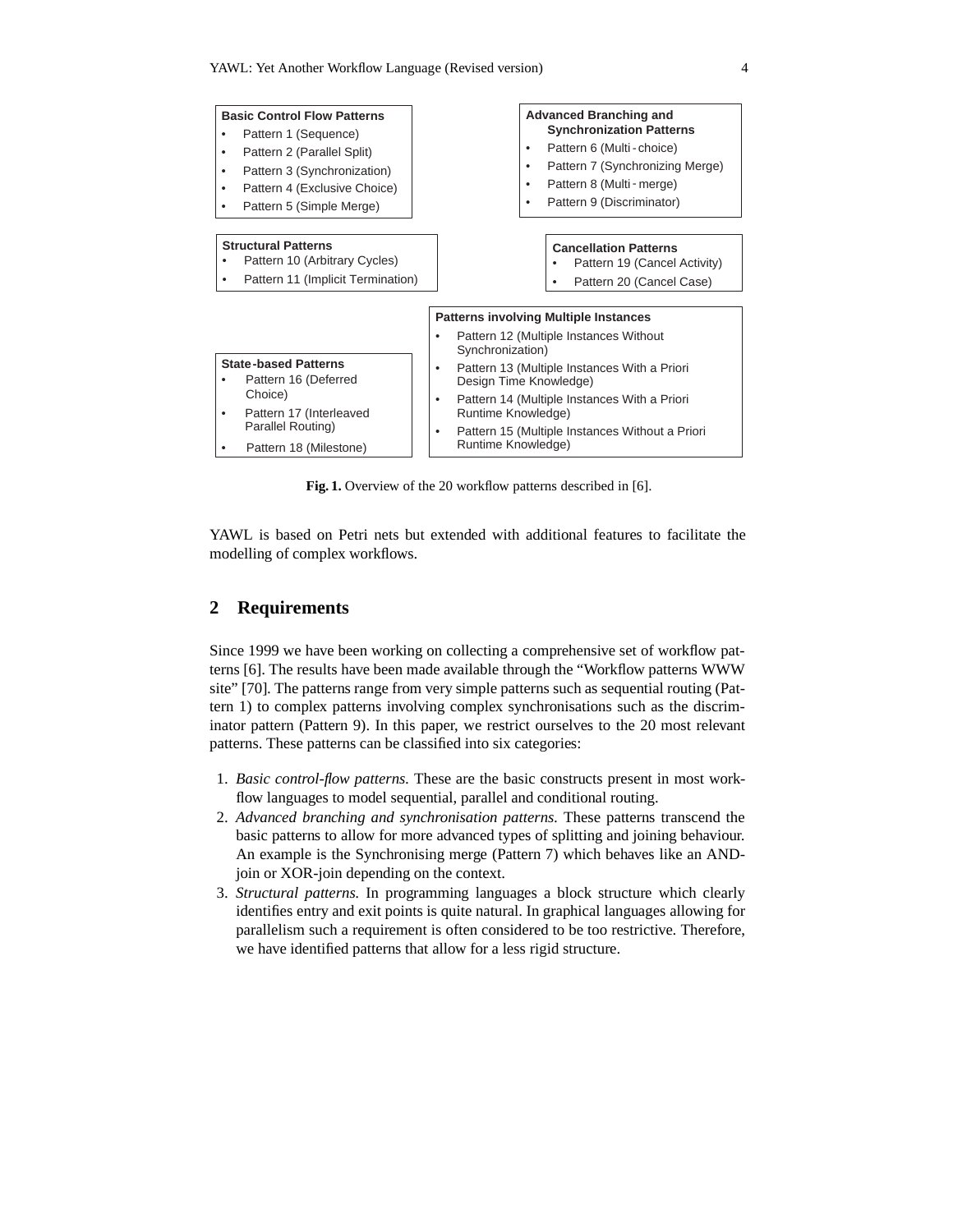

**Fig. 1.** Overview of the 20 workflow patterns described in [6].

YAWL is based on Petri nets but extended with additional features to facilitate the modelling of complex workflows.

# **2 Requirements**

Since 1999 we have been working on collecting a comprehensive set of workflow patterns [6]. The results have been made available through the "Workflow patterns WWW site" [70]. The patterns range from very simple patterns such as sequential routing (Pattern 1) to complex patterns involving complex synchronisations such as the discriminator pattern (Pattern 9). In this paper, we restrict ourselves to the 20 most relevant patterns. These patterns can be classified into six categories:

- 1. *Basic control-flow patterns.* These are the basic constructs present in most workflow languages to model sequential, parallel and conditional routing.
- 2. *Advanced branching and synchronisation patterns.* These patterns transcend the basic patterns to allow for more advanced types of splitting and joining behaviour. An example is the Synchronising merge (Pattern 7) which behaves like an ANDjoin or XOR-join depending on the context.
- 3. *Structural patterns.* In programming languages a block structure which clearly identifies entry and exit points is quite natural. In graphical languages allowing for parallelism such a requirement is often considered to be too restrictive. Therefore, we have identified patterns that allow for a less rigid structure.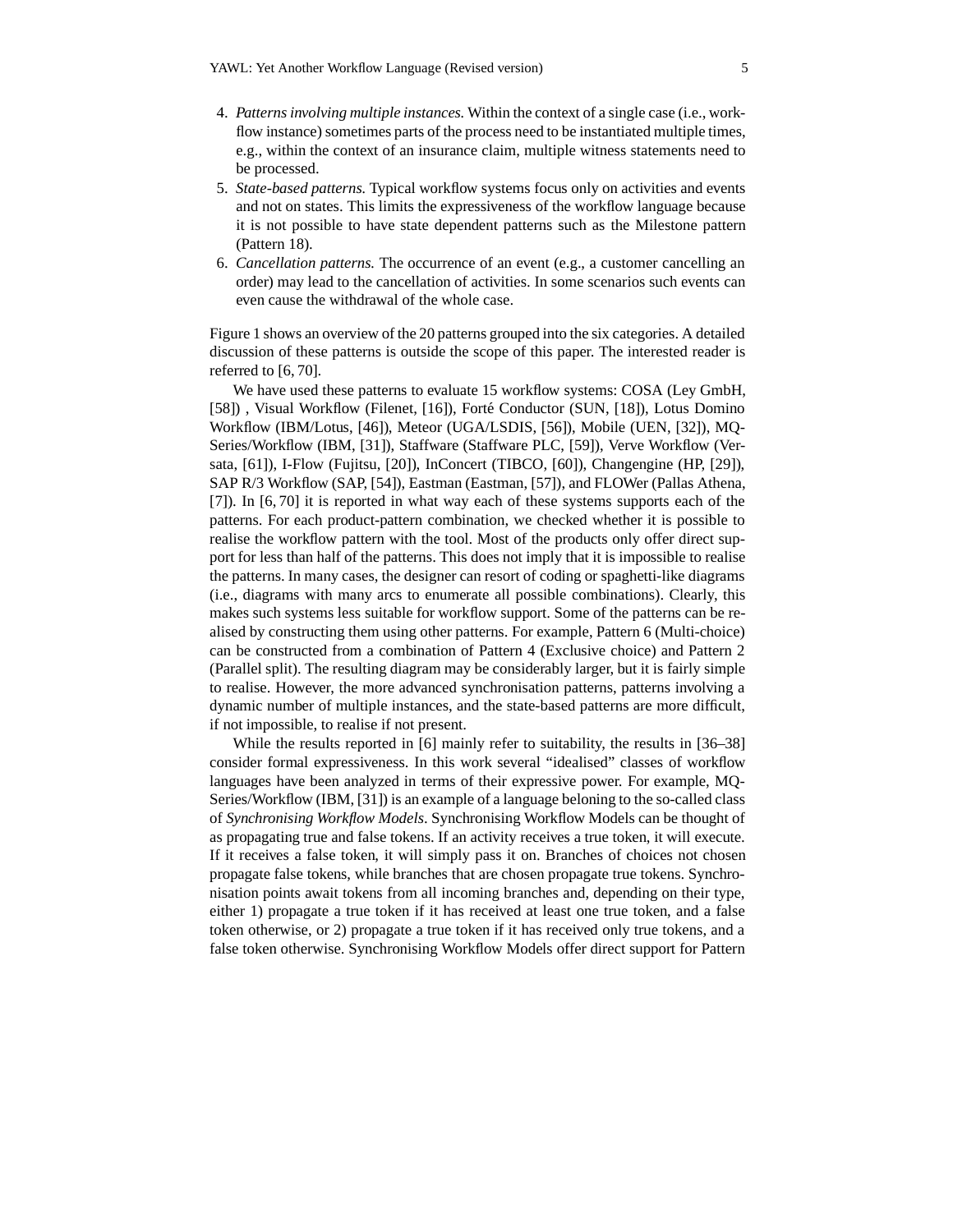- 4. *Patterns involving multiple instances.* Within the context of a single case (i.e., workflow instance) sometimes parts of the process need to be instantiated multiple times, e.g., within the context of an insurance claim, multiple witness statements need to be processed.
- 5. *State-based patterns.* Typical workflow systems focus only on activities and events and not on states. This limits the expressiveness of the workflow language because it is not possible to have state dependent patterns such as the Milestone pattern (Pattern 18).
- 6. *Cancellation patterns.* The occurrence of an event (e.g., a customer cancelling an order) may lead to the cancellation of activities. In some scenarios such events can even cause the withdrawal of the whole case.

Figure 1 shows an overview of the 20 patterns grouped into the six categories. A detailed discussion of these patterns is outside the scope of this paper. The interested reader is referred to [6, 70].

We have used these patterns to evaluate 15 workflow systems: COSA (Ley GmbH, [58]), Visual Workflow (Filenet, [16]), Forté Conductor (SUN, [18]), Lotus Domino Workflow (IBM/Lotus, [46]), Meteor (UGA/LSDIS, [56]), Mobile (UEN, [32]), MQ-Series/Workflow (IBM, [31]), Staffware (Staffware PLC, [59]), Verve Workflow (Versata, [61]), I-Flow (Fujitsu, [20]), InConcert (TIBCO, [60]), Changengine (HP, [29]), SAP R/3 Workflow (SAP, [54]), Eastman (Eastman, [57]), and FLOWer (Pallas Athena, [7]). In [6, 70] it is reported in what way each of these systems supports each of the patterns. For each product-pattern combination, we checked whether it is possible to realise the workflow pattern with the tool. Most of the products only offer direct support for less than half of the patterns. This does not imply that it is impossible to realise the patterns. In many cases, the designer can resort of coding or spaghetti-like diagrams (i.e., diagrams with many arcs to enumerate all possible combinations). Clearly, this makes such systems less suitable for workflow support. Some of the patterns can be realised by constructing them using other patterns. For example, Pattern 6 (Multi-choice) can be constructed from a combination of Pattern 4 (Exclusive choice) and Pattern 2 (Parallel split). The resulting diagram may be considerably larger, but it is fairly simple to realise. However, the more advanced synchronisation patterns, patterns involving a dynamic number of multiple instances, and the state-based patterns are more difficult, if not impossible, to realise if not present.

While the results reported in [6] mainly refer to suitability, the results in [36–38] consider formal expressiveness. In this work several "idealised" classes of workflow languages have been analyzed in terms of their expressive power. For example, MQ-Series/Workflow (IBM, [31]) is an example of a language beloning to the so-called class of *Synchronising Workflow Models*. Synchronising Workflow Models can be thought of as propagating true and false tokens. If an activity receives a true token, it will execute. If it receives a false token, it will simply pass it on. Branches of choices not chosen propagate false tokens, while branches that are chosen propagate true tokens. Synchronisation points await tokens from all incoming branches and, depending on their type, either 1) propagate a true token if it has received at least one true token, and a false token otherwise, or 2) propagate a true token if it has received only true tokens, and a false token otherwise. Synchronising Workflow Models offer direct support for Pattern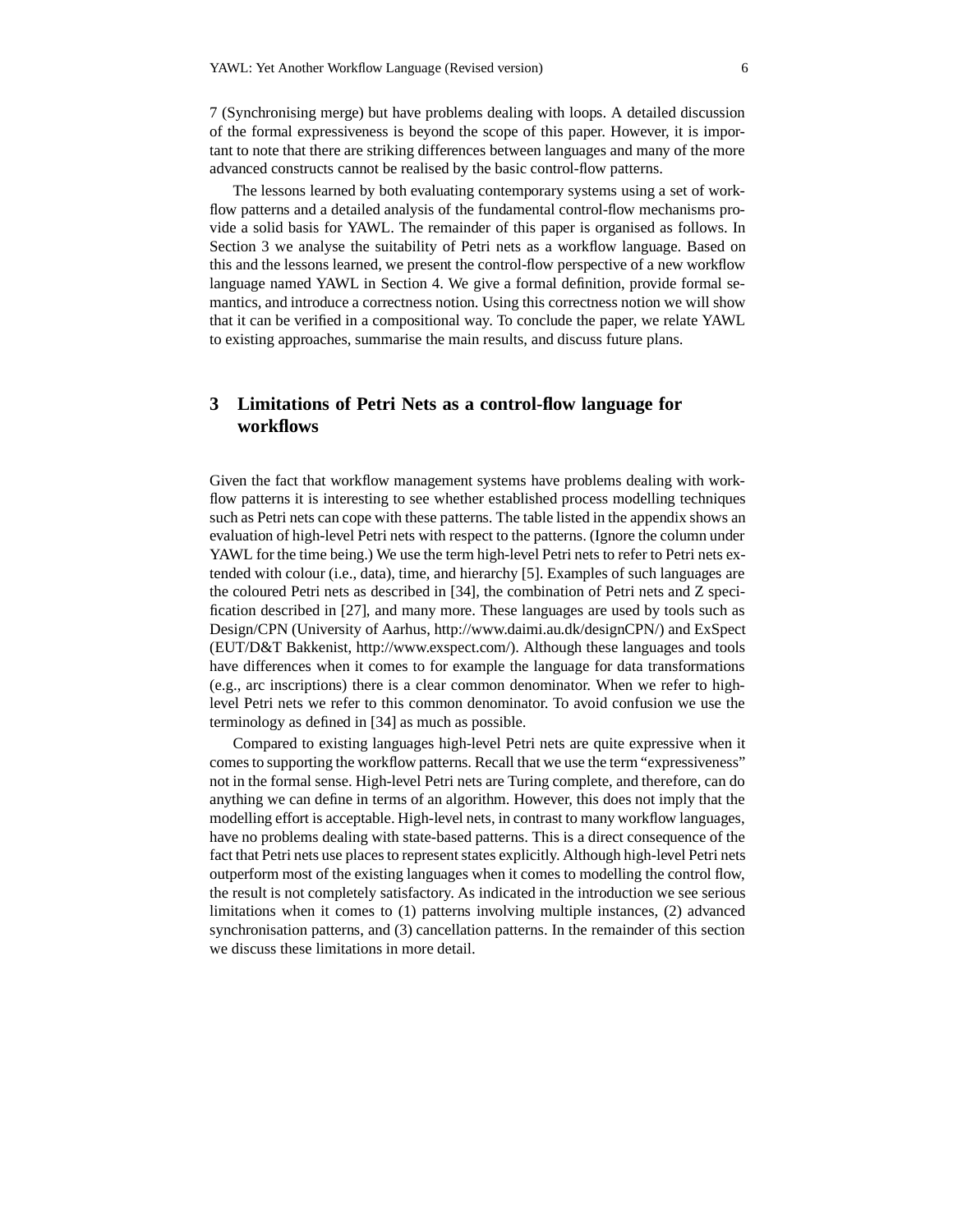7 (Synchronising merge) but have problems dealing with loops. A detailed discussion of the formal expressiveness is beyond the scope of this paper. However, it is important to note that there are striking differences between languages and many of the more advanced constructs cannot be realised by the basic control-flow patterns.

The lessons learned by both evaluating contemporary systems using a set of workflow patterns and a detailed analysis of the fundamental control-flow mechanisms provide a solid basis for YAWL. The remainder of this paper is organised as follows. In Section 3 we analyse the suitability of Petri nets as a workflow language. Based on this and the lessons learned, we present the control-flow perspective of a new workflow language named YAWL in Section 4. We give a formal definition, provide formal semantics, and introduce a correctness notion. Using this correctness notion we will show that it can be verified in a compositional way. To conclude the paper, we relate YAWL to existing approaches, summarise the main results, and discuss future plans.

# **3 Limitations of Petri Nets as a control-flow language for workflows**

Given the fact that workflow management systems have problems dealing with workflow patterns it is interesting to see whether established process modelling techniques such as Petri nets can cope with these patterns. The table listed in the appendix shows an evaluation of high-level Petri nets with respect to the patterns. (Ignore the column under YAWL for the time being.) We use the term high-level Petri nets to refer to Petri nets extended with colour (i.e., data), time, and hierarchy [5]. Examples of such languages are the coloured Petri nets as described in [34], the combination of Petri nets and Z specification described in [27], and many more. These languages are used by tools such as Design/CPN (University of Aarhus, http://www.daimi.au.dk/designCPN/) and ExSpect (EUT/D&T Bakkenist, http://www.exspect.com/). Although these languages and tools have differences when it comes to for example the language for data transformations (e.g., arc inscriptions) there is a clear common denominator. When we refer to highlevel Petri nets we refer to this common denominator. To avoid confusion we use the terminology as defined in [34] as much as possible.

Compared to existing languages high-level Petri nets are quite expressive when it comes to supporting the workflow patterns. Recall that we use the term "expressiveness" not in the formal sense. High-level Petri nets are Turing complete, and therefore, can do anything we can define in terms of an algorithm. However, this does not imply that the modelling effort is acceptable. High-level nets, in contrast to many workflow languages, have no problems dealing with state-based patterns. This is a direct consequence of the fact that Petri nets use places to represent states explicitly. Although high-level Petri nets outperform most of the existing languages when it comes to modelling the control flow, the result is not completely satisfactory. As indicated in the introduction we see serious limitations when it comes to (1) patterns involving multiple instances, (2) advanced synchronisation patterns, and (3) cancellation patterns. In the remainder of this section we discuss these limitations in more detail.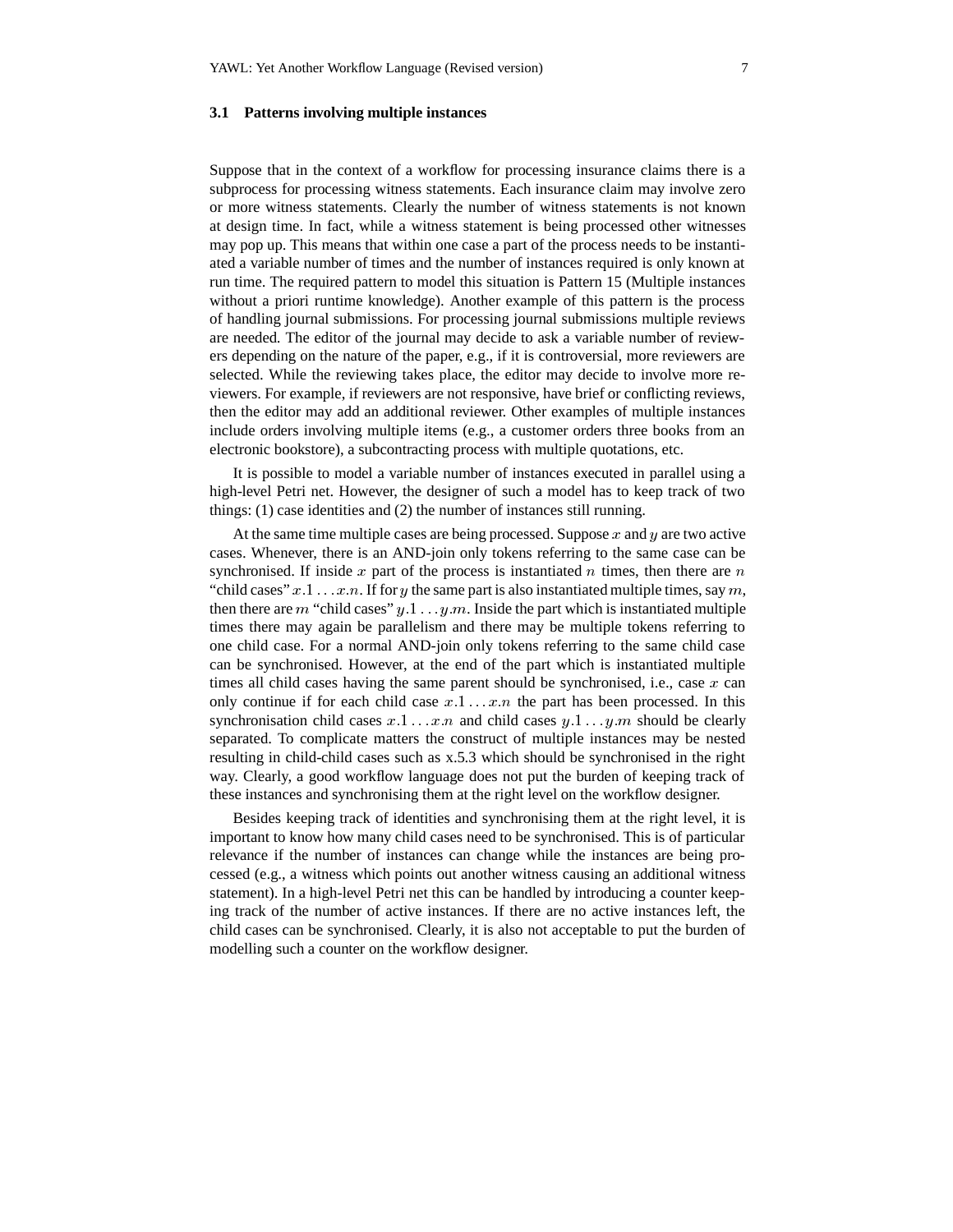#### **3.1 Patterns involving multiple instances**

Suppose that in the context of a workflow for processing insurance claims there is a subprocess for processing witness statements. Each insurance claim may involve zero or more witness statements. Clearly the number of witness statements is not known at design time. In fact, while a witness statement is being processed other witnesses may pop up. This means that within one case a part of the process needs to be instantiated a variable number of times and the number of instances required is only known at run time. The required pattern to model this situation is Pattern 15 (Multiple instances without a priori runtime knowledge). Another example of this pattern is the process of handling journal submissions. For processing journal submissions multiple reviews are needed. The editor of the journal may decide to ask a variable number of reviewers depending on the nature of the paper, e.g., if it is controversial, more reviewers are selected. While the reviewing takes place, the editor may decide to involve more reviewers. For example, if reviewers are not responsive, have brief or conflicting reviews, then the editor may add an additional reviewer. Other examples of multiple instances include orders involving multiple items (e.g., a customer orders three books from an electronic bookstore), a subcontracting process with multiple quotations, etc.

It is possible to model a variable number of instances executed in parallel using a high-level Petri net. However, the designer of such a model has to keep track of two things: (1) case identities and (2) the number of instances still running.

At the same time multiple cases are being processed. Suppose  $x$  and  $y$  are two active cases. Whenever, there is an AND-join only tokens referring to the same case can be synchronised. If inside  $x$  part of the process is instantiated  $n$  times, then there are  $n$ "child cases"  $x \cdot 1 \ldots x \cdot n$ . If for y the same part is also instantiated multiple times, say m, then there are  $m$  "child cases"  $y \cdot 1 \cdot y \cdot m$ . Inside the part which is instantiated multiple times there may again be parallelism and there may be multiple tokens referring to one child case. For a normal AND-join only tokens referring to the same child case can be synchronised. However, at the end of the part which is instantiated multiple times all child cases having the same parent should be synchronised, i.e., case  $x$  can only continue if for each child case  $x \cdot 1 \cdot \cdot x \cdot n$  the part has been processed. In this synchronisation child cases  $x \cdot 1 \cdot \cdot x \cdot n$  and child cases  $y \cdot 1 \cdot \cdot \cdot y \cdot m$  should be clearly separated. To complicate matters the construct of multiple instances may be nested resulting in child-child cases such as x.5.3 which should be synchronised in the right way. Clearly, a good workflow language does not put the burden of keeping track of these instances and synchronising them at the right level on the workflow designer.

Besides keeping track of identities and synchronising them at the right level, it is important to know how many child cases need to be synchronised. This is of particular relevance if the number of instances can change while the instances are being processed (e.g., a witness which points out another witness causing an additional witness statement). In a high-level Petri net this can be handled by introducing a counter keeping track of the number of active instances. If there are no active instances left, the child cases can be synchronised. Clearly, it is also not acceptable to put the burden of modelling such a counter on the workflow designer.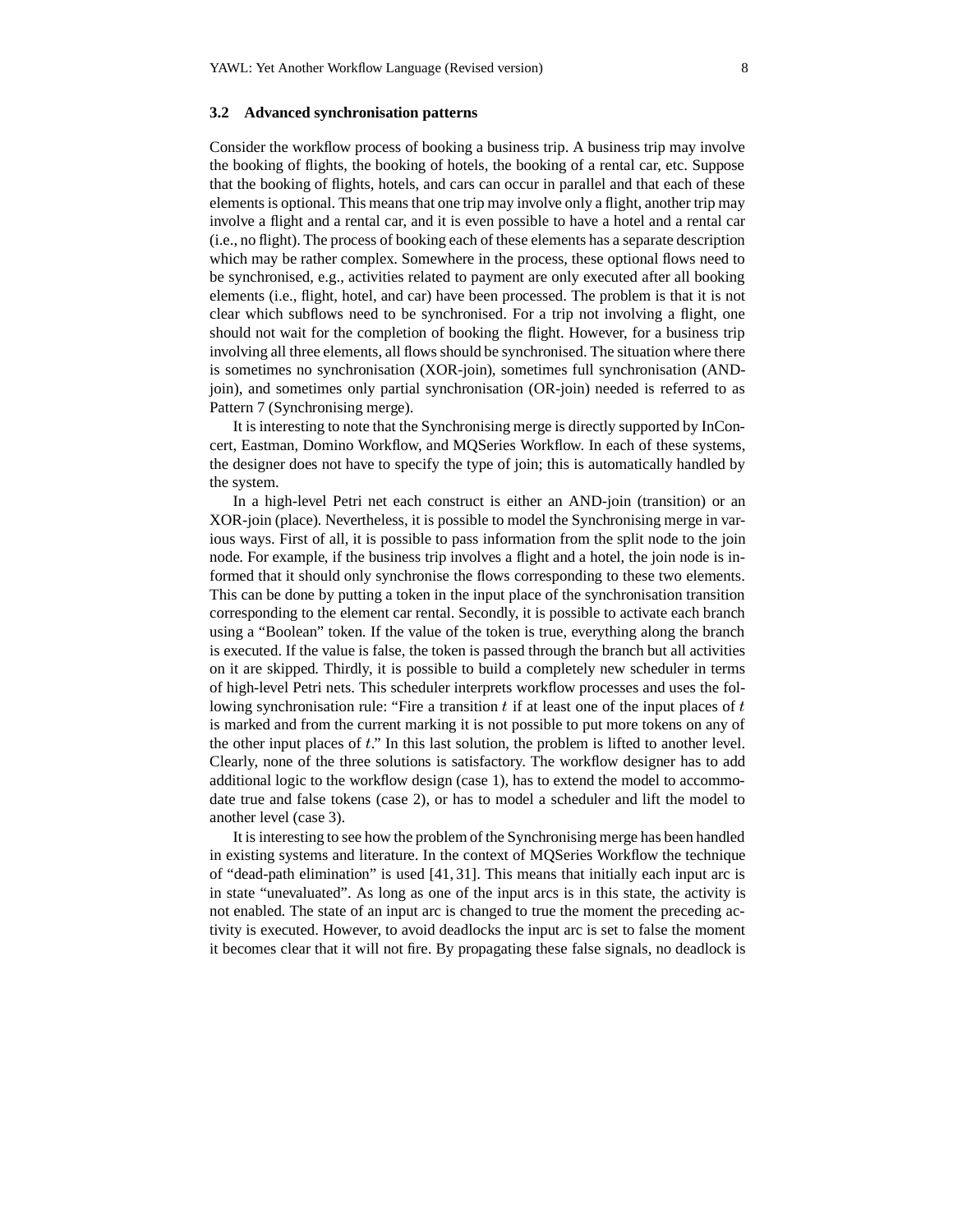#### **3.2 Advanced synchronisation patterns**

Consider the workflow process of booking a business trip. A business trip may involve the booking of flights, the booking of hotels, the booking of a rental car, etc. Suppose that the booking of flights, hotels, and cars can occur in parallel and that each of these elements is optional. This means that one trip may involve only a flight, another trip may involve a flight and a rental car, and it is even possible to have a hotel and a rental car (i.e., no flight). The process of booking each of these elements has a separate description which may be rather complex. Somewhere in the process, these optional flows need to be synchronised, e.g., activities related to payment are only executed after all booking elements (i.e., flight, hotel, and car) have been processed. The problem is that it is not clear which subflows need to be synchronised. For a trip not involving a flight, one should not wait for the completion of booking the flight. However, for a business trip involving all three elements, all flows should be synchronised. The situation where there is sometimes no synchronisation (XOR-join), sometimes full synchronisation (ANDjoin), and sometimes only partial synchronisation (OR-join) needed is referred to as Pattern 7 (Synchronising merge).

It is interesting to note that the Synchronising merge is directly supported by InConcert, Eastman, Domino Workflow, and MQSeries Workflow. In each of these systems, the designer does not have to specify the type of join; this is automatically handled by the system.

In a high-level Petri net each construct is either an AND-join (transition) or an XOR-join (place). Nevertheless, it is possible to model the Synchronising merge in various ways. First of all, it is possible to pass information from the split node to the join node. For example, if the business trip involves a flight and a hotel, the join node is informed that it should only synchronise the flows corresponding to these two elements. This can be done by putting a token in the input place of the synchronisation transition corresponding to the element car rental. Secondly, it is possible to activate each branch using a "Boolean" token. If the value of the token is true, everything along the branch is executed. If the value is false, the token is passed through the branch but all activities on it are skipped. Thirdly, it is possible to build a completely new scheduler in terms of high-level Petri nets. This scheduler interprets workflow processes and uses the following synchronisation rule: "Fire a transition  $t$  if at least one of the input places of  $t$ is marked and from the current marking it is not possible to put more tokens on any of the other input places of  $t$ ." In this last solution, the problem is lifted to another level. Clearly, none of the three solutions is satisfactory. The workflow designer has to add additional logic to the workflow design (case 1), has to extend the model to accommodate true and false tokens (case 2), or has to model a scheduler and lift the model to another level (case 3).

It is interesting to see how the problem of the Synchronising merge has been handled in existing systems and literature. In the context of MQSeries Workflow the technique of "dead-path elimination" is used [41, 31]. This means that initially each input arc is in state "unevaluated". As long as one of the input arcs is in this state, the activity is not enabled. The state of an input arc is changed to true the moment the preceding activity is executed. However, to avoid deadlocks the input arc is set to false the moment it becomes clear that it will not fire. By propagating these false signals, no deadlock is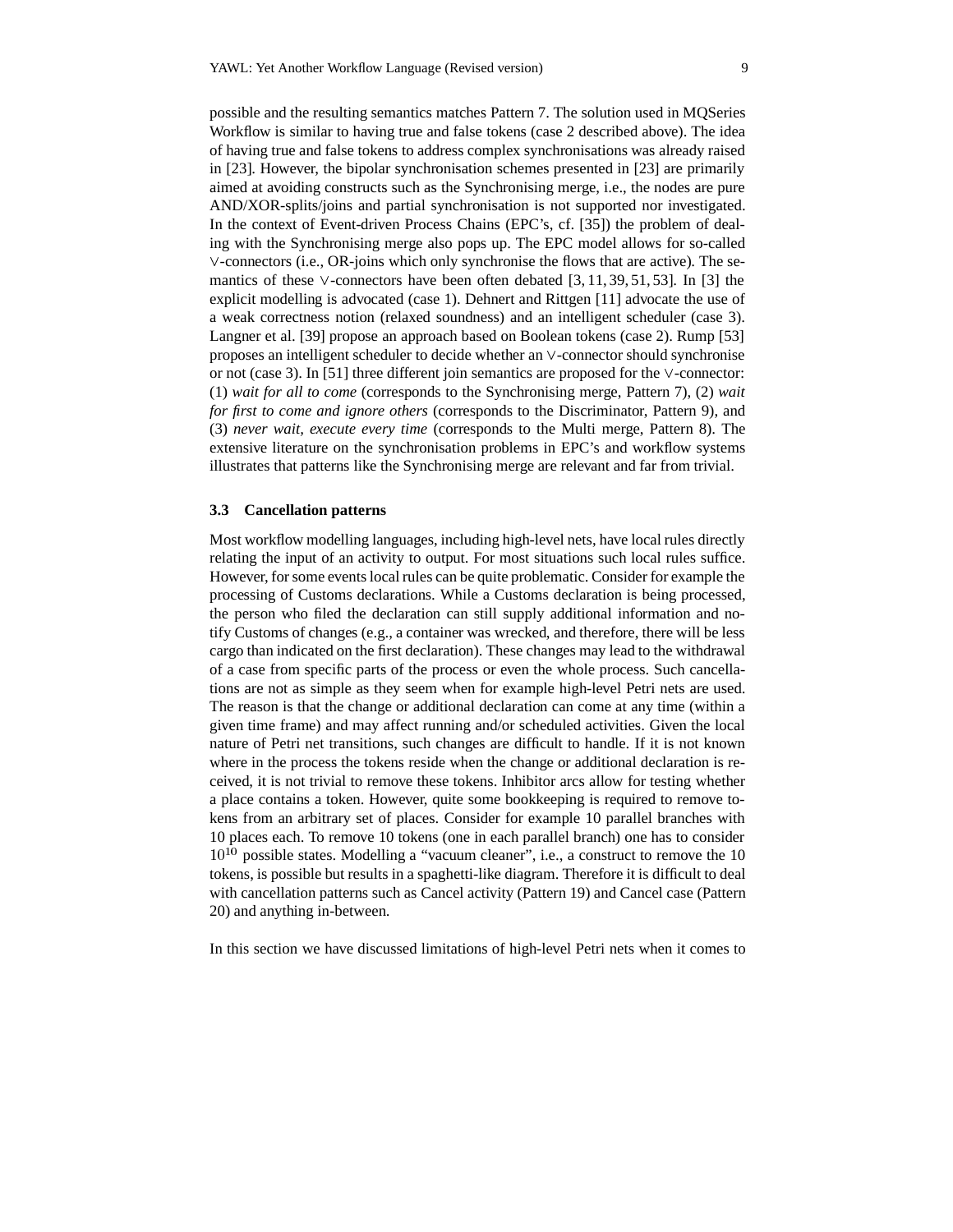possible and the resulting semantics matches Pattern 7. The solution used in MQSeries Workflow is similar to having true and false tokens (case 2 described above). The idea of having true and false tokens to address complex synchronisations was already raised in [23]. However, the bipolar synchronisation schemes presented in [23] are primarily aimed at avoiding constructs such as the Synchronising merge, i.e., the nodes are pure AND/XOR-splits/joins and partial synchronisation is not supported nor investigated. In the context of Event-driven Process Chains (EPC's, cf. [35]) the problem of dealing with the Synchronising merge also pops up. The EPC model allows for so-called  $\vee$ -connectors (i.e., OR-joins which only synchronise the flows that are active). The semantics of these  $\vee$ -connectors have been often debated [3, 11, 39, 51, 53]. In [3] the explicit modelling is advocated (case 1). Dehnert and Rittgen [11] advocate the use of a weak correctness notion (relaxed soundness) and an intelligent scheduler (case 3). Langner et al. [39] propose an approach based on Boolean tokens (case 2). Rump [53] proposes an intelligent scheduler to decide whether an  $\vee$ -connector should synchronise or not (case 3). In [51] three different join semantics are proposed for the  $\vee$ -connector: (1) *wait for all to come* (corresponds to the Synchronising merge, Pattern 7), (2) *wait for first to come and ignore others* (corresponds to the Discriminator, Pattern 9), and (3) *never wait, execute every time* (corresponds to the Multi merge, Pattern 8). The extensive literature on the synchronisation problems in EPC's and workflow systems illustrates that patterns like the Synchronising merge are relevant and far from trivial.

#### **3.3 Cancellation patterns**

Most workflow modelling languages, including high-level nets, have local rules directly relating the input of an activity to output. For most situations such local rules suffice. However, for some events local rules can be quite problematic. Consider for example the processing of Customs declarations. While a Customs declaration is being processed, the person who filed the declaration can still supply additional information and notify Customs of changes (e.g., a container was wrecked, and therefore, there will be less cargo than indicated on the first declaration). These changes may lead to the withdrawal of a case from specific parts of the process or even the whole process. Such cancellations are not as simple as they seem when for example high-level Petri nets are used. The reason is that the change or additional declaration can come at any time (within a given time frame) and may affect running and/or scheduled activities. Given the local nature of Petri net transitions, such changes are difficult to handle. If it is not known where in the process the tokens reside when the change or additional declaration is received, it is not trivial to remove these tokens. Inhibitor arcs allow for testing whether a place contains a token. However, quite some bookkeeping is required to remove tokens from an arbitrary set of places. Consider for example 10 parallel branches with 10 places each. To remove 10 tokens (one in each parallel branch) one has to consider  $10^{10}$  possible states. Modelling a "vacuum cleaner", i.e., a construct to remove the 10 tokens, is possible but results in a spaghetti-like diagram. Therefore it is difficult to deal with cancellation patterns such as Cancel activity (Pattern 19) and Cancel case (Pattern 20) and anything in-between.

In this section we have discussed limitations of high-level Petri nets when it comes to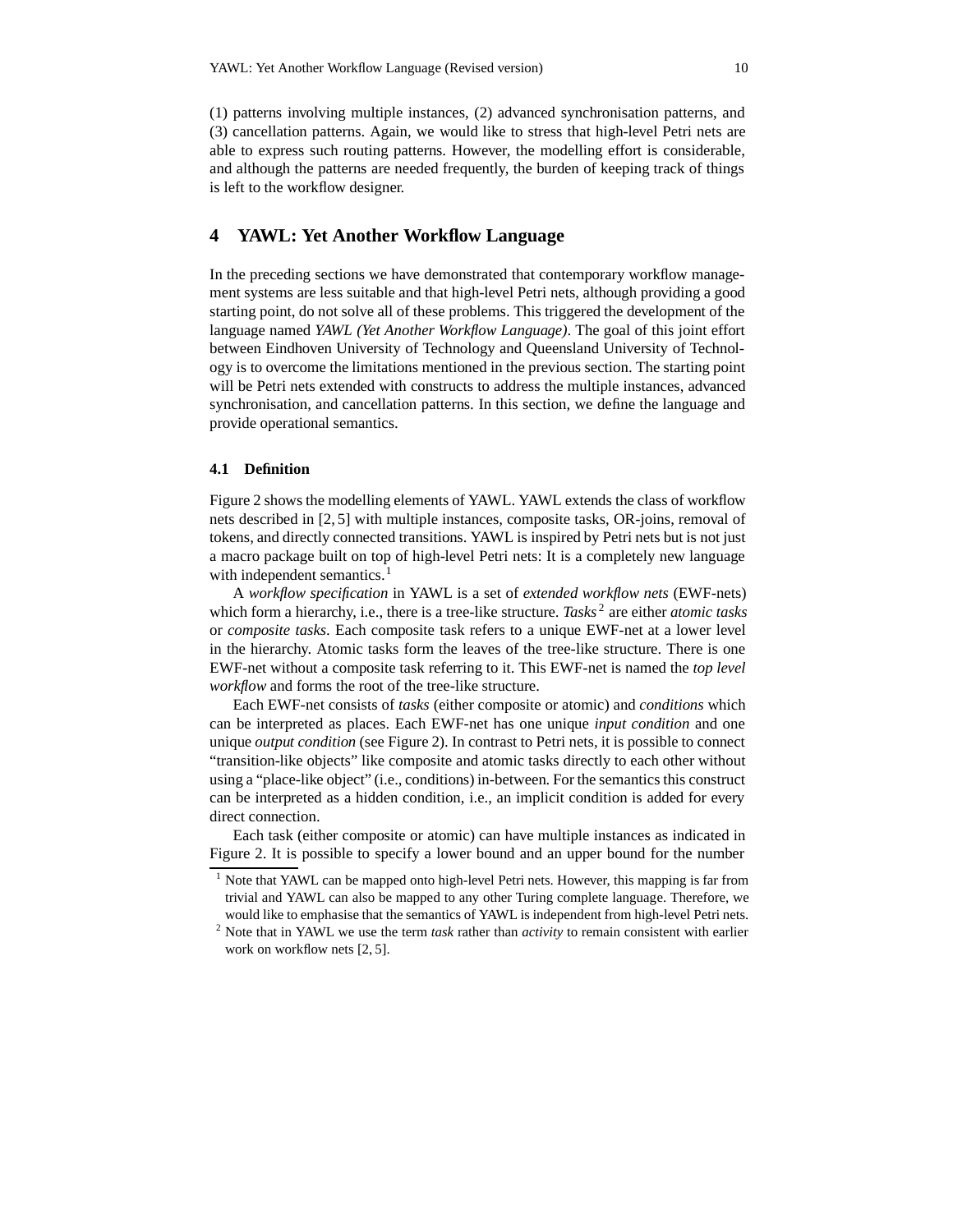(1) patterns involving multiple instances, (2) advanced synchronisation patterns, and (3) cancellation patterns. Again, we would like to stress that high-level Petri nets are able to express such routing patterns. However, the modelling effort is considerable, and although the patterns are needed frequently, the burden of keeping track of things is left to the workflow designer.

### **4 YAWL: Yet Another Workflow Language**

In the preceding sections we have demonstrated that contemporary workflow management systems are less suitable and that high-level Petri nets, although providing a good starting point, do not solve all of these problems. This triggered the development of the language named *YAWL (Yet Another Workflow Language)*. The goal of this joint effort between Eindhoven University of Technology and Queensland University of Technology is to overcome the limitations mentioned in the previous section. The starting point will be Petri nets extended with constructs to address the multiple instances, advanced synchronisation, and cancellation patterns. In this section, we define the language and provide operational semantics.

#### **4.1 Definition**

Figure 2 shows the modelling elements of YAWL. YAWL extends the class of workflow nets described in [2, 5] with multiple instances, composite tasks, OR-joins, removal of tokens, and directly connected transitions. YAWL is inspired by Petri nets but is not just a macro package built on top of high-level Petri nets: It is a completely new language with independent semantics.<sup>1</sup>

A *workflow specification* in YAWL is a set of *extended workflow nets* (EWF-nets) which form a hierarchy, i.e., there is a tree-like structure. *Tasks* <sup>2</sup> are either *atomic tasks* or *composite tasks*. Each composite task refers to a unique EWF-net at a lower level in the hierarchy. Atomic tasks form the leaves of the tree-like structure. There is one EWF-net without a composite task referring to it. This EWF-net is named the *top level workflow* and forms the root of the tree-like structure.

Each EWF-net consists of *tasks* (either composite or atomic) and *conditions* which can be interpreted as places. Each EWF-net has one unique *input condition* and one unique *output condition* (see Figure 2). In contrast to Petri nets, it is possible to connect "transition-like objects" like composite and atomic tasks directly to each other without using a "place-like object" (i.e., conditions) in-between. For the semantics this construct can be interpreted as a hidden condition, i.e., an implicit condition is added for every direct connection.

Each task (either composite or atomic) can have multiple instances as indicated in Figure 2. It is possible to specify a lower bound and an upper bound for the number

<sup>&</sup>lt;sup>1</sup> Note that YAWL can be mapped onto high-level Petri nets. However, this mapping is far from trivial and YAWL can also be mapped to any other Turing complete language. Therefore, we would like to emphasise that the semantics of YAWL is independent from high-level Petri nets.

<sup>2</sup> Note that in YAWL we use the term *task* rather than *activity* to remain consistent with earlier work on workflow nets [2, 5].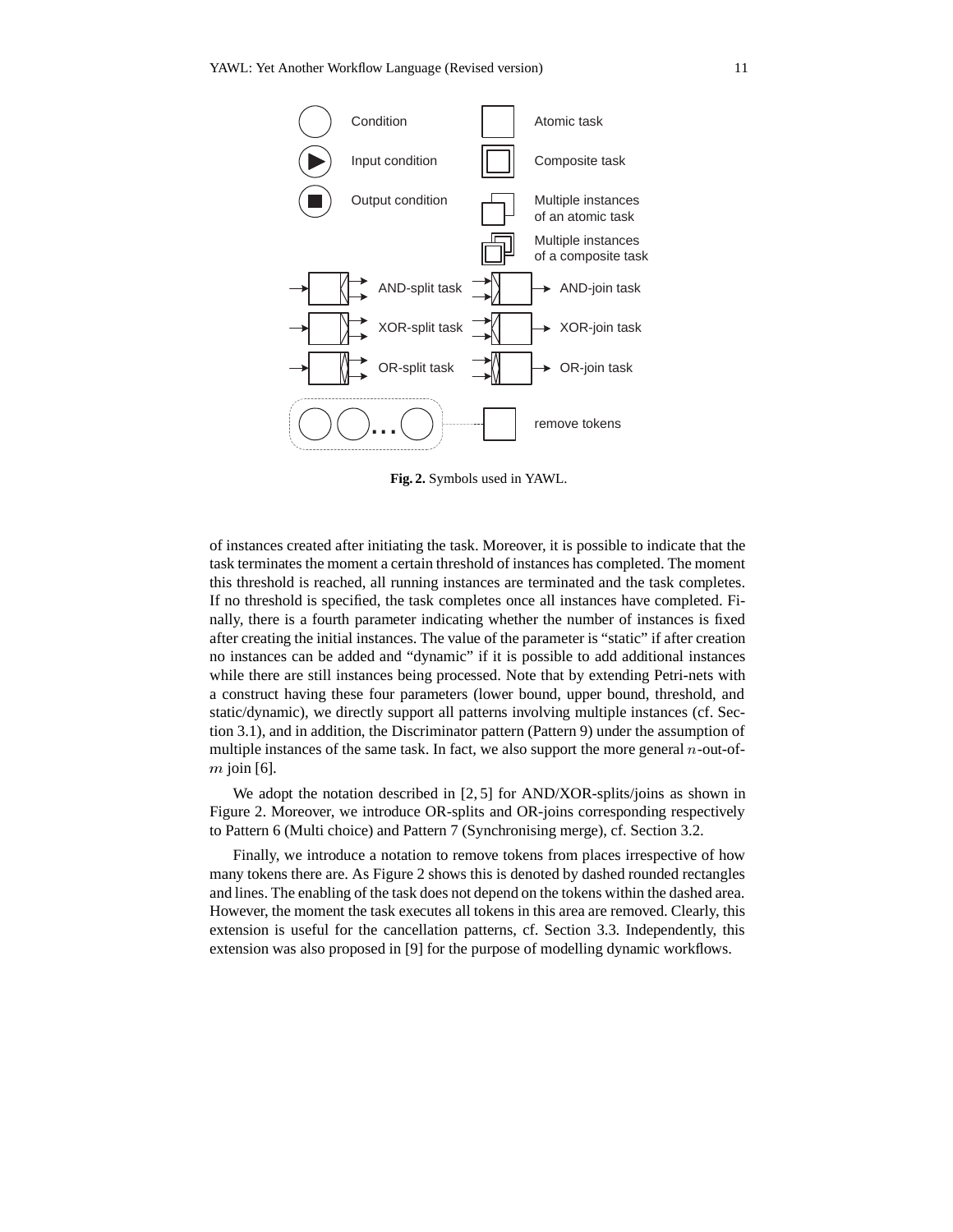

**Fig. 2.** Symbols used in YAWL.

of instances created after initiating the task. Moreover, it is possible to indicate that the task terminates the moment a certain threshold of instances has completed. The moment this threshold is reached, all running instances are terminated and the task completes. If no threshold is specified, the task completes once all instances have completed. Finally, there is a fourth parameter indicating whether the number of instances is fixed after creating the initial instances. The value of the parameter is "static" if after creation no instances can be added and "dynamic" if it is possible to add additional instances while there are still instances being processed. Note that by extending Petri-nets with a construct having these four parameters (lower bound, upper bound, threshold, and static/dynamic), we directly support all patterns involving multiple instances (cf. Section 3.1), and in addition, the Discriminator pattern (Pattern 9) under the assumption of multiple instances of the same task. In fact, we also support the more general  $n$ -out-of $m$  join [6].

We adopt the notation described in [2, 5] for AND/XOR-splits/joins as shown in Figure 2. Moreover, we introduce OR-splits and OR-joins corresponding respectively to Pattern 6 (Multi choice) and Pattern 7 (Synchronising merge), cf. Section 3.2.

Finally, we introduce a notation to remove tokens from places irrespective of how many tokens there are. As Figure 2 shows this is denoted by dashed rounded rectangles and lines. The enabling of the task does not depend on the tokens within the dashed area. However, the moment the task executes all tokens in this area are removed. Clearly, this extension is useful for the cancellation patterns, cf. Section 3.3. Independently, this extension was also proposed in [9] for the purpose of modelling dynamic workflows.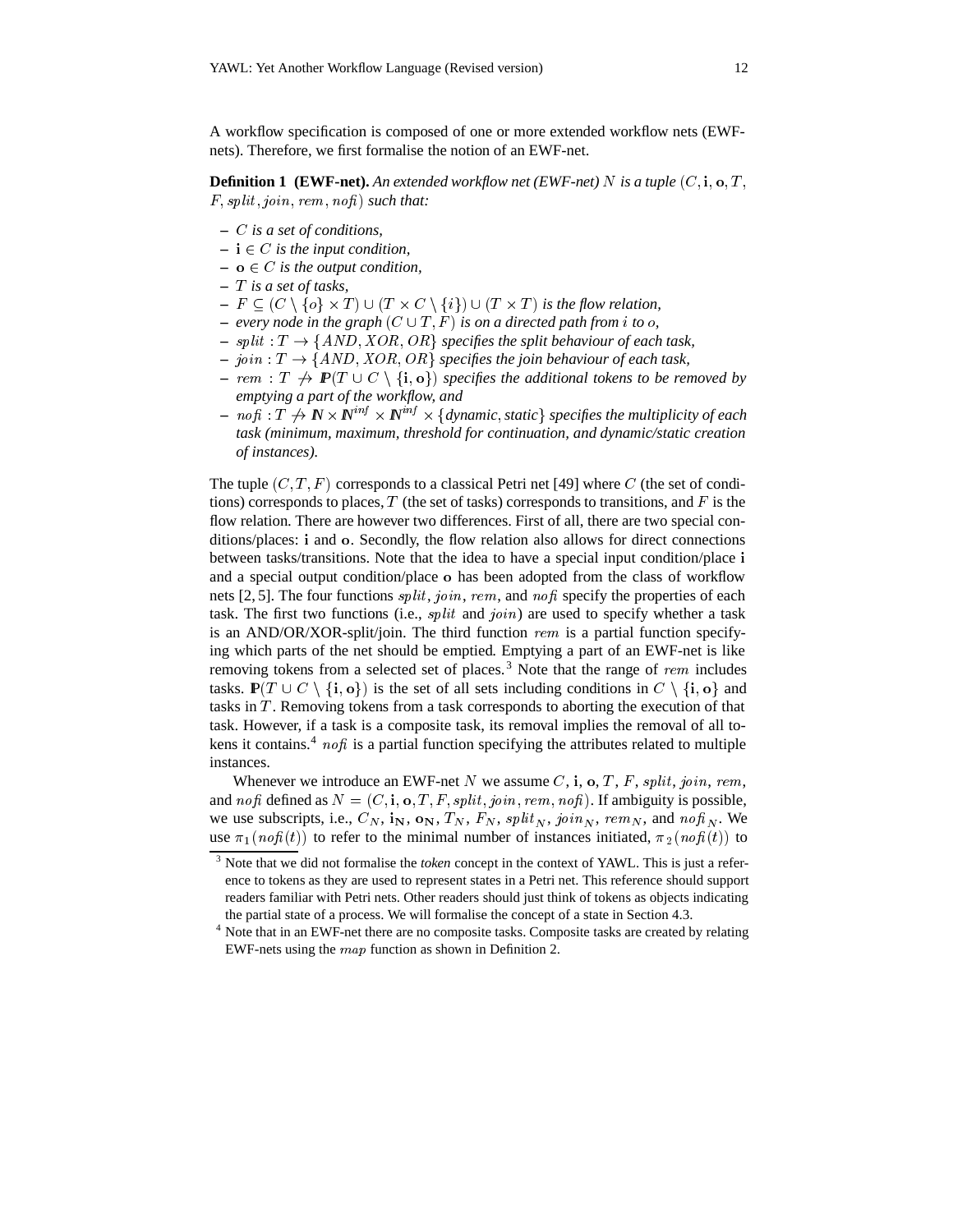A workflow specification is composed of one or more extended workflow nets (EWFnets). Therefore, we first formalise the notion of an EWF-net.

**Definition 1 (EWF-net).** An extended workflow net (EWF-net) N is a tuple  $(C, i, o, T,$  $F$ , split, join, rem, nofi) such that:

- **–** *is a set of conditions,*
- $-$  **i**  $\in$  *C* is the input condition,
- $\mathbf{o} \in C$  *is the output condition,*
- **–** *is a set of tasks,*
- $F \subseteq (C \setminus \{o\} \times T) \cup (T \times C \setminus \{i\}) \cup (T \times T)$  is the flow relation,
- $-$  every node in the graph  $(C \cup T, F)$  is on a directed path from i to  $o$ ,
- $-$  split :  $T \rightarrow \{AND, XOR, OR\}$  specifies the split behaviour of each task,
- $-$  join :  $T \rightarrow \{AND, XOR, OR\}$  specifies the join behaviour of each task,
- $-$  rem :  $T \nrightarrow \mathbb{P}(T \cup C \setminus \{\mathbf{i}, \mathbf{o}\})$  specifies the additional tokens to be removed by *emptying a part of the workflow, and*
- $-$  nofi :  $T \nrightarrow \mathbb{N} \times \mathbb{N}^{int} \times \mathbb{N}^{int} \times \{d$ ynamic, static} specifies the multiplicity of each *task (minimum, maximum, threshold for continuation, and dynamic/static creation of instances).*

The tuple  $(C, T, F)$  corresponds to a classical Petri net [49] where C (the set of conditions) corresponds to places,  $T$  (the set of tasks) corresponds to transitions, and  $F$  is the flow relation. There are however two differences. First of all, there are two special conditions/places: i and o. Secondly, the flow relation also allows for direct connections between tasks/transitions. Note that the idea to have a special input condition/place and a special output condition/place o has been adopted from the class of workflow nets  $[2, 5]$ . The four functions  $split, join, rem,$  and  $nof$  specify the properties of each task. The first two functions (i.e.,  $split$  and  $join$ ) are used to specify whether a task is an AND/OR/XOR-split/join. The third function  $rem$  is a partial function specifying which parts of the net should be emptied. Emptying a part of an EWF-net is like removing tokens from a selected set of places.<sup>3</sup> Note that the range of  $rem$  includes tasks.  $P(T \cup C \setminus \{i, o\})$  is the set of all sets including conditions in  $C \setminus \{i, o\}$  and tasks in  $T$ . Removing tokens from a task corresponds to aborting the execution of that task. However, if a task is a composite task, its removal implies the removal of all tokens it contains.<sup>4</sup> nofi is a partial function specifying the attributes related to multiple instances.

Whenever we introduce an EWF-net N we assume  $C$ , i, o, T, F, split, join, rem, and nofi defined as  $N = (C, \mathbf{i}, \mathbf{o}, T, F, \text{split}, \text{join}, \text{rem}, \text{nof}).$  If ambiguity is possible, we use subscripts, i.e.,  $C_N$ ,  $i_N$ ,  $o_N$ ,  $T_N$ ,  $F_N$ ,  $split_N$ ,  $join_N$ ,  $rem_N$ , and  $nof_N$ . We use  $\pi_1(nofi(t))$  to refer to the minimal number of instances initiated,  $\pi_2(nofi(t))$  to

<sup>&</sup>lt;sup>3</sup> Note that we did not formalise the *token* concept in the context of YAWL. This is just a reference to tokens as they are used to represent states in a Petri net. This reference should support readers familiar with Petri nets. Other readers should just think of tokens as objects indicating the partial state of a process. We will formalise the concept of a state in Section 4.3.

<sup>&</sup>lt;sup>4</sup> Note that in an EWF-net there are no composite tasks. Composite tasks are created by relating EWF-nets using the  $map$  function as shown in Definition 2.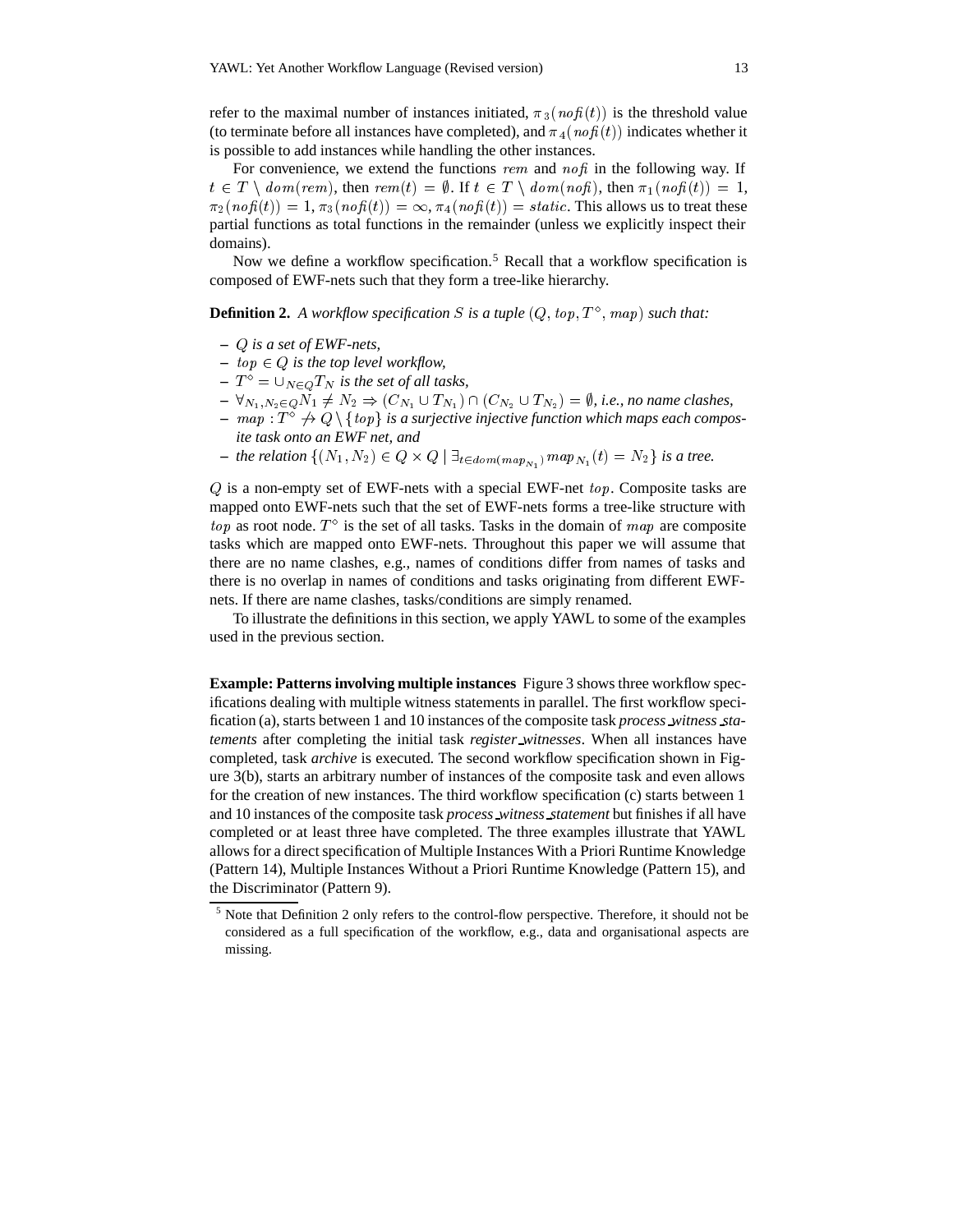refer to the maximal number of instances initiated,  $\pi_3(nofi(t))$  is the threshold value (to terminate before all instances have completed), and  $\pi_4(nofi(t))$  indicates whether it is possible to add instances while handling the other instances.

For convenience, we extend the functions  $rem$  and  $nof$  in the following way. If  $t \in T \setminus dom(rem)$ , then  $rem(t) = \emptyset$ . If  $t \in T \setminus dom(nof(t))$ , then  $\pi_1(nof(t)) = 1$ ,  $\pi_2(nofi(t)) = 1, \pi_3(nofi(t)) = \infty, \pi_4(nofi(t)) = static$ . This allows us to treat these partial functions as total functions in the remainder (unless we explicitly inspect their domains).

Now we define a workflow specification.<sup>5</sup> Recall that a workflow specification is composed of EWF-nets such that they form a tree-like hierarchy.

**Definition 2.** A workflow specification S is a tuple  $(Q, top, T^{\circ}, map)$  such that:

- **–** *is a set of EWF-nets,*
- $-$  *top*  $\in$  *Q is the top level workflow,*
- $T^{\circ} = \bigcup_{N \in Q} T_N$  is the set of all tasks,
- $\forall_{N_1,N_2 \in Q} N_1 \neq N_2 \Rightarrow (C_{N_1} \cup T_{N_1}) \cap (C_{N_2} \cup T_{N_2}) = \emptyset$ , *i.e., no name clashes,*
- $\,$   $map$   $:$   $T^{\diamond}$   $\,\neq$   $Q \setminus \{top\}$  is a surjective injective function which maps each compos*ite task onto an EWF net, and*
- $-$  *the relation*  $\{(N_1, N_2) \in Q \times Q \mid \exists_{t \in dom(\{map_{N_1}\}}) map_{N_1}(t) = N_2\}$  *is a tree.*

 $Q$  is a non-empty set of EWF-nets with a special EWF-net  $top$ . Composite tasks are mapped onto EWF-nets such that the set of EWF-nets forms a tree-like structure with *top* as root node.  $T^{\circ}$  is the set of all tasks. Tasks in the domain of map are composite tasks which are mapped onto EWF-nets. Throughout this paper we will assume that there are no name clashes, e.g., names of conditions differ from names of tasks and there is no overlap in names of conditions and tasks originating from different EWFnets. If there are name clashes, tasks/conditions are simply renamed.

To illustrate the definitions in this section, we apply YAWL to some of the examples used in the previous section.

**Example: Patterns involving multiple instances** Figure 3 shows three workflow specifications dealing with multiple witness statements in parallel. The first workflow specification (a), starts between 1 and 10 instances of the composite task *process witness statements* after completing the initial task *register witnesses*. When all instances have completed, task *archive* is executed. The second workflow specification shown in Figure 3(b), starts an arbitrary number of instances of the composite task and even allows for the creation of new instances. The third workflow specification (c) starts between 1 and 10 instances of the composite task *process witness statement* but finishes if all have completed or at least three have completed. The three examples illustrate that YAWL allows for a direct specification of Multiple Instances With a Priori Runtime Knowledge (Pattern 14), Multiple Instances Without a Priori Runtime Knowledge (Pattern 15), and the Discriminator (Pattern 9).

<sup>&</sup>lt;sup>5</sup> Note that Definition 2 only refers to the control-flow perspective. Therefore, it should not be considered as a full specification of the workflow, e.g., data and organisational aspects are missing.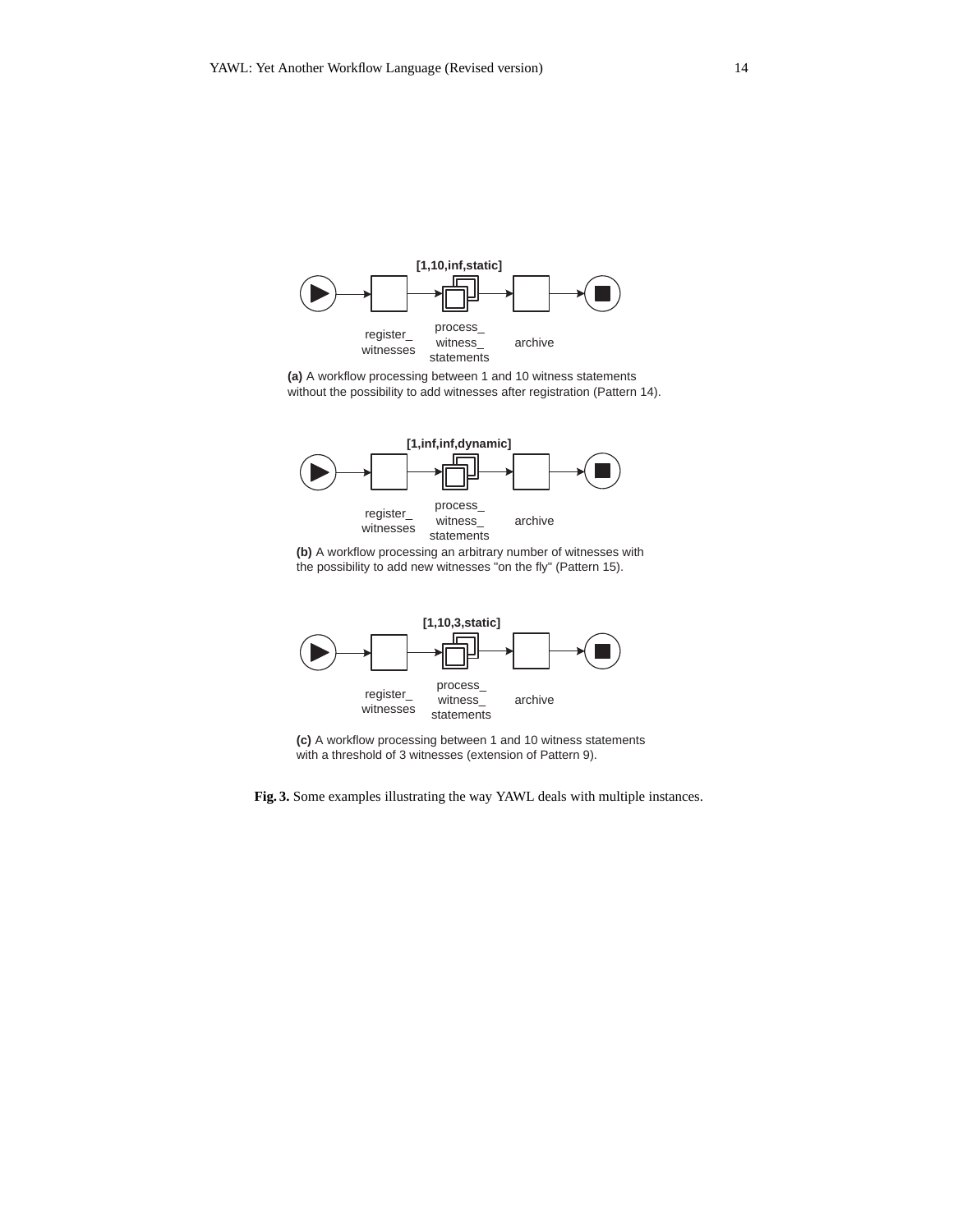









**(c)** A workflow processing between 1 and 10 witness statements with a threshold of 3 witnesses (extension of Pattern 9).

**Fig. 3.** Some examples illustrating the way YAWL deals with multiple instances.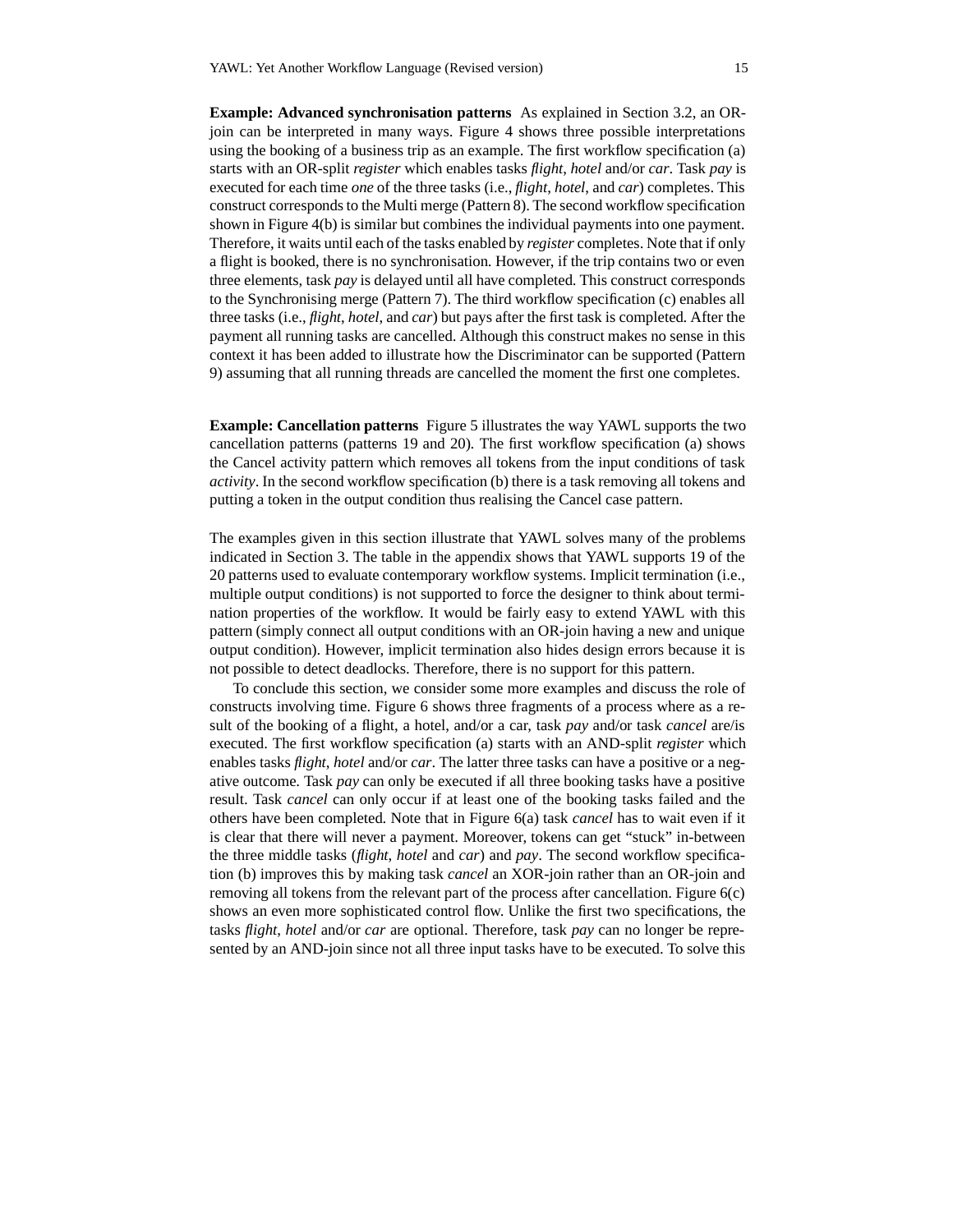**Example: Advanced synchronisation patterns** As explained in Section 3.2, an ORjoin can be interpreted in many ways. Figure 4 shows three possible interpretations using the booking of a business trip as an example. The first workflow specification (a) starts with an OR-split *register* which enables tasks *flight*, *hotel* and/or *car*. Task *pay* is executed for each time *one* of the three tasks (i.e., *flight*, *hotel*, and *car*) completes. This construct corresponds to the Multi merge (Pattern 8). The second workflow specification shown in Figure 4(b) is similar but combines the individual payments into one payment. Therefore, it waits until each of the tasks enabled by *register* completes. Note that if only a flight is booked, there is no synchronisation. However, if the trip contains two or even three elements, task *pay* is delayed until all have completed. This construct corresponds to the Synchronising merge (Pattern 7). The third workflow specification (c) enables all three tasks (i.e., *flight*, *hotel*, and *car*) but pays after the first task is completed. After the payment all running tasks are cancelled. Although this construct makes no sense in this context it has been added to illustrate how the Discriminator can be supported (Pattern 9) assuming that all running threads are cancelled the moment the first one completes.

**Example: Cancellation patterns** Figure 5 illustrates the way YAWL supports the two cancellation patterns (patterns 19 and 20). The first workflow specification (a) shows the Cancel activity pattern which removes all tokens from the input conditions of task *activity*. In the second workflow specification (b) there is a task removing all tokens and putting a token in the output condition thus realising the Cancel case pattern.

The examples given in this section illustrate that YAWL solves many of the problems indicated in Section 3. The table in the appendix shows that YAWL supports 19 of the 20 patterns used to evaluate contemporary workflow systems. Implicit termination (i.e., multiple output conditions) is not supported to force the designer to think about termination properties of the workflow. It would be fairly easy to extend YAWL with this pattern (simply connect all output conditions with an OR-join having a new and unique output condition). However, implicit termination also hides design errors because it is not possible to detect deadlocks. Therefore, there is no support for this pattern.

To conclude this section, we consider some more examples and discuss the role of constructs involving time. Figure 6 shows three fragments of a process where as a result of the booking of a flight, a hotel, and/or a car, task *pay* and/or task *cancel* are/is executed. The first workflow specification (a) starts with an AND-split *register* which enables tasks *flight*, *hotel* and/or *car*. The latter three tasks can have a positive or a negative outcome. Task *pay* can only be executed if all three booking tasks have a positive result. Task *cancel* can only occur if at least one of the booking tasks failed and the others have been completed. Note that in Figure 6(a) task *cancel* has to wait even if it is clear that there will never a payment. Moreover, tokens can get "stuck" in-between the three middle tasks (*flight*, *hotel* and *car*) and *pay*. The second workflow specification (b) improves this by making task *cancel* an XOR-join rather than an OR-join and removing all tokens from the relevant part of the process after cancellation. Figure 6(c) shows an even more sophisticated control flow. Unlike the first two specifications, the tasks *flight*, *hotel* and/or *car* are optional. Therefore, task *pay* can no longer be represented by an AND-join since not all three input tasks have to be executed. To solve this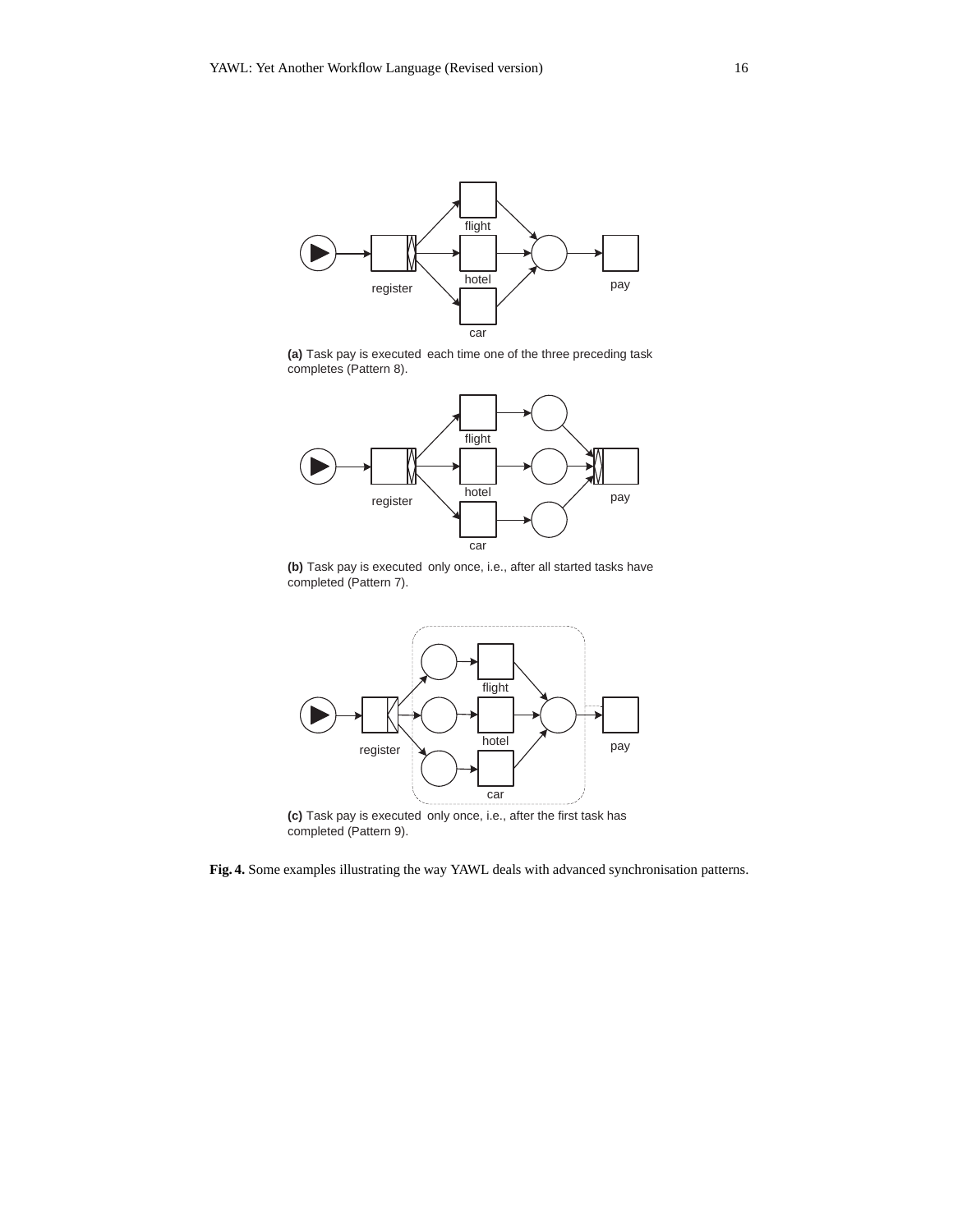

**(a)** Task pay is executed each time one of the three preceding task completes (Pattern 8).







completed (Pattern 9).

**Fig. 4.** Some examples illustrating the way YAWL deals with advanced synchronisation patterns.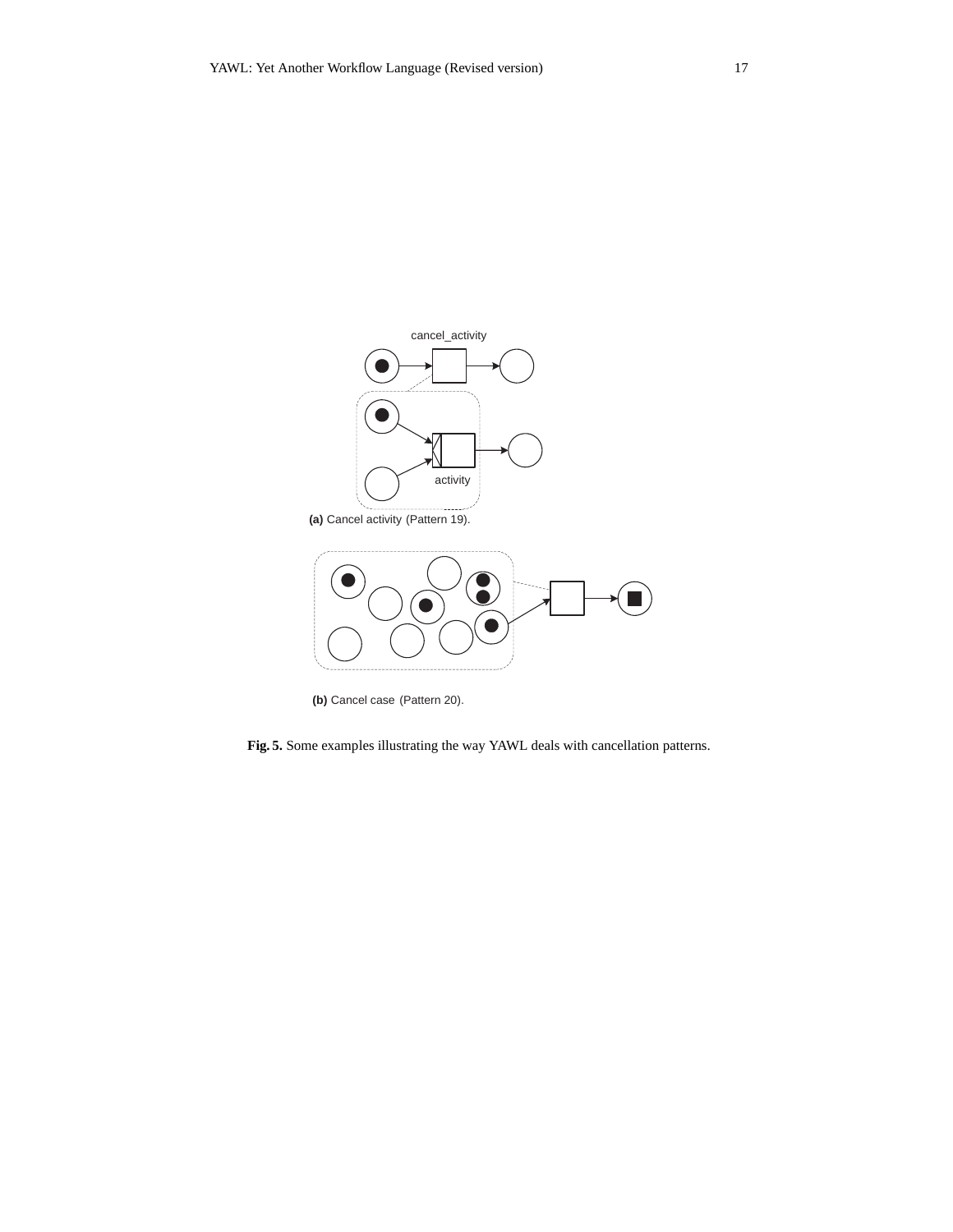



**(b)** Cancel case (Pattern 20).

**Fig. 5.** Some examples illustrating the way YAWL deals with cancellation patterns.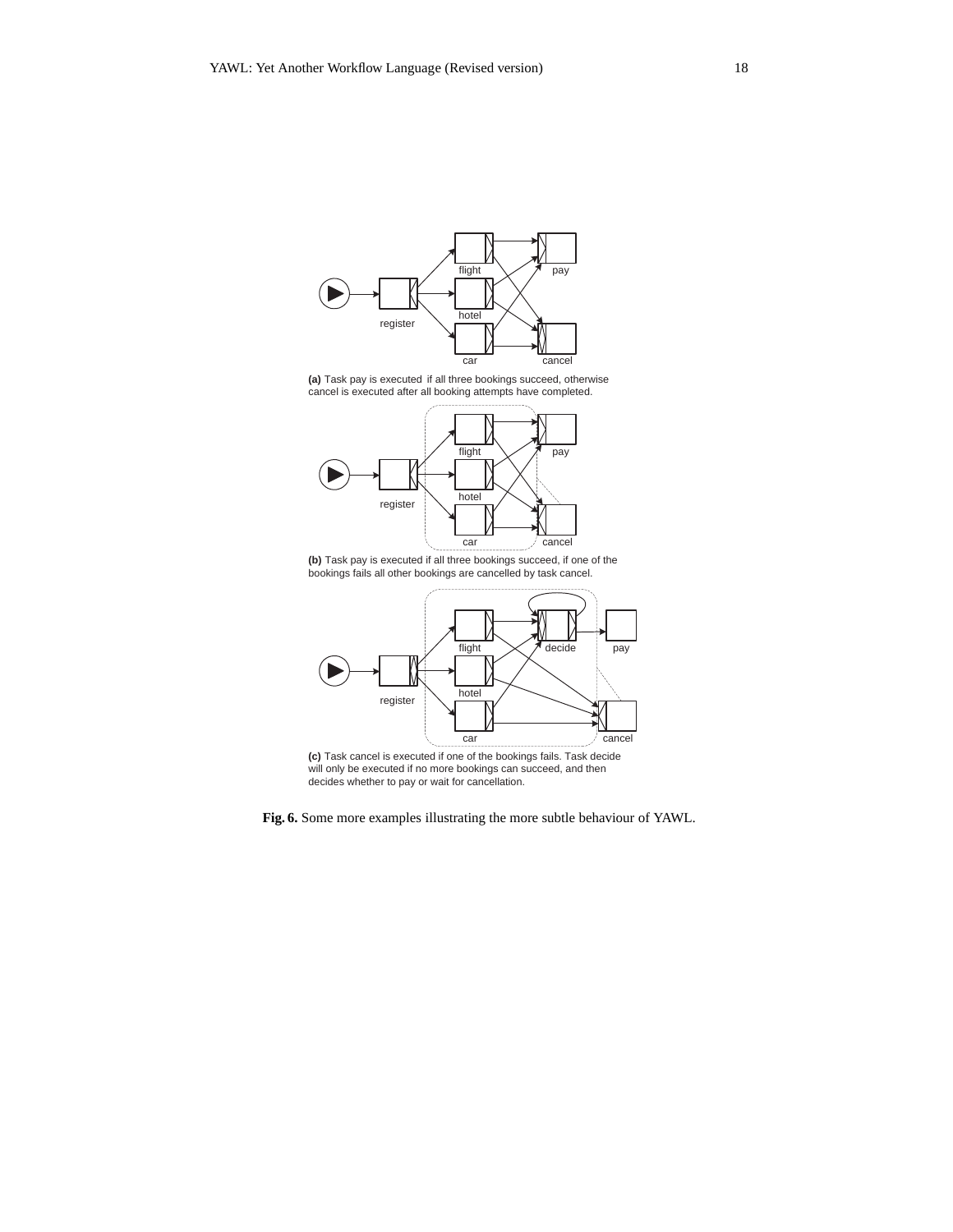





**(b)** Task pay is executed if all three bookings succeed, if one of the bookings fails all other bookings are cancelled by task cancel.



**(c)** Task cancel is executed if one of the bookings fails. Task decide will only be executed if no more bookings can succeed, and then decides whether to pay or wait for cancellation.

**Fig. 6.** Some more examples illustrating the more subtle behaviour of YAWL.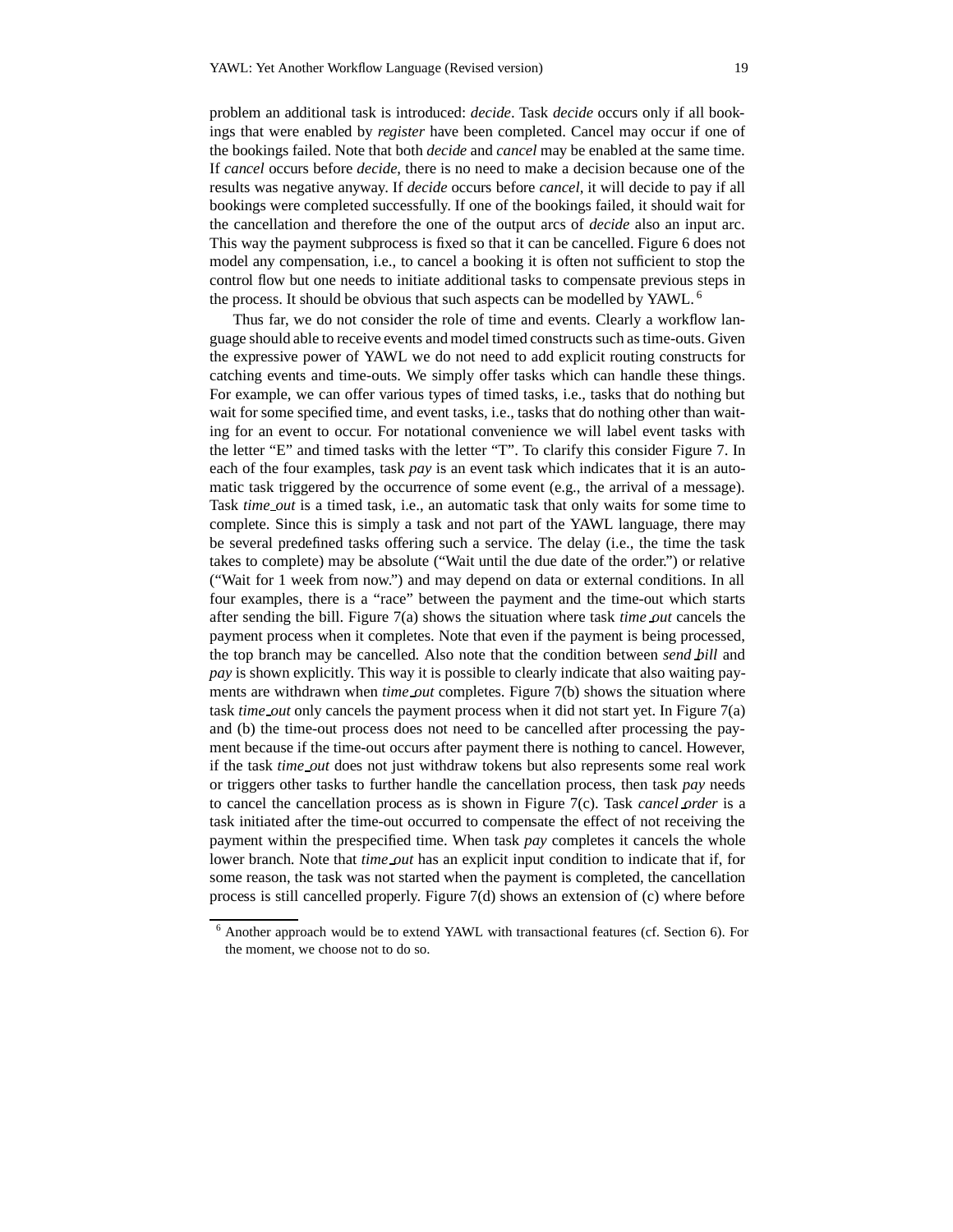problem an additional task is introduced: *decide*. Task *decide* occurs only if all bookings that were enabled by *register* have been completed. Cancel may occur if one of the bookings failed. Note that both *decide* and *cancel* may be enabled at the same time. If *cancel* occurs before *decide*, there is no need to make a decision because one of the results was negative anyway. If *decide* occurs before *cancel*, it will decide to pay if all bookings were completed successfully. If one of the bookings failed, it should wait for the cancellation and therefore the one of the output arcs of *decide* also an input arc. This way the payment subprocess is fixed so that it can be cancelled. Figure 6 does not model any compensation, i.e., to cancel a booking it is often not sufficient to stop the control flow but one needs to initiate additional tasks to compensate previous steps in the process. It should be obvious that such aspects can be modelled by YAWL. <sup>6</sup>

Thus far, we do not consider the role of time and events. Clearly a workflow language should able to receive events and model timed constructs such as time-outs. Given the expressive power of YAWL we do not need to add explicit routing constructs for catching events and time-outs. We simply offer tasks which can handle these things. For example, we can offer various types of timed tasks, i.e., tasks that do nothing but wait for some specified time, and event tasks, i.e., tasks that do nothing other than waiting for an event to occur. For notational convenience we will label event tasks with the letter "E" and timed tasks with the letter "T". To clarify this consider Figure 7. In each of the four examples, task *pay* is an event task which indicates that it is an automatic task triggered by the occurrence of some event (e.g., the arrival of a message). Task *time out* is a timed task, i.e., an automatic task that only waits for some time to complete. Since this is simply a task and not part of the YAWL language, there may be several predefined tasks offering such a service. The delay (i.e., the time the task takes to complete) may be absolute ("Wait until the due date of the order.") or relative ("Wait for 1 week from now.") and may depend on data or external conditions. In all four examples, there is a "race" between the payment and the time-out which starts after sending the bill. Figure 7(a) shows the situation where task *time out* cancels the payment process when it completes. Note that even if the payment is being processed, the top branch may be cancelled. Also note that the condition between *send bill* and *pay* is shown explicitly. This way it is possible to clearly indicate that also waiting payments are withdrawn when *time\_out* completes. Figure 7(b) shows the situation where task *time out* only cancels the payment process when it did not start yet. In Figure 7(a) and (b) the time-out process does not need to be cancelled after processing the payment because if the time-out occurs after payment there is nothing to cancel. However, if the task *time out* does not just withdraw tokens but also represents some real work or triggers other tasks to further handle the cancellation process, then task *pay* needs to cancel the cancellation process as is shown in Figure 7(c). Task *cancel order* is a task initiated after the time-out occurred to compensate the effect of not receiving the payment within the prespecified time. When task *pay* completes it cancels the whole lower branch. Note that *time out* has an explicit input condition to indicate that if, for some reason, the task was not started when the payment is completed, the cancellation process is still cancelled properly. Figure 7(d) shows an extension of (c) where before

<sup>6</sup> Another approach would be to extend YAWL with transactional features (cf. Section 6). For the moment, we choose not to do so.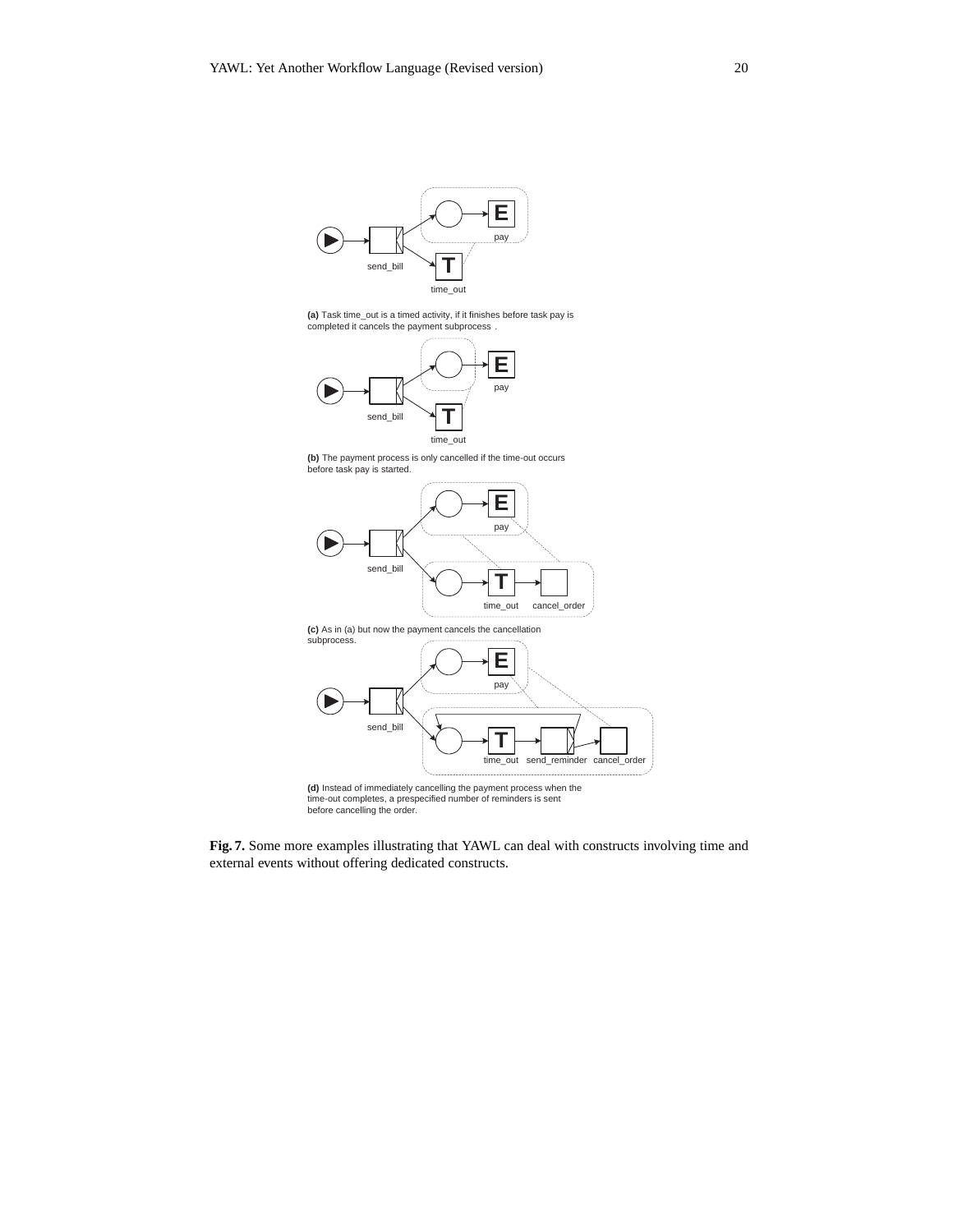

**(a)** Task time\_out is a timed activity, if it finishes before task pay is completed it cancels the payment subprocess .



**(b)** The payment process is only cancelled if the time-out occurs before task pay is started.



**(c)** As in (a) but now the payment cancels the cancellation subprocess.



**(d)** Instead of immediately cancelling the payment process when the time-out completes, a prespecified number of reminders is sent before cancelling the order.

**Fig. 7.** Some more examples illustrating that YAWL can deal with constructs involving time and external events without offering dedicated constructs.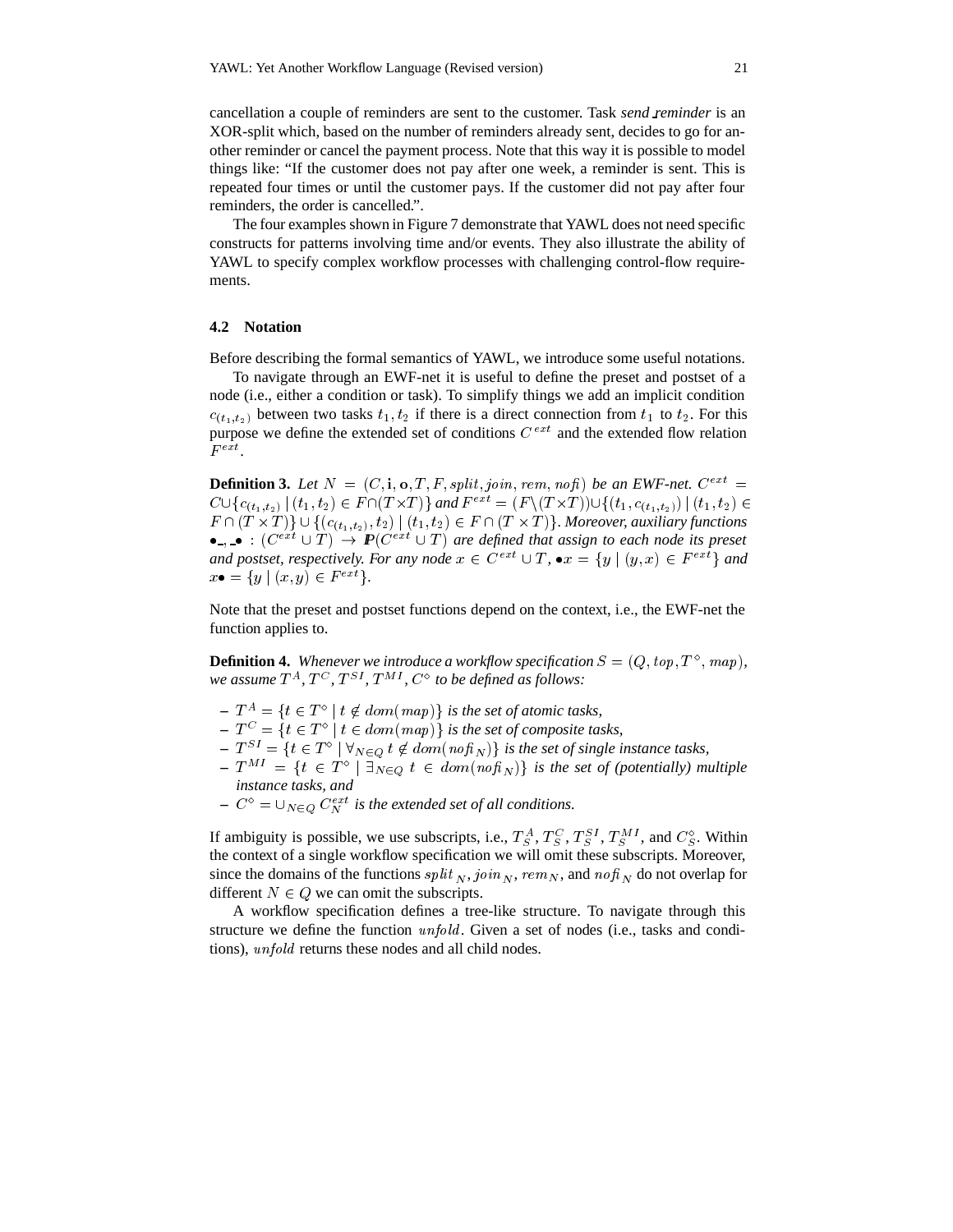cancellation a couple of reminders are sent to the customer. Task *send reminder* is an XOR-split which, based on the number of reminders already sent, decides to go for another reminder or cancel the payment process. Note that this way it is possible to model things like: "If the customer does not pay after one week, a reminder is sent. This is repeated four times or until the customer pays. If the customer did not pay after four reminders, the order is cancelled.".

The four examples shown in Figure 7 demonstrate that YAWL does not need specific constructs for patterns involving time and/or events. They also illustrate the ability of YAWL to specify complex workflow processes with challenging control-flow requirements.

#### **4.2 Notation**

Before describing the formal semantics of YAWL, we introduce some useful notations.

To navigate through an EWF-net it is useful to define the preset and postset of a node (i.e., either a condition or task). To simplify things we add an implicit condition  $c_{(t_1,t_2)}$  between two tasks  $t_1, t_2$  if there is a direct connection from  $t_1$  to  $t_2$ . For this purpose we define the extended set of conditions  $C^{ext}$  and the extended flow relation  $\frac{ext}{ }$ 

**Definition 3.** Let  $N = (C, \mathbf{i}, \mathbf{o}, T, F, \text{split}, \text{join}, \text{rem}, \text{nof})$  be an EWF-net.  $C^{ext} =$  $C \cup \{c_{(t_1,t_2)} \mid (t_1,t_2) \in F \cap (T \times T) \}$  and  $F^{ext} = (F \setminus (T \times T)) \cup \{ (t_1, c_{(t_1,t_2)}) \mid (t_1,t_2) \in F \}$  $F \cap (T \times T) \} \cup \{(c_{(t_1,t_2)}, t_2) \mid (t_1,t_2) \in F \cap (T \times T) \}$ . Moreover, auxiliary functions  $\bullet$ <sub>.</sub>,  $\bullet$  :  $(C^{ext} \cup T) \rightarrow \mathbb{P}(C^{ext} \cup T)$  are defined that assign to each node its preset *and postset, respectively. For any node*  $x \in C^{ext} \cup T$ ,  $\bullet x = \{y \mid (y, x) \in F^{ext}\}\$ and  $x \bullet = \{ y \mid (x, y) \in F^{ext} \}.$ 

Note that the preset and postset functions depend on the context, i.e., the EWF-net the function applies to.

**Definition 4.** Whenever we introduce a workflow specification  $S = (Q, top, T^{\circ}, map)$ , we assume  $T^A$ ,  $T^C$ ,  $T^{SI}$ ,  $T^{MI}$ ,  $C^{\diamond}$  to be defined as follows:

- $-I^A = \{ t \in T^\diamond \mid t \notin dom(map) \}$  is the set of atomic tasks,
- $\mathcal{I} = \{ t \in T^{\diamond} \mid t \in dom(map)\}$  is the set of composite tasks,
- $I T^{SI} = \{ t \in T^{\diamond} \mid \forall_{N \in Q} t \notin dom(nof_{N}) \}$  is the set of single instance tasks,
- $I T^{M} = \{ t \in T^{\diamond} \mid \exists_{N \in Q} t \in dom(nof_{N}) \}$  is the set of (potentially) multiple *instance tasks, and*
- $C^{\circ} = \bigcup_{N \in Q} C_N^{ext}$  is the extended set of all conditions.

If ambiguity is possible, we use subscripts, i.e.,  $T_S^A$ ,  $T_S^C$ ,  $T_S^{SI}$ ,  $T_S^{MI}$ , and  $C_S^{\diamond}$ . Within the context of a single workflow specification we will omit these subscripts. Moreover, since the domains of the functions  $split_N$ ,  $join_N$ ,  $rem_N$ , and  $nof_N$  do not overlap for different  $N \in Q$  we can omit the subscripts.

A workflow specification defines a tree-like structure. To navigate through this structure we define the function  $unfold$ . Given a set of nodes (i.e., tasks and conditions),  $unfold$  returns these nodes and all child nodes.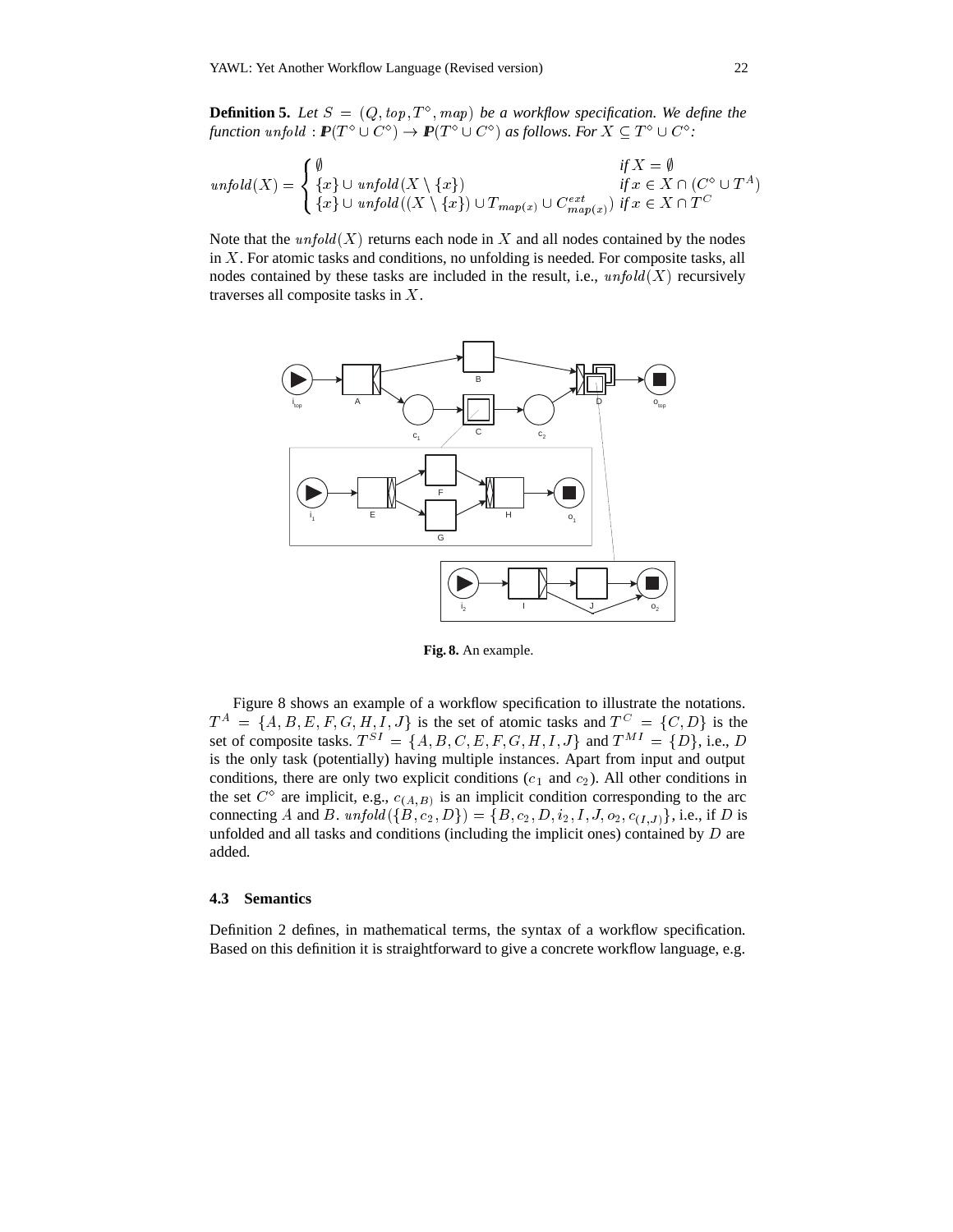**Definition 5.** Let  $S = (Q, top, T^{\circ}, map)$  be a workflow specification. We define the  $f$ *unction*  $\mathit{unfold}: \mathbb{P}(T^{\diamond} \cup C^{\diamond}) \to \mathbb{P}(T^{\diamond} \cup C^{\diamond})$  as follows. For  $X \subseteq T^{\diamond} \cup C^{\diamond}$ :

$$
unfold(X) = \begin{cases} \emptyset & \text{if } X = \emptyset \\ \{x\} \cup \operatorname{unfold}(X \setminus \{x\}) & \text{if } x \in X \cap (C^{\diamond} \cup T^A) \\ \{x\} \cup \operatorname{unfold}((X \setminus \{x\}) \cup T_{map(x)} \cup C_{map(x)}^{ext}) & \text{if } x \in X \cap T^C \end{cases}
$$

Note that the  $\mathit{unfold}(X)$  returns each node in X and all nodes contained by the nodes in  $X$ . For atomic tasks and conditions, no unfolding is needed. For composite tasks, all nodes contained by these tasks are included in the result, i.e.,  $unfold(X)$  recursively traverses all composite tasks in  $X$ .



**Fig. 8.** An example.

Figure 8 shows an example of a workflow specification to illustrate the notations.  $T^A = \{A, B, E, F, G, H, I, J\}$  is the set of atomic tasks and  $T^C = \{C, D\}$  is the set of composite tasks.  $T^{SI} = \{A, B, C, E, F, G, H, I, J\}$  and  $T^{MI} = \{D\}$ , i.e., D is the only task (potentially) having multiple instances. Apart from input and output conditions, there are only two explicit conditions  $(c_1$  and  $c_2$ ). All other conditions in the set  $C^{\diamond}$  are implicit, e.g.,  $c_{(A,B)}$  is an implicit condition corresponding to the arc connecting A and B. unfold  $(\{B, c_2, D\}) = \{B, c_2, D, i_2, I, J, o_2, c_{(I,J)}\}$ , i.e., if D is unfolded and all tasks and conditions (including the implicit ones) contained by  $D$  are added.

#### **4.3 Semantics**

Definition 2 defines, in mathematical terms, the syntax of a workflow specification. Based on this definition it is straightforward to give a concrete workflow language, e.g.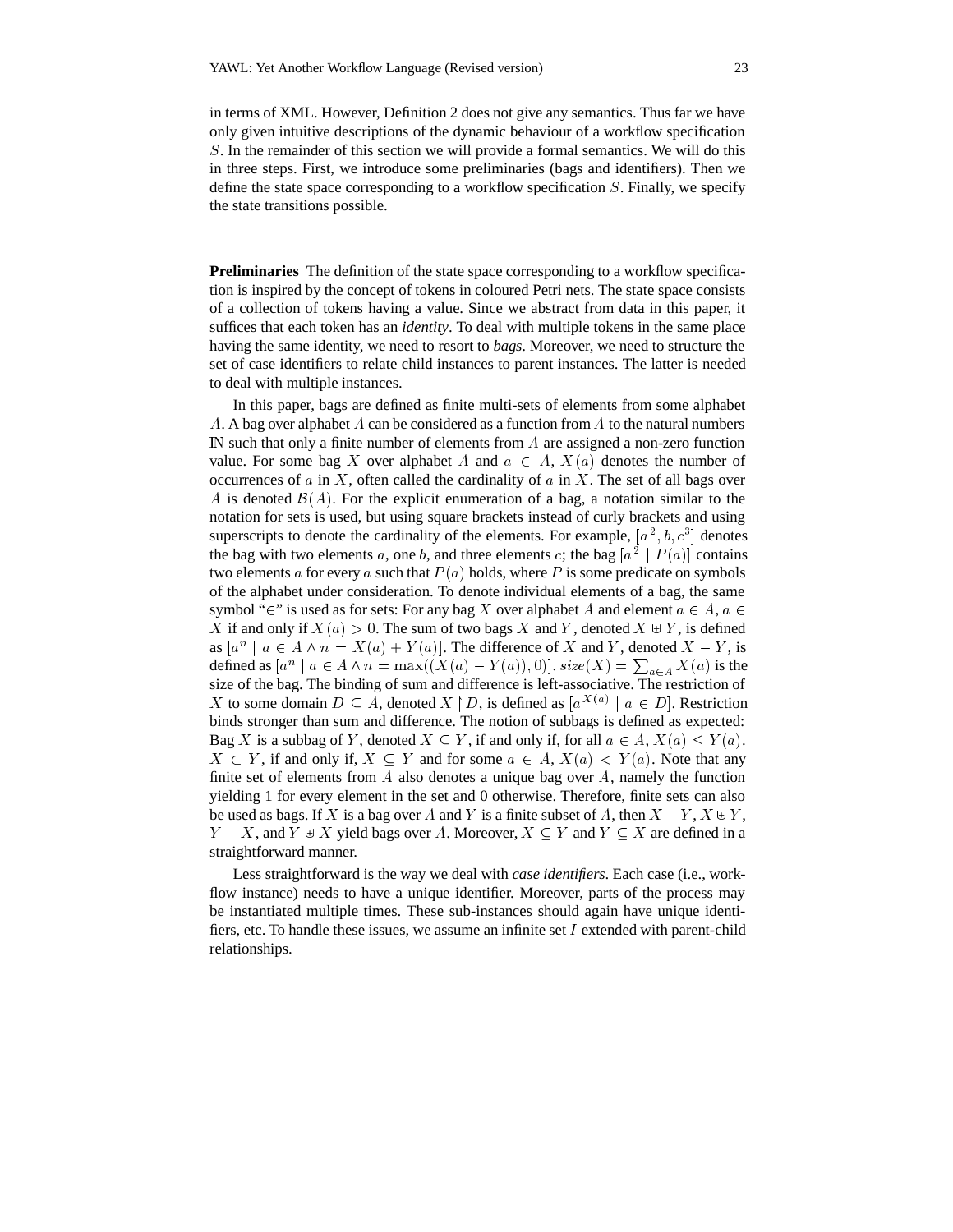in terms of XML. However, Definition 2 does not give any semantics. Thus far we have only given intuitive descriptions of the dynamic behaviour of a workflow specification . In the remainder of this section we will provide a formal semantics. We will do this in three steps. First, we introduce some preliminaries (bags and identifiers). Then we define the state space corresponding to a workflow specification  $S$ . Finally, we specify the state transitions possible.

**Preliminaries** The definition of the state space corresponding to a workflow specification is inspired by the concept of tokens in coloured Petri nets. The state space consists of a collection of tokens having a value. Since we abstract from data in this paper, it suffices that each token has an *identity*. To deal with multiple tokens in the same place having the same identity, we need to resort to *bags*. Moreover, we need to structure the set of case identifiers to relate child instances to parent instances. The latter is needed to deal with multiple instances.

In this paper, bags are defined as finite multi-sets of elements from some alphabet  $A$ . A bag over alphabet  $A$  can be considered as a function from  $A$  to the natural numbers  $\mathbb N$  such that only a finite number of elements from  $A$  are assigned a non-zero function value. For some bag X over alphabet A and  $a \in A$ ,  $X(a)$  denotes the number of occurrences of  $a$  in  $X$ , often called the cardinality of  $a$  in  $X$ . The set of all bags over A is denoted  $\mathcal{B}(A)$ . For the explicit enumeration of a bag, a notation similar to the notation for sets is used, but using square brackets instead of curly brackets and using superscripts to denote the cardinality of the elements. For example,  $[a^2, b, c^3]$  denotes the bag with two elements a, one b, and three elements c; the bag  $[a^2 | P(a)]$  contains two elements a for every a such that  $P(a)$  holds, where P is some predicate on symbols of the alphabet under consideration. To denote individual elements of a bag, the same symbol " $\in$ " is used as for sets: For any bag X over alphabet A and element  $a \in A$ ,  $a \in A$ X if and only if  $X(a) > 0$ . The sum of two bags X and Y, denoted  $X \oplus Y$ , is defined as  $[a^n \mid a \in A \land n = X(a) + Y(a)]$ . The difference of X and Y, denoted  $X - Y$ , is defined as  $[a^n \mid a \in A \land n = \max((X(a) - Y(a)), 0)]$ .  $size(X) = \sum_{a \in A} X(a)$  is the size of the bag. The binding of sum and difference is left-associative. The restriction of X to some domain  $D \subseteq A$ , denoted  $X \mid D$ , is defined as  $[a^{X(a)} \mid a \in D]$ . Restriction binds stronger than sum and difference. The notion of subbags is defined as expected: Bag X is a subbag of Y, denoted  $X \subseteq Y$ , if and only if, for all  $a \in A$ ,  $X(a) \le Y(a)$ .  $X \subset Y$ , if and only if,  $X \subseteq Y$  and for some  $a \in A$ ,  $X(a) \leq Y(a)$ . Note that any finite set of elements from  $A$  also denotes a unique bag over  $A$ , namely the function yielding 1 for every element in the set and 0 otherwise. Therefore, finite sets can also be used as bags. If X is a bag over A and Y is a finite subset of A, then  $X - Y$ ,  $X \oplus Y$ ,  $Y - X$ , and  $Y \oplus X$  yield bags over A. Moreover,  $X \subseteq Y$  and  $Y \subseteq X$  are defined in a straightforward manner.

Less straightforward is the way we deal with *case identifiers*. Each case (i.e., workflow instance) needs to have a unique identifier. Moreover, parts of the process may be instantiated multiple times. These sub-instances should again have unique identifiers, etc. To handle these issues, we assume an infinite set  $I$  extended with parent-child relationships.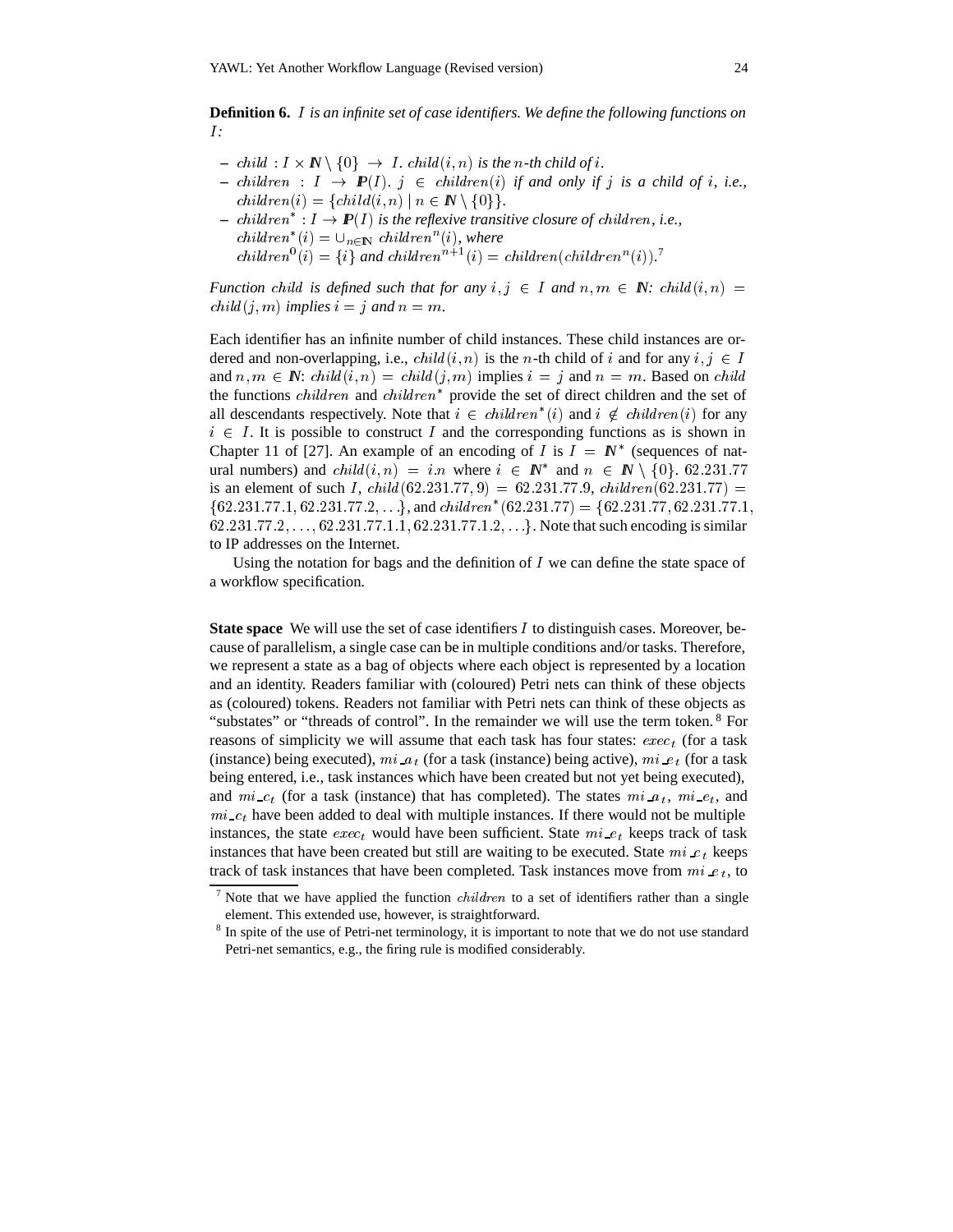**Definition 6.** *is an infinite set of case identifiers. We define the following functions on :*

- $-$  child :  $I \times \mathbb{N} \setminus \{0\} \rightarrow I$ . child  $(i, n)$  is the n-th child of i.
- $-$  children  $\colon I \to \mathbb{P}(I)$ ,  $j \in \text{children}(i)$  if and only if j is a child of i, i.e.,  $children(i) = \{child(i, n) \mid n \in \mathbb{N} \setminus \{0\}\}.$
- $-$  children<sup>\*</sup> :  $I \rightarrow I\!\!P(I)$  is the reflexive transitive closure of children, i.e.,  $children^*(i) = \bigcup_{n \in \mathbb{N}} children^n(i)$ , where  $children^0(i) = \{i\}$  and  $children^{n+1}(i) = children(children^n(i)).$ <sup>7</sup>

Function child is defined such that for any  $i, j \in I$  and  $n, m \in \mathbb{N}$ : child  $(i, n) =$  $child(j, m)$  implies  $i = j$  and  $n = m$ .

Each identifier has an infinite number of child instances. These child instances are ordered and non-overlapping, i.e.,  $child(i, n)$  is the *n*-th child of i and for any  $i, j \in I$ and  $n, m \in \mathbb{N}$ : child $(i, n) = child(j, m)$  implies  $i = j$  and  $n = m$ . Based on child the functions *children* and *children*<sup>\*</sup> provide the set of direct children and the set of all descendants respectively. Note that  $i \in children^*(i)$  and  $i \notin children(i)$  for any  $i \in I$ . It is possible to construct I and the corresponding functions as is shown in Chapter 11 of [27]. An example of an encoding of *I* is  $I = N^*$  (sequences of natural numbers) and  $child(i, n) = i.n$  where  $i \in \mathbb{N}^*$  and  $n \in \mathbb{N} \setminus \{0\}$ . 62.231.77 is an element of such *I*,  $child(62.231.77, 9) = 62.231.77.9, \text{ children}(62.231.77) =$  $\{62.231.77.1, 62.231.77.2, \ldots\}$ , and  $children^*(62.231.77) = \{62.231.77, 62.231.77.1,$ 62.231.77.2, ...,  $62.231.77.1.1$ ,  $62.231.77.1.2$ , ...}. Note that such encoding is similar to IP addresses on the Internet.

Using the notation for bags and the definition of  $I$  we can define the state space of a workflow specification.

**State space** We will use the set of case identifiers I to distinguish cases. Moreover, because of parallelism, a single case can be in multiple conditions and/or tasks. Therefore, we represent a state as a bag of objects where each object is represented by a location and an identity. Readers familiar with (coloured) Petri nets can think of these objects as (coloured) tokens. Readers not familiar with Petri nets can think of these objects as "substates" or "threads of control". In the remainder we will use the term token.<sup>8</sup> For reasons of simplicity we will assume that each task has four states:  $exec_t$  (for a task (instance) being executed),  $mi_a_t$  (for a task (instance) being active),  $mi_e_t$  (for a task being entered, i.e., task instances which have been created but not yet being executed), and  $mi_{c_t}$  (for a task (instance) that has completed). The states  $mi_{d_t}$ ,  $mi_{e_t}$ , and  $mi_{i}$  have been added to deal with multiple instances. If there would not be multiple instances, the state  $exec_t$  would have been sufficient. State  $mi_e$  keeps track of task instances that have been created but still are waiting to be executed. State  $mi \mathcal{L}_t$  keeps track of task instances that have been completed. Task instances move from  $mi \neq t$ , to

<sup>&</sup>lt;sup>7</sup> Note that we have applied the function *children* to a set of identifiers rather than a single element. This extended use, however, is straightforward.

<sup>&</sup>lt;sup>8</sup> In spite of the use of Petri-net terminology, it is important to note that we do not use standard Petri-net semantics, e.g., the firing rule is modified considerably.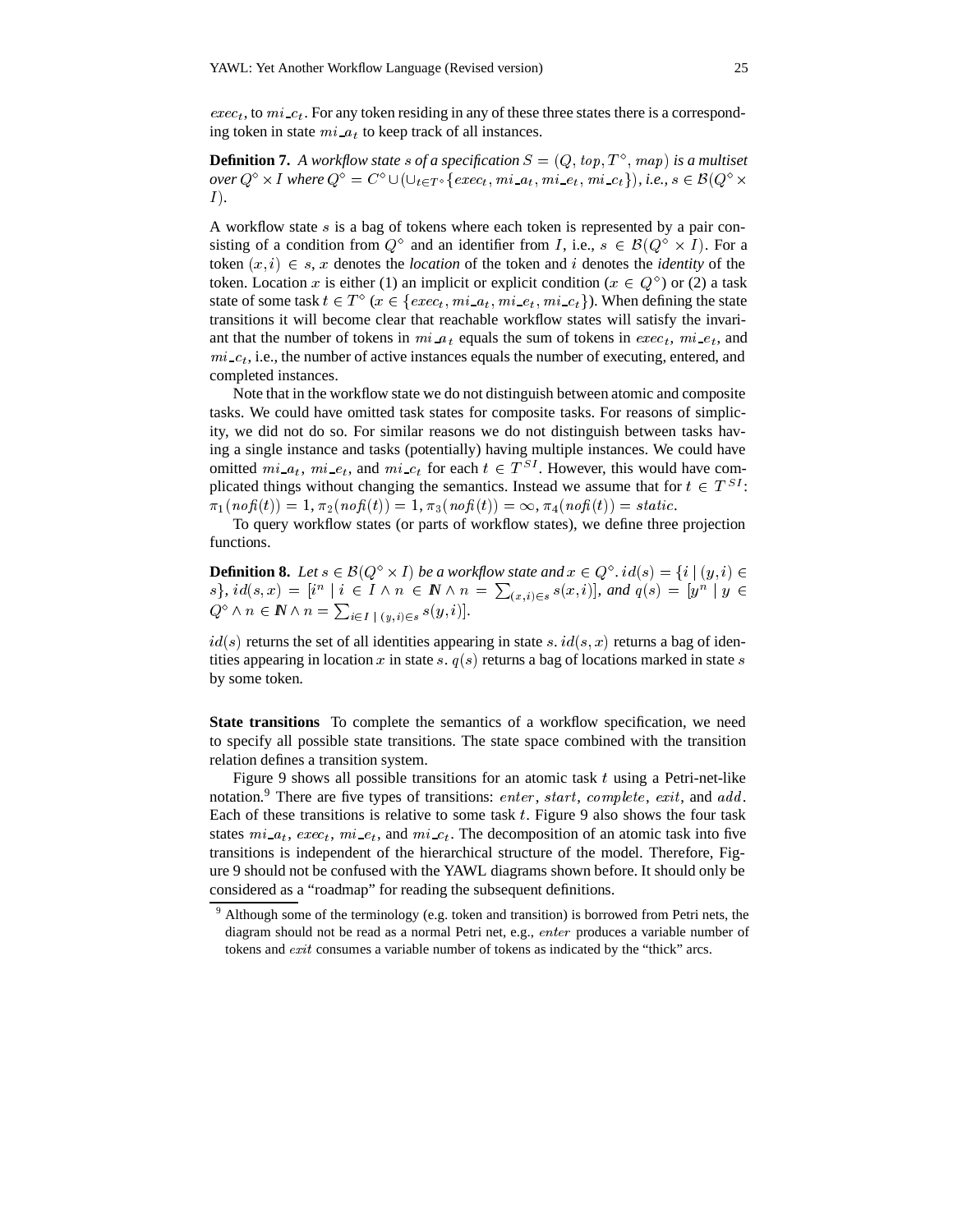$exec_t$ , to  $mi_c_t$ . For any token residing in any of these three states there is a corresponding token in state  $mi_a_t$  to keep track of all instances.

**Definition 7.** A workflow state s of a specification  $S = (Q, top, T^{\circ}, map)$  is a multiset  $over\,Q^{\circ}\times I$  where  $Q^{\circ}=C^{\circ}\cup(\cup_{t\in T^{\circ}}\{\mathit{exec}_{t},\mathit{mi\_a}_{t},\mathit{mi\_e}_{t},\mathit{mi\_c}_{t}\}),$  i.e.,  $s\in\mathcal{B}(Q^{\circ}\times I)$ *I*).

A workflow state  $s$  is a bag of tokens where each token is represented by a pair consisting of a condition from  $Q^{\circ}$  and an identifier from *I*, i.e.,  $s \in \mathcal{B}(Q^{\circ} \times I)$ . For a token  $(x, i) \in s$ , x denotes the *location* of the token and i denotes the *identity* of the token. Location x is either (1) an implicit or explicit condition ( $x \in Q^{\circ}$ ) or (2) a task state of some task  $t \in T^{\diamond}(x \in \{exec_t, mi_a_t, mi_e_t, mi_c_t\})$ . When defining the state transitions it will become clear that reachable workflow states will satisfy the invariant that the number of tokens in  $mi_a_t$  equals the sum of tokens in  $exec_t$ ,  $mi_e_t$ , and  $mi_c_t$ , i.e., the number of active instances equals the number of executing, entered, and completed instances.

Note that in the workflow state we do not distinguish between atomic and composite tasks. We could have omitted task states for composite tasks. For reasons of simplicity, we did not do so. For similar reasons we do not distinguish between tasks having a single instance and tasks (potentially) having multiple instances. We could have omitted  $mi_a t, mi_e t$ , and  $mi_c t$  for each  $t \in T^{SI}$ . However, this would have complicated things without changing the semantics. Instead we assume that for  $t \in T^{SI}$ :  $\pi_1(\mathit{nofi}(t)) = 1,\, \pi_2(\mathit{nofi}(t)) = 1,\, \pi_3(\mathit{nofi}(t)) = \infty,\, \pi_4(\mathit{nofi}(t)) = \mathit{static}.$ 

To query workflow states (or parts of workflow states), we define three projection functions.

**Definition 8.** Let  $s \in \mathcal{B}(Q^{\diamond} \times I)$  be a workflow state and  $x \in Q^{\diamond}$ .  $id(s) = \{i \mid (y, i) \in I\}$  $s$ ,  $id(s, x) = [i^n | i \in I \land n \in \mathbb{N} \land n = \sum_{(x, i) \in s} s(x, i)]$ , and  $q(s) = [y^n | y \in \mathbb{N}$  $Q^{\diamond} \wedge n \in \mathbb{N} \wedge n = \sum_{i \in I} \mathop{\downarrow} (n,i) \in s} s(y,i)$ .

 $id(s)$  returns the set of all identities appearing in state s.  $id(s, x)$  returns a bag of identities appearing in location x in state s.  $q(s)$  returns a bag of locations marked in state s by some token.

**State transitions** To complete the semantics of a workflow specification, we need to specify all possible state transitions. The state space combined with the transition relation defines a transition system.

Figure 9 shows all possible transitions for an atomic task  $t$  using a Petri-net-like notation.<sup>9</sup> There are five types of transitions: *enter*, *start*, *complete*, *exit*, and *add*. Each of these transitions is relative to some task  $t$ . Figure 9 also shows the four task states  $mi_a a_t$ ,  $exec_t$ ,  $mi_e a_t$ , and  $mi_e c_t$ . The decomposition of an atomic task into five transitions is independent of the hierarchical structure of the model. Therefore, Figure 9 should not be confused with the YAWL diagrams shown before. It should only be considered as a "roadmap" for reading the subsequent definitions.

<sup>9</sup> Although some of the terminology (e.g. token and transition) is borrowed from Petri nets, the diagram should not be read as a normal Petri net, e.g., *enter* produces a variable number of tokens and  $exit$  consumes a variable number of tokens as indicated by the "thick" arcs.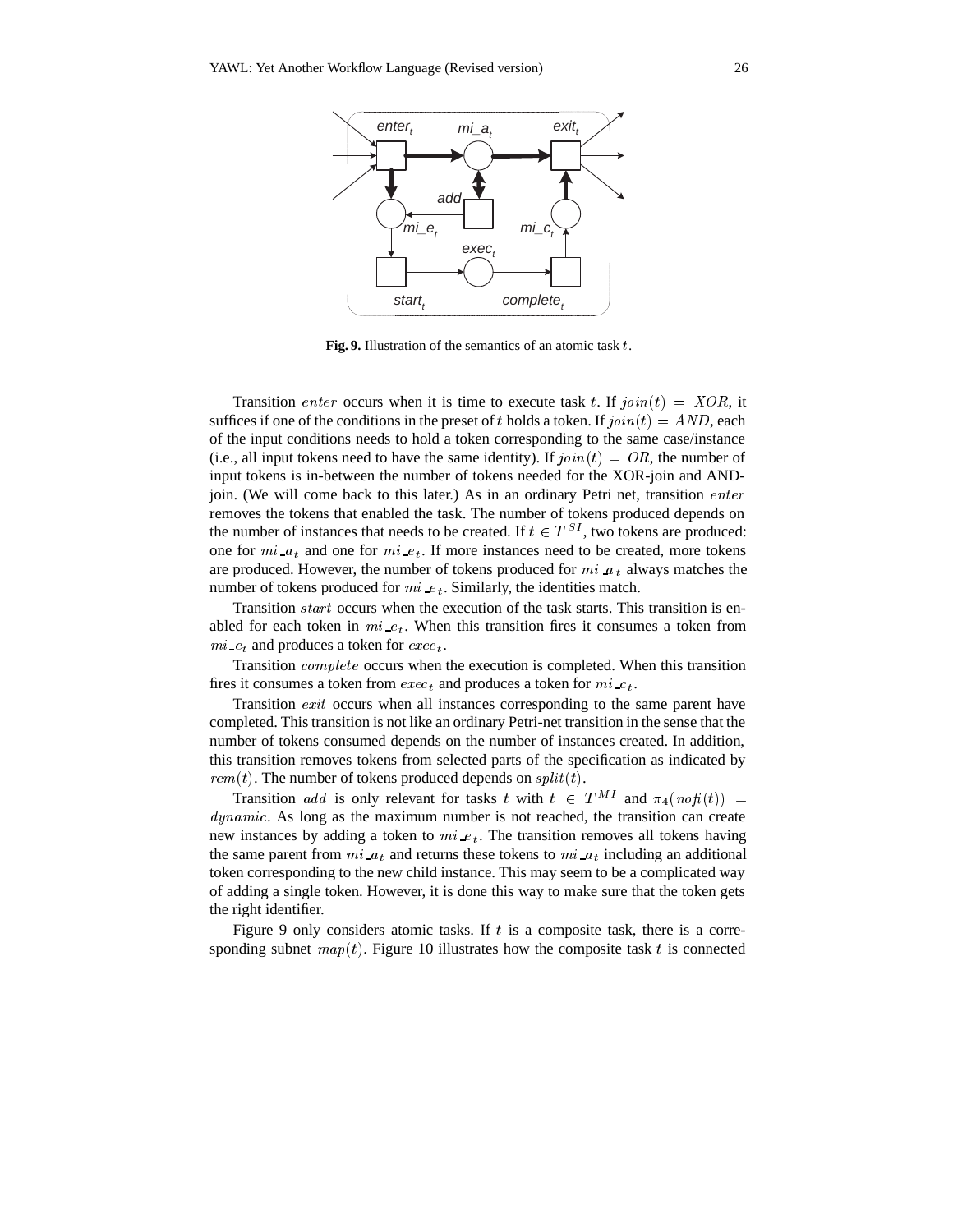

**Fig. 9.** Illustration of the semantics of an atomic task  $t$ .

Transition *enter* occurs when it is time to execute task t. If  $join(t) = XOR$ , it suffices if one of the conditions in the preset of t holds a token. If  $join(t) = AND$ , each of the input conditions needs to hold a token corresponding to the same case/instance (i.e., all input tokens need to have the same identity). If  $\delta \text{sin}(t) = \text{OR}$ , the number of input tokens is in-between the number of tokens needed for the XOR-join and ANDjoin. (We will come back to this later.) As in an ordinary Petri net, transition enter removes the tokens that enabled the task. The number of tokens produced depends on the number of instances that needs to be created. If  $t \in T^{SI}$ , two tokens are produced: one for  $mi_a_t$  and one for  $mi_e_t$ . If more instances need to be created, more tokens are produced. However, the number of tokens produced for  $mi_a a_t$  always matches the number of tokens produced for  $mi$   $e_t$ . Similarly, the identities match.

Transition  $start$  occurs when the execution of the task starts. This transition is enabled for each token in  $mi$ <sub>- $e_t$ </sub>. When this transition fires it consumes a token from  $mi\_e_t$  and produces a token for  $exec_t$ .

Transition *complete* occurs when the execution is completed. When this transition fires it consumes a token from  $exec_t$  and produces a token for  $mi$ <sub>-Ct</sub>.

Transition  $exit$  occurs when all instances corresponding to the same parent have completed. This transition is not like an ordinary Petri-net transition in the sense that the number of tokens consumed depends on the number of instances created. In addition, this transition removes tokens from selected parts of the specification as indicated by  $rem(t)$ . The number of tokens produced depends on  $split(t)$ .

Transition add is only relevant for tasks t with  $t \in T^{M}$  and  $\pi_4(n \circ f(t)) =$ dynamic. As long as the maximum number is not reached, the transition can create new instances by adding a token to  $mi$   $e_t$ . The transition removes all tokens having the same parent from  $mi_{a_t}$  and returns these tokens to  $mi_{a_t}$  including an additional token corresponding to the new child instance. This may seem to be a complicated way of adding a single token. However, it is done this way to make sure that the token gets the right identifier.

Figure 9 only considers atomic tasks. If  $t$  is a composite task, there is a corresponding subnet  $map(t)$ . Figure 10 illustrates how the composite task t is connected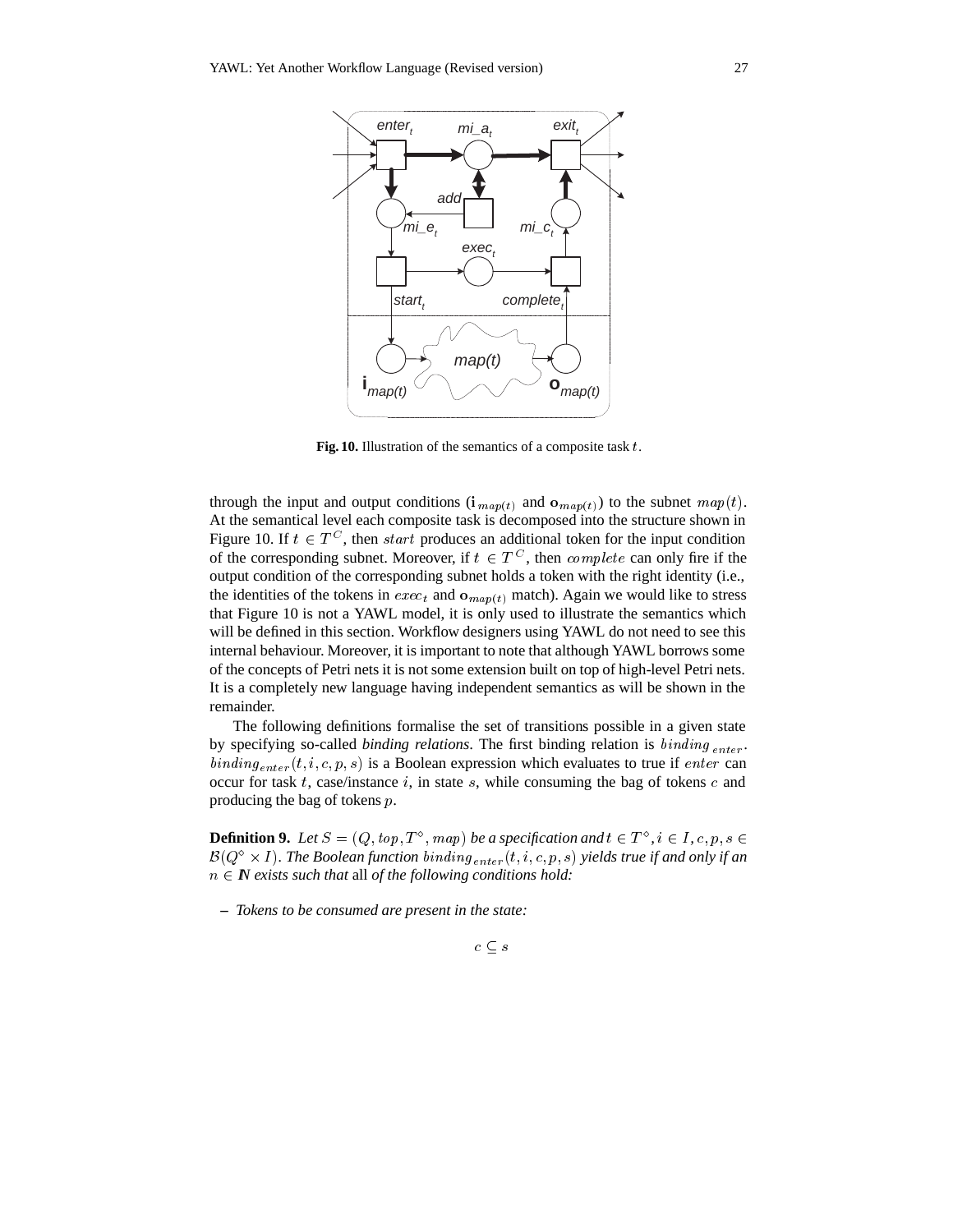

**Fig. 10.** Illustration of the semantics of a composite task t.

through the input and output conditions ( $\mathbf{i}_{map(t)}$  and  $\mathbf{o}_{map(t)}$ ) to the subnet  $map(t)$ . At the semantical level each composite task is decomposed into the structure shown in Figure 10. If  $t \in T^C$ , then start produces an additional token for the input condition of the corresponding subnet. Moreover, if  $t \in T^C$ , then *complete* can only fire if the output condition of the corresponding subnet holds a token with the right identity (i.e., the identities of the tokens in  $exec_t$  and  $o_{map(t)}$  match). Again we would like to stress that Figure 10 is not a YAWL model, it is only used to illustrate the semantics which will be defined in this section. Workflow designers using YAWL do not need to see this internal behaviour. Moreover, it is important to note that although YAWL borrows some of the concepts of Petri nets it is not some extension built on top of high-level Petri nets. It is a completely new language having independent semantics as will be shown in the remainder.

The following definitions formalise the set of transitions possible in a given state by specifying so-called *binding relations*. The first binding relation is  $\text{binding}_{enter}$ .  $binding_{enter}(t, i, c, p, s)$  is a Boolean expression which evaluates to true if *enter* can occur for task  $t$ , case/instance  $i$ , in state  $s$ , while consuming the bag of tokens  $c$  and producing the bag of tokens  $p$ .

**Definition 9.** Let  $S = (Q, top, T^{\diamond}, map)$  be a specification and  $t \in T^{\diamond}, i \in I, c, p, s \in I$  $\mathcal{B}(Q^\diamond \times I)$ . The Boolean function  $\mathit{binding}_{enter}(t,i,c,p,s)$  yields true if and only if an  $n \in \mathbb{N}$  exists such that all of the following conditions hold:

**–** *Tokens to be consumed are present in the state:*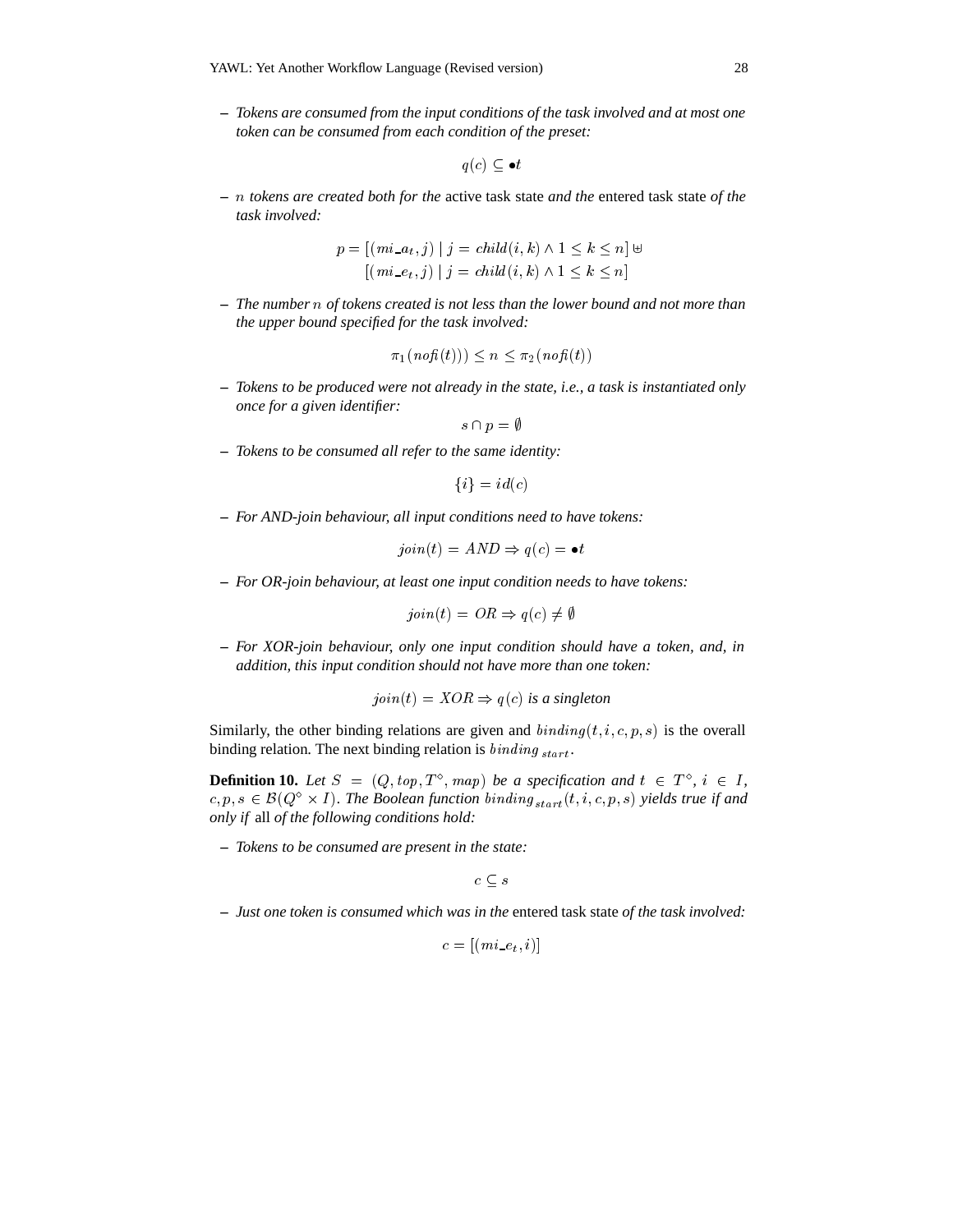**–** *Tokens are consumed from the input conditions of the task involved and at most one token can be consumed from each condition of the preset:*

$$
q(c) \subseteq \bullet t
$$

**–** - *tokens are created both for the* active task state *and the* entered task state *of the task involved:*

$$
p = [(mi_a, j) | j = child(i, k) \land 1 \le k \le n] \uplus
$$
  

$$
[(mi_e, j) | j = child(i, k) \land 1 \le k \le n]
$$

 $-$  The number  $n$  of tokens created is not less than the lower bound and not more than *the upper bound specified for the task involved:*

$$
\pi_1(nofi(t))) \le n \le \pi_2(nofi(t))
$$

**–** *Tokens to be produced were not already in the state, i.e., a task is instantiated only once for a given identifier:*

$$
s\cap p=\emptyset
$$

**–** *Tokens to be consumed all refer to the same identity:*

 -

**–** *For AND-join behaviour, all input conditions need to have tokens:*

$$
join(t) = AND \Rightarrow q(c) = \bullet t
$$

**–** *For OR-join behaviour, at least one input condition needs to have tokens:*

$$
join(t) = OR \Rightarrow q(c) \neq \emptyset
$$

**–** *For XOR-join behaviour, only one input condition should have a token, and, in addition, this input condition should not have more than one token:*

$$
join(t) = XOR \Rightarrow q(c)
$$
 is a singleton

Similarly, the other binding relations are given and  $binding(t, i, c, p, s)$  is the overall binding relation. The next binding relation is  $\text{binding}_{start}$ .

**Definition 10.** Let  $S = (Q, top, T^{\circ}, map)$  be a specification and  $t \in T^{\circ}, i \in I$ ,  $c, p, s \in \mathcal{B}(Q^{\diamond} \times I)$ . The Boolean function binding  $_{start}(t, i, c, p, s)$  yields true if and *only if* all *of the following conditions hold:*

**–** *Tokens to be consumed are present in the state:*

 $c\subset s$ 

**–** *Just one token is consumed which was in the* entered task state *of the task involved:*

$$
c = [(mi\_e_t, i)]
$$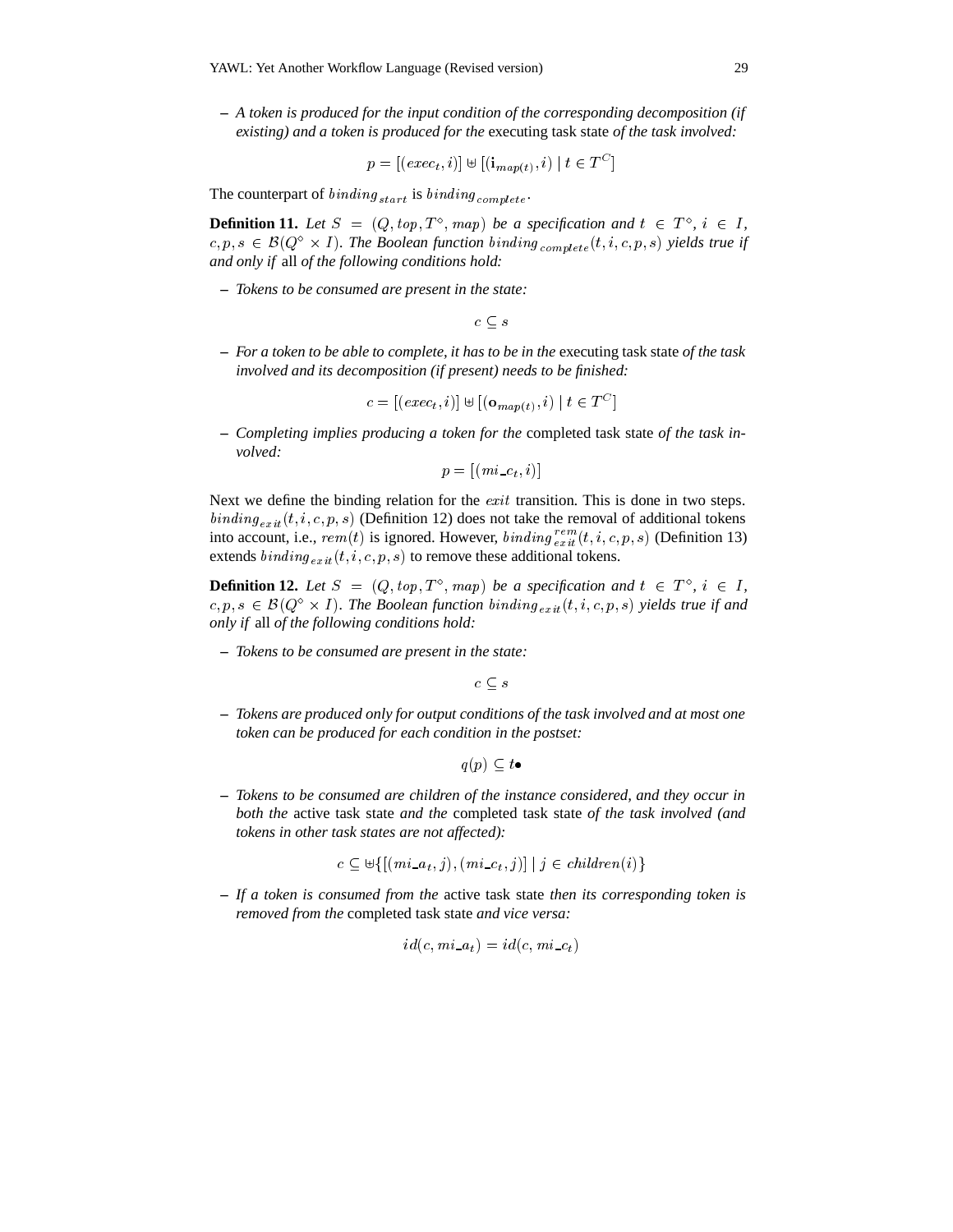**–** *A token is produced for the input condition of the corresponding decomposition (if existing) and a token is produced for the* executing task state *of the task involved:*

$$
p = [(exec_t, i)] \uplus [(i_{map(t)}, i) | t \in T^C]
$$

The counterpart of  $\text{binding}_{start}$  is  $\text{binding}_{complete}$ .

**Definition 11.** Let  $S = (Q, top, T^{\circ}, map)$  be a specification and  $t \in T^{\circ}, i \in I$ ,  $c, p, s \in \mathcal{B}(Q^{\circ} \times I)$ . The Boolean function binding  $_{complete}(t, i, c, p, s)$  yields true if *and only if* all *of the following conditions hold:*

**–** *Tokens to be consumed are present in the state:*

 $c \subseteq s$ *<u>All Contracts and All Contracts and All Contracts and All Contracts and All Contracts and All Contracts and All Contracts and All Contracts and All Contracts and All Contracts and All Contracts and All Contracts and All*</u>

**–** *For a token to be able to complete, it has to be in the* executing task state *of the task involved and its decomposition (if present) needs to be finished:*

$$
c = [(exec_t, i)] \uplus [(\mathbf{o}_{map(t)}, i)] \mid t \in T^C]
$$

**–** *Completing implies producing a token for the* completed task state *of the task involved:*

$$
p = [(mi_c, i)]
$$

Next we define the binding relation for the *exit* transition. This is done in two steps.  $binding_{exit}(t, i, c, p, s)$  (Definition 12) does not take the removal of additional tokens into account, i.e.,  $rem(t)$  is ignored. However,  $binding_{exit}^{rem}(t, i, c, p, s)$  (Definition 13) extends  $\text{binding}_{exit}(t, i, c, p, s)$  to remove these additional tokens.

**Definition 12.** Let  $S = (Q, top, T^{\circ}, map)$  be a specification and  $t \in T^{\circ}, i \in I$ ,  $c, p, s \in \mathcal{B}(Q^{\diamond} \times I)$ . The Boolean function binding  $_{exit}(t, i, c, p, s)$  yields true if and *only if* all *of the following conditions hold:*

**–** *Tokens to be consumed are present in the state:*

 $c\subseteq s$ 

**–** *Tokens are produced only for output conditions of the task involved and at most one token can be produced for each condition in the postset:*

$$
q(p) \subseteq t \bullet
$$

**–** *Tokens to be consumed are children of the instance considered, and they occur in both the* active task state *and the* completed task state *of the task involved (and tokens in other task states are not affected):*

- - ! - ! ! - -

**–** *If a token is consumed from the* active task state *then its corresponding token is removed from the* completed task state *and vice versa:*

$$
id(c, mi\_a_t) = id(c, mi\_c_t)
$$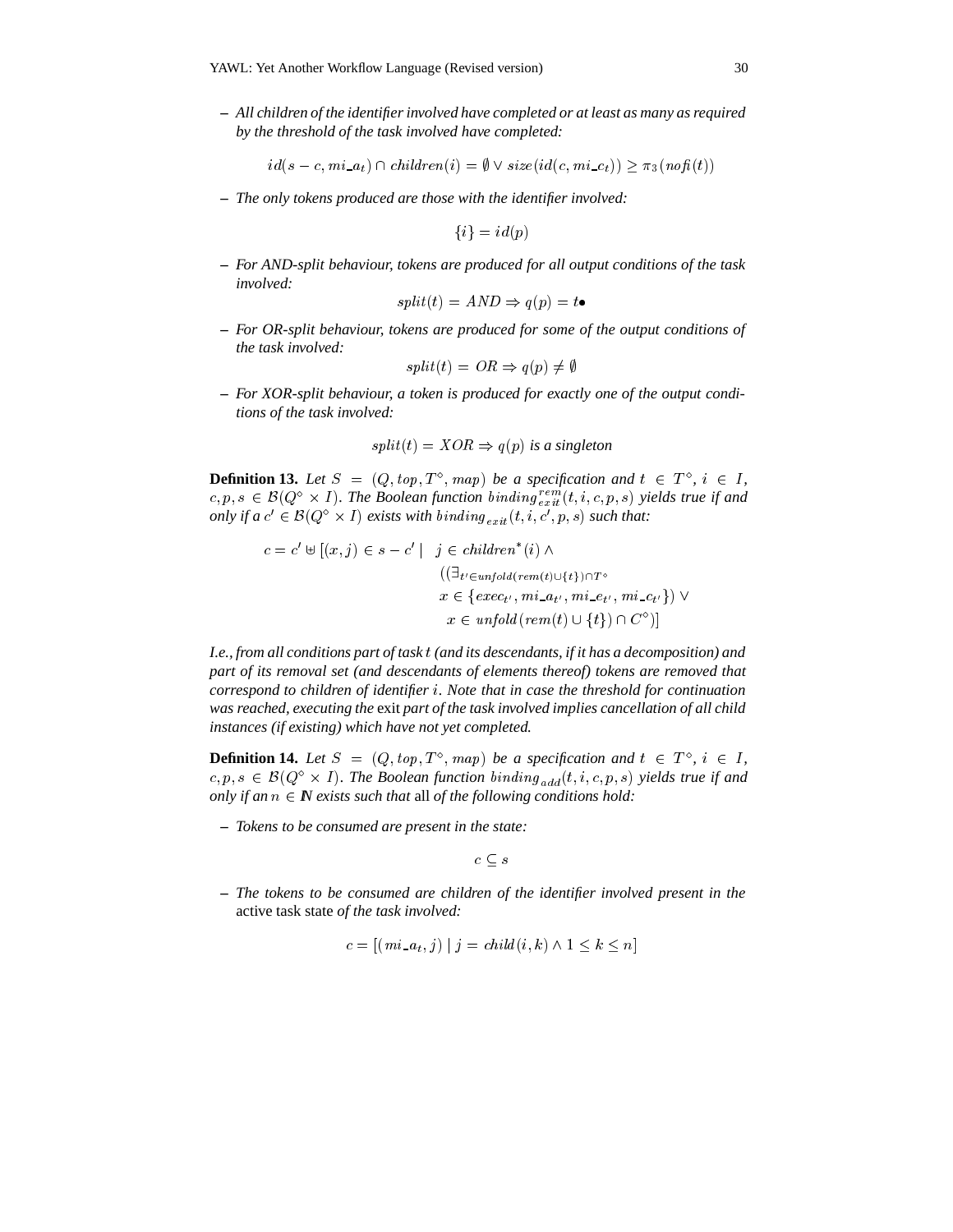**–** *All children of the identifier involved have completed or at least as many as required by the threshold of the task involved have completed:*

 $\mathcal{L}(\mathcal{L})$  is a substitute of  $\mathcal{L}(\mathcal{L})$  is a subset of  $\mathcal{L}(\mathcal{L})$  into  $\mathcal{L}(\mathcal{L})$  is a set of  $\mathcal{L}(\mathcal{L})$  is a set of  $\mathcal{L}(\mathcal{L})$  is a set of  $\mathcal{L}(\mathcal{L})$  is a set of  $\mathcal{L}(\mathcal{L})$  is a set of  $\$ 

**–** *The only tokens produced are those with the identifier involved:*

 -(

**–** *For AND-split behaviour, tokens are produced for all output conditions of the task involved:*

$$
split(t) = AND \Rightarrow q(p) = t \bullet
$$

**–** *For OR-split behaviour, tokens are produced for some of the output conditions of the task involved:*

$$
split(t) = OR \Rightarrow q(p) \neq \emptyset
$$

**–** *For XOR-split behaviour, a token is produced for exactly one of the output conditions of the task involved:*

$$
split(t) = XOR \Rightarrow q(p)
$$
 is a singleton

**Definition 13.** Let  $S = (Q, top, T^{\circ}, map)$  be a specification and  $t \in T^{\circ}, i \in I$ ,  $c, p, s \in \mathcal{B}(Q^{\diamond} \times I)$ . The Boolean function binding  $_{exit}^{rem}(t, i, c, p, s)$  yields true if and *only if a*  $c' \in B(Q^{\circ} \times I)$  exists with  $\text{binding}_{exit}(t, i, c', p, s)$  such that:

$$
c = c' \uplus [(x, j) \in s - c'] \quad j \in children^*(i) \land
$$
  

$$
((\exists_{t' \in unfold(rem(t) \cup \{t\}) \cap T^{\diamond}}x \in \{exec_{t'}, mi\_a_{t'}, mi\_e_{t'}, mi\_c_{t'}\}) \lor
$$
  

$$
x \in unfold(rem(t) \cup \{t\}) \cap C^{\diamond})]
$$

*I.e., from all conditions part of task (and its descendants, if it has a decomposition) and part of its removal set (and descendants of elements thereof) tokens are removed that correspond to children of identifier . Note that in case the threshold for continuation was reached, executing the* exit *part of the task involved implies cancellation of all child instances (if existing) which have not yet completed.*

**Definition 14.** Let  $S = (Q, top, T^{\circ}, map)$  be a specification and  $t \in T^{\circ}, i \in I$ ,  $c, p, s \in \mathcal{B}(Q^{\diamond} \times I)$ . The Boolean function  $\text{binding}_{add}(t, i, c, p, s)$  yields true if and *only if an*  $n \in \mathbb{N}$  exists such that all of the following conditions hold:

**–** *Tokens to be consumed are present in the state:*

 $c \subseteq s$ 

**–** *The tokens to be consumed are children of the identifier involved present in the* active task state *of the task involved:*

$$
c = [(mi_a, j) | j = child(i, k) \land 1 \le k \le n]
$$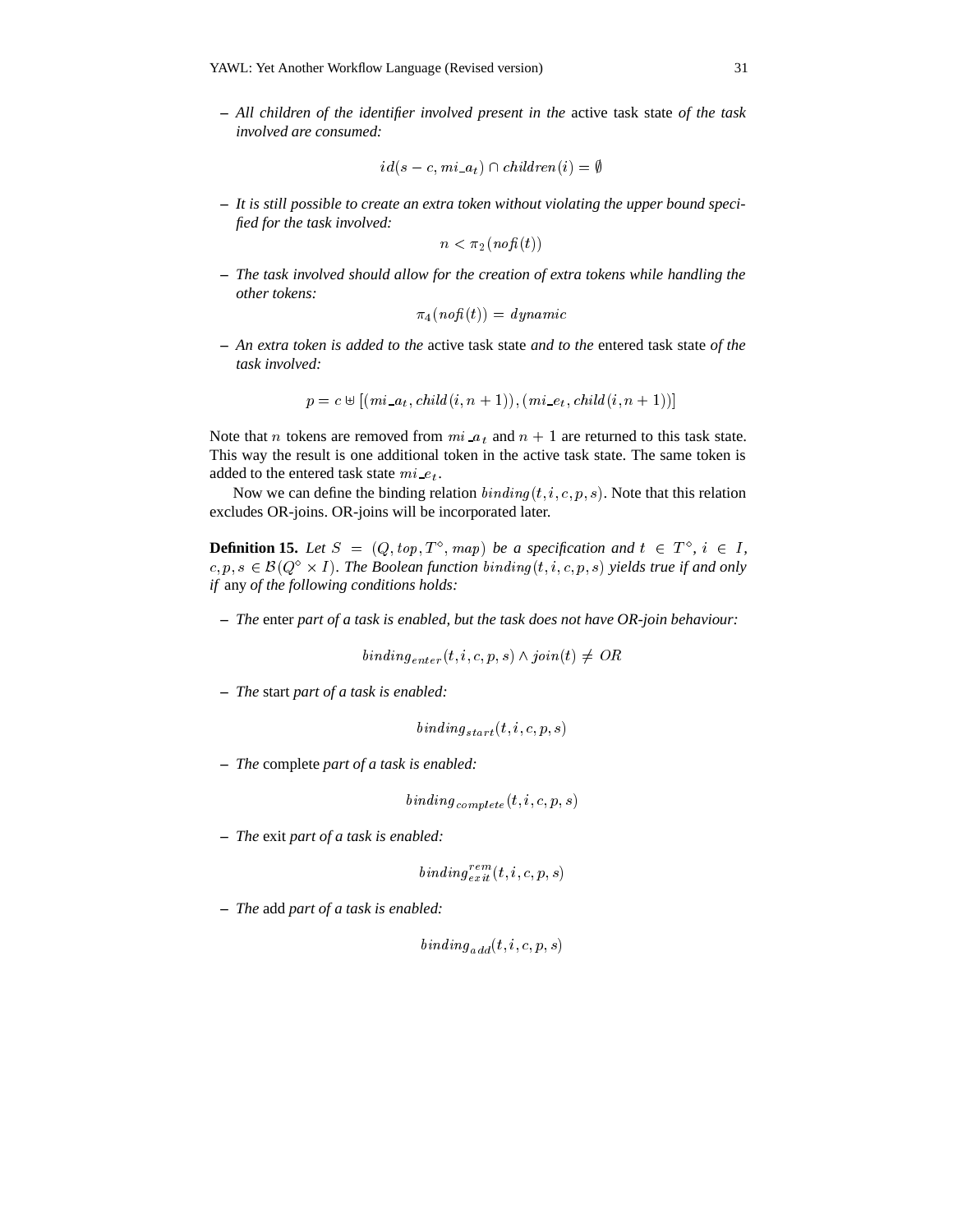**–** *All children of the identifier involved present in the* active task state *of the task involved are consumed:*

$$
id(s-c, mi_a_t) \cap children(i) = \emptyset
$$

**–** *It is still possible to create an extra token without violating the upper bound specified for the task involved:*

- 
- -

**–** *The task involved should allow for the creation of extra tokens while handling the other tokens:*

$$
\pi_4(nofi(t)) = dynamic
$$

**–** *An extra token is added to the* active task state *and to the* entered task state *of the task involved:*

$$
p = c \uplus [(mi_a_t, child(i, n+1)), (mi_e_t, child(i, n+1))]
$$

Note that *n* tokens are removed from  $mi_a a_t$  and  $n + 1$  are returned to this task state. This way the result is one additional token in the active task state. The same token is added to the entered task state  $mi$ <sub>- $e_t$ </sub>.

Now we can define the binding relation  $\text{binding}(t, i, c, p, s)$ . Note that this relation excludes OR-joins. OR-joins will be incorporated later.

**Definition 15.** Let  $S = (Q, top, T^{\circ}, map)$  be a specification and  $t \in T^{\circ}, i \in I$ ,  $c, p, s \in \mathcal{B}(Q^{\diamond} \times I)$ . The Boolean function  $\text{binding}(t, i, c, p, s)$  yields true if and only *if* any *of the following conditions holds:*

**–** *The* enter *part of a task is enabled, but the task does not have OR-join behaviour:*

 $\mathcal{L}$  .  $\mathcal{L}$  and  $\mathcal{L}$  and  $\mathcal{L}$  are  $\mathcal{L}$  ,  $\mathcal{L}$  ,  $\mathcal{L}$  ,  $\mathcal{L}$  ,  $\mathcal{L}$  ,  $\mathcal{L}$  ,  $\mathcal{L}$  ,  $\mathcal{L}$  ,  $\mathcal{L}$  ,  $\mathcal{L}$  ,  $\mathcal{L}$  ,  $\mathcal{L}$  ,  $\mathcal{L}$  ,  $\mathcal{L}$  ,  $\mathcal{L}$  ,  $\mathcal{L$ 

**–** *The* start *part of a task is enabled:*

$$
binding_{start}(t, i, c, p, s)
$$

**–** *The* complete *part of a task is enabled:*

$$
binding_{\it complete}(t,i,c,p,s)
$$

**–** *The* exit *part of a task is enabled:*

$$
\textit{binding}_{exit}^{\, rem}(t,i,c,p,s)
$$

**–** *The* add *part of a task is enabled:*

$$
binding_{add}(t,i,c,p,s)
$$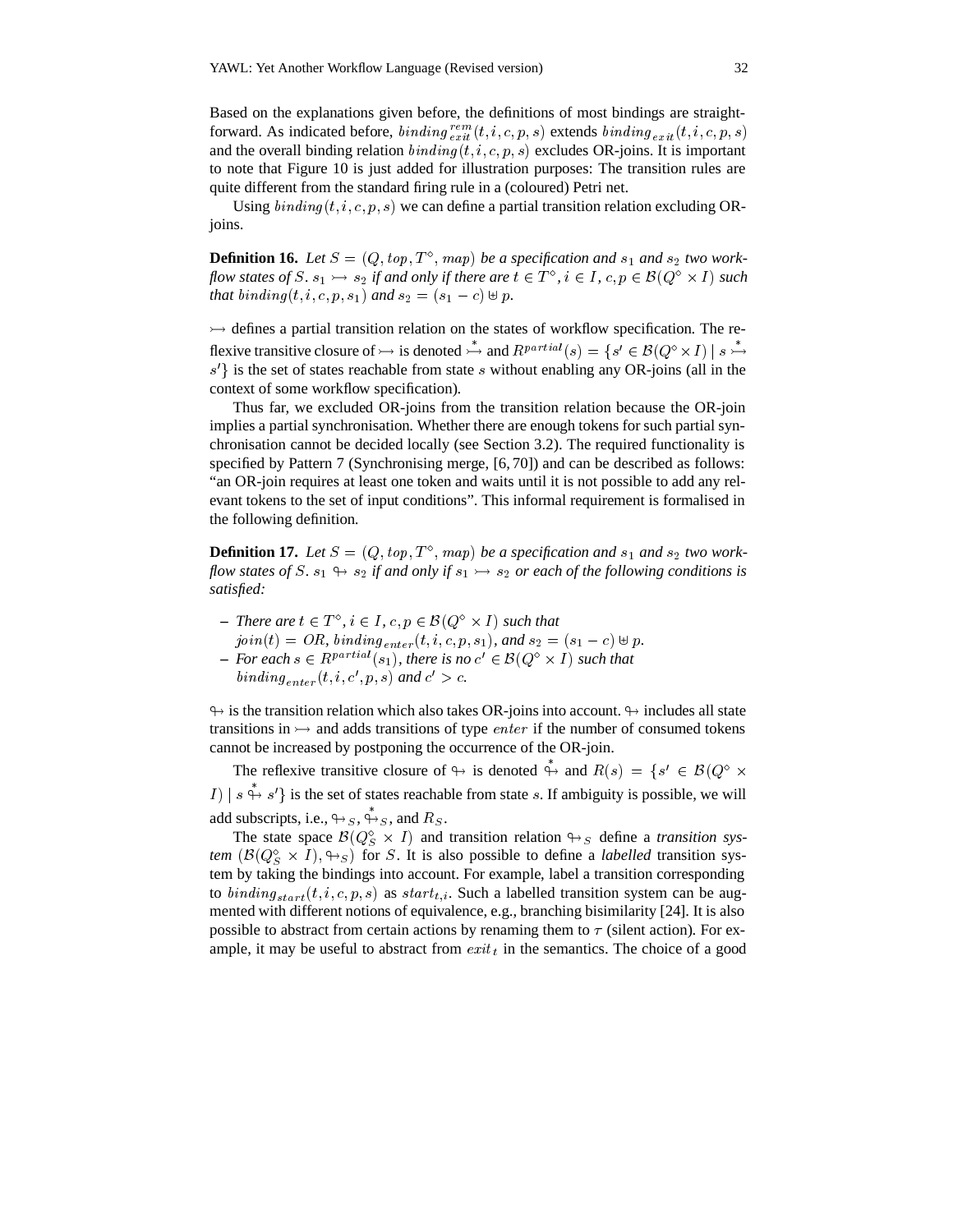Based on the explanations given before, the definitions of most bindings are straightforward. As indicated before,  $\text{binding}_{exit}^{rem}(t, i, c, p, s)$  extends  $\text{binding}_{exit}(t, i, c, p, s)$ and the overall binding relation  $\text{binding}(t, i, c, p, s)$  excludes OR-joins. It is important to note that Figure 10 is just added for illustration purposes: The transition rules are quite different from the standard firing rule in a (coloured) Petri net.

Using  $\text{binding}(t, i, c, p, s)$  we can define a partial transition relation excluding ORjoins.

**Definition 16.** Let  $S = (Q, top, T^{\circ}, map)$  be a specification and  $s_1$  and  $s_2$  two work*flow states of S.*  $s_1 \rightarrowtail s_2$  *if and only if there are*  $t \in T^{\circ}$ *,*  $i \in I$ *,*  $c, p \in \mathcal{B}(Q^{\circ} \times I)$  *such that*  $binding(t, i, c, p, s_1)$  and  $s_2 = (s_1 - c) \oplus p$ .

 $\rightarrow$  defines a partial transition relation on the states of workflow specification. The reflexive transitive closure of  $\rightarrow$  is denoted  $\rightarrow$  and  $R^{partial}(s) = \{s' \in \mathcal{B}(Q^{\diamond} \times I) \mid s \rightarrow$  $s'$  is the set of states reachable from state s without enabling any OR-joins (all in the context of some workflow specification).

Thus far, we excluded OR-joins from the transition relation because the OR-join implies a partial synchronisation. Whether there are enough tokens for such partial synchronisation cannot be decided locally (see Section 3.2). The required functionality is specified by Pattern 7 (Synchronising merge, [6, 70]) and can be described as follows: "an OR-join requires at least one token and waits until it is not possible to add any relevant tokens to the set of input conditions". This informal requirement is formalised in the following definition.

**Definition 17.** Let  $S = (Q, top, T^{\circ}, map)$  be a specification and  $s_1$  and  $s_2$  two work*flow states of S*.  $s_1 \leftrightarrow s_2$  *if and only if*  $s_1 \rightarrow s_2$  *or each of the following conditions is satisfied:*

- $-$  *There are*  $t \in T^{\diamond}$ ,  $i \in I$ ,  $c, p \in \mathcal{B}(Q^{\diamond} \times I)$  *such that*
- $\begin{aligned} \textit{join}(t) = \textit{OR}, \ \textit{binding}_{enter}(t, i, c, p, s_1), \ \textit{and}\ s_2 = (s_1 c) \uplus p. \end{aligned}$
- $-$  *For each*  $s \in R^{partial}(s_1)$ , there is no  $c' \in B(Q^{\diamond} \times I)$  such that  $\binom{binding}_{enter}(t, i, c', p, s)$  and  $c' > c$ .

 $\rightarrow$  is the transition relation which also takes OR-joins into account.  $\rightarrow$  includes all state transitions in  $\rightarrow$  and adds transitions of type *enter* if the number of consumed tokens cannot be increased by postponing the occurrence of the OR-join.

The reflexive transitive closure of  $\leftrightarrow$  is denoted  $\leftrightarrow$  and  $R(s) = \{s' \in B(Q^{\circ} \times$  $I(|s \leftrightarrow s'|)$  is the set of states reachable from state s. If ambiguity is possible, we will add subscripts, i.e.,  $\leftrightarrow_S$ ,  $\leftrightarrow_S$ , and  $R_S$ .

The state space  $\mathcal{B}(Q_S^{\diamond} \times I)$  and transition relation  $\Theta_{S}$  define a *transition system*  $(B(Q_S^{\diamond} \times I), \rightarrow_S)$  for S. It is also possible to define a *labelled* transition system by taking the bindings into account. For example, label a transition corresponding to  $\text{binding}_{start}(t, i, c, p, s)$  as  $\text{start}_{t,i}$ . Such a labelled transition system can be augmented with different notions of equivalence, e.g., branching bisimilarity [24]. It is also possible to abstract from certain actions by renaming them to  $\tau$  (silent action). For example, it may be useful to abstract from  $\, evit_t$  in the semantics. The choice of a good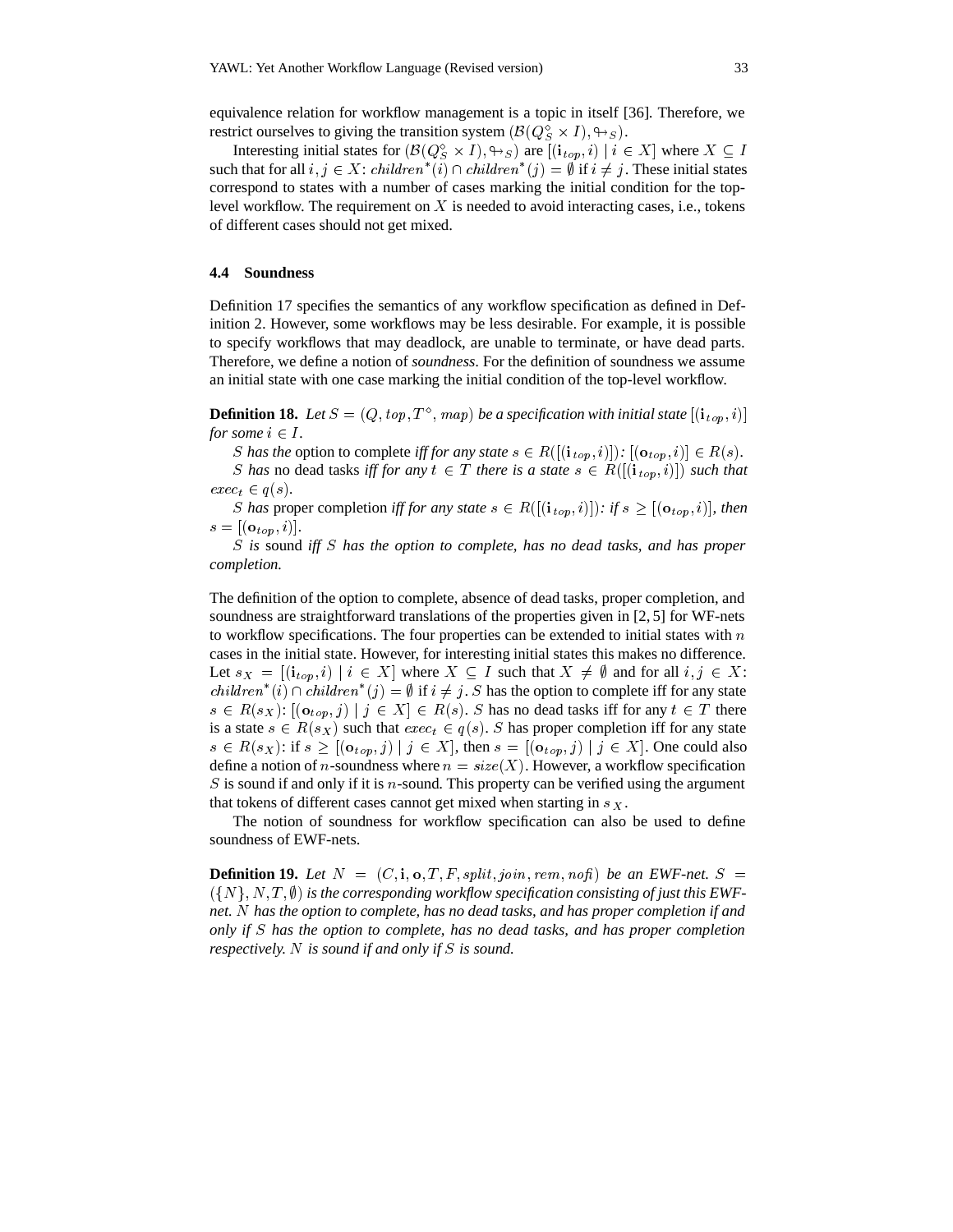equivalence relation for workflow management is a topic in itself [36]. Therefore, we restrict ourselves to giving the transition system  $(\mathcal{B}(Q_S^{\diamond}\times I), \looparrowright_S)$ .

Interesting initial states for  $(\mathcal{B}(Q_S^{\circ} \times I), \looparrowright_S)$  are  $[(i_{top}, i) | i \in X]$  where  $X \subseteq I$ such that for all  $i, j \in X$ :  $children^*(i) \cap children^*(j) = \emptyset$  if  $i \neq j$ . These initial states correspond to states with a number of cases marking the initial condition for the toplevel workflow. The requirement on  $X$  is needed to avoid interacting cases, i.e., tokens of different cases should not get mixed.

#### **4.4 Soundness**

Definition 17 specifies the semantics of any workflow specification as defined in Definition 2. However, some workflows may be less desirable. For example, it is possible to specify workflows that may deadlock, are unable to terminate, or have dead parts. Therefore, we define a notion of *soundness*. For the definition of soundness we assume an initial state with one case marking the initial condition of the top-level workflow.

**Definition 18.** Let  $S = (Q, top, T^{\diamond}, map)$  be a specification with initial state  $[(i_{top}, i)]$ *for some*  $i \in I$ .

S has the option to complete *iff for any state*  $s \in R([({\bf i}_{top}, i])$ :  $[({\bf o}_{top}, i)] \in R(s)$ .

S has no dead tasks *iff for any*  $t \in T$  there is a state  $s \in R([(\mathbf{i}_{top}, i)])$  such that  $exec_t \in q(s)$ .

S has proper completion *iff for any state*  $s \in R([[i_{top}, i)]):$  *if*  $s \geq [(\mathbf{o}_{top}, i)]$ , then  $s = [({\bf o}_{top}, i)].$ 

 *is* sound *iff has the option to complete, has no dead tasks, and has proper completion.*

The definition of the option to complete, absence of dead tasks, proper completion, and soundness are straightforward translations of the properties given in [2, 5] for WF-nets to workflow specifications. The four properties can be extended to initial states with  $n$ cases in the initial state. However, for interesting initial states this makes no difference. Let  $s_X = [(\mathbf{i}_{top}, i) \mid i \in X]$  where  $X \subseteq I$  such that  $X \neq \emptyset$  and for all  $i, j \in X$ : *children*<sup>\*</sup>(*i*)  $\cap$  *children*<sup>\*</sup>(*j*) =  $\emptyset$  if  $i \neq j$ . *S* has the option to complete iff for any state  $s \in R(s_X)$ :  $[(\mathbf{o}_{t \circ p}, j) \mid j \in X] \in R(s)$ . S has no dead tasks iff for any  $t \in T$  there is a state  $s \in R(s_X)$  such that  $exec_t \in q(s)$ . S has proper completion iff for any state  $s \in R(s_X)$ : if  $s \geq [(\mathbf{o}_{top}, j) | j \in X]$ , then  $s = [(\mathbf{o}_{top}, j) | j \in X]$ . One could also define a notion of *n*-soundness where  $n = size(X)$ . However, a workflow specification  $S$  is sound if and only if it is *n*-sound. This property can be verified using the argument that tokens of different cases cannot get mixed when starting in  $s<sub>X</sub>$ .

The notion of soundness for workflow specification can also be used to define soundness of EWF-nets.

**Definition 19.** Let  $N = (C, \mathbf{i}, \mathbf{o}, T, F, split, join, rem, nofi)$  be an EWF-net.  $S =$  $(\{N\}, N, T, \emptyset)$  is the corresponding workflow specification consisting of just this EWF*net. has the option to complete, has no dead tasks, and has proper completion if and only if has the option to complete, has no dead tasks, and has proper completion respectively. is sound if and only if is sound.*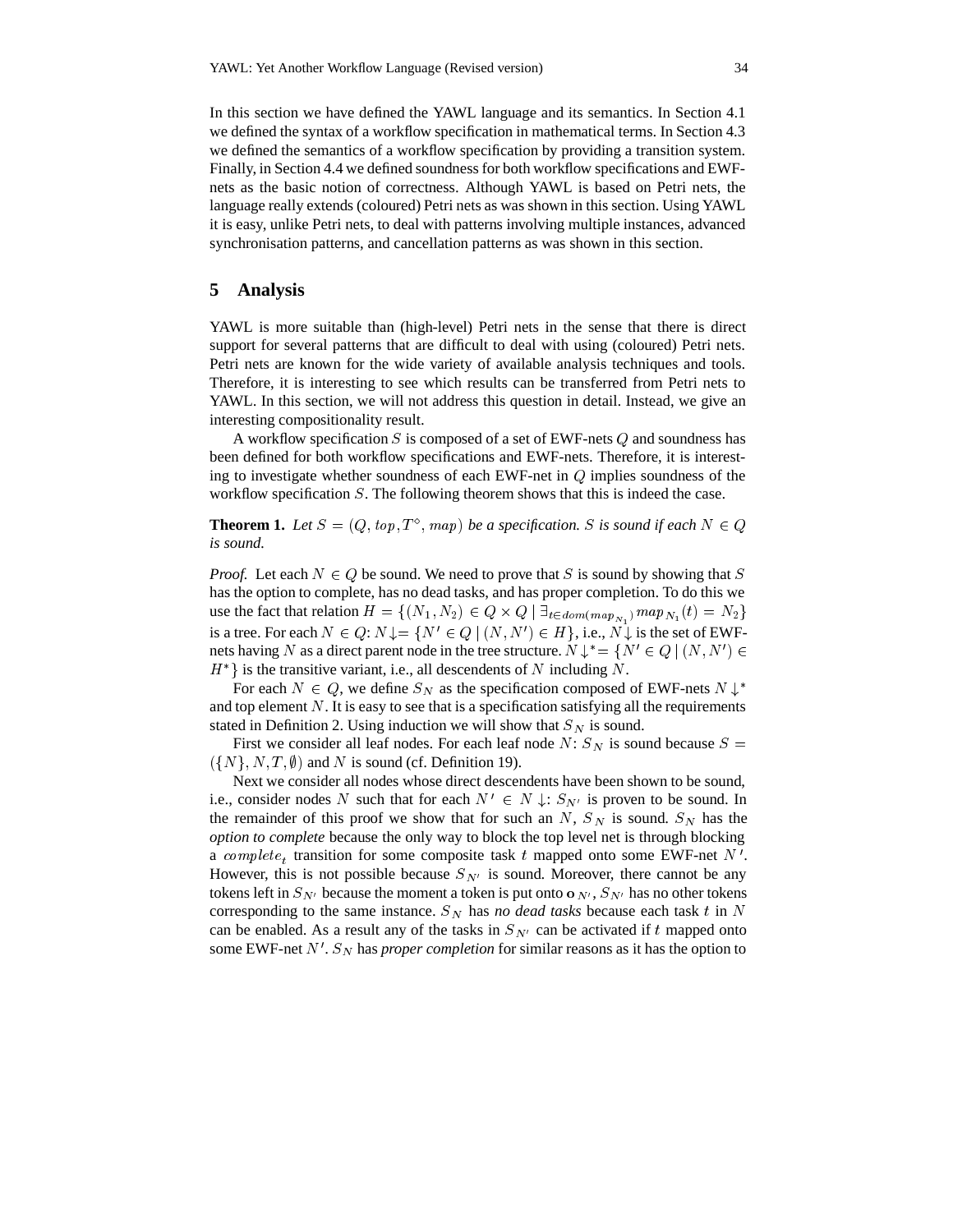In this section we have defined the YAWL language and its semantics. In Section 4.1 we defined the syntax of a workflow specification in mathematical terms. In Section 4.3 we defined the semantics of a workflow specification by providing a transition system. Finally, in Section 4.4 we defined soundness for both workflow specifications and EWFnets as the basic notion of correctness. Although YAWL is based on Petri nets, the language really extends (coloured) Petri nets as was shown in this section. Using YAWL it is easy, unlike Petri nets, to deal with patterns involving multiple instances, advanced synchronisation patterns, and cancellation patterns as was shown in this section.

# **5 Analysis**

YAWL is more suitable than (high-level) Petri nets in the sense that there is direct support for several patterns that are difficult to deal with using (coloured) Petri nets. Petri nets are known for the wide variety of available analysis techniques and tools. Therefore, it is interesting to see which results can be transferred from Petri nets to YAWL. In this section, we will not address this question in detail. Instead, we give an interesting compositionality result.

A workflow specification S is composed of a set of EWF-nets  $Q$  and soundness has been defined for both workflow specifications and EWF-nets. Therefore, it is interesting to investigate whether soundness of each EWF-net in  $Q$  implies soundness of the workflow specification  $S$ . The following theorem shows that this is indeed the case.

**Theorem 1.** Let  $S = (Q, top, T^{\circ}, map)$  be a specification. S is sound if each  $N \in Q$ *is sound.*

*Proof.* Let each  $N \in Q$  be sound. We need to prove that S is sound by showing that S has the option to complete, has no dead tasks, and has proper completion. To do this we use the fact that relation  $H = \{(N_1, N_2) \in Q \times Q \mid \exists_{t \in dom(map_{N_1})} map_{N_1}(t) = N_2\}$ is a tree. For each  $N \in Q$ :  $N \downarrow = \{ N' \in Q \mid (N, N') \in H \}$ , i.e.,  $N \downarrow$  is the set of EWFnets having N as a direct parent node in the tree structure.  $N \downarrow^* = \{ N' \in Q \mid (N, N') \in$  $H^*$  is the transitive variant, i.e., all descendents of N including N.

For each  $N \in Q$ , we define  $S_N$  as the specification composed of EWF-nets  $N \downarrow^*$ and top element  $N$ . It is easy to see that is a specification satisfying all the requirements stated in Definition 2. Using induction we will show that  $S_N$  is sound.

First we consider all leaf nodes. For each leaf node  $N: S<sub>N</sub>$  is sound because  $S =$  $({N}, N, T, \emptyset)$  and N is sound (cf. Definition 19).

Next we consider all nodes whose direct descendents have been shown to be sound, i.e., consider nodes N such that for each  $N' \in N \downarrow$ :  $S_{N'}$  is proven to be sound. In the remainder of this proof we show that for such an  $N$ ,  $S_N$  is sound.  $S_N$  has the *option to complete* because the only way to block the top level net is through blocking a complete<sub>t</sub> transition for some composite task t mapped onto some EWF-net N'. However, this is not possible because  $S_{N'}$  is sound. Moreover, there cannot be any tokens left in  $S_{N'}$  because the moment a token is put onto  $\mathbf{o}_{N'}, S_{N'}$  has no other tokens corresponding to the same instance.  $S_N$  has *no dead tasks* because each task  $t$  in  $N$ can be enabled. As a result any of the tasks in  $S_{N'}$  can be activated if t mapped onto some EWF-net  $N'$ .  $S_N$  has *proper completion* for similar reasons as it has the option to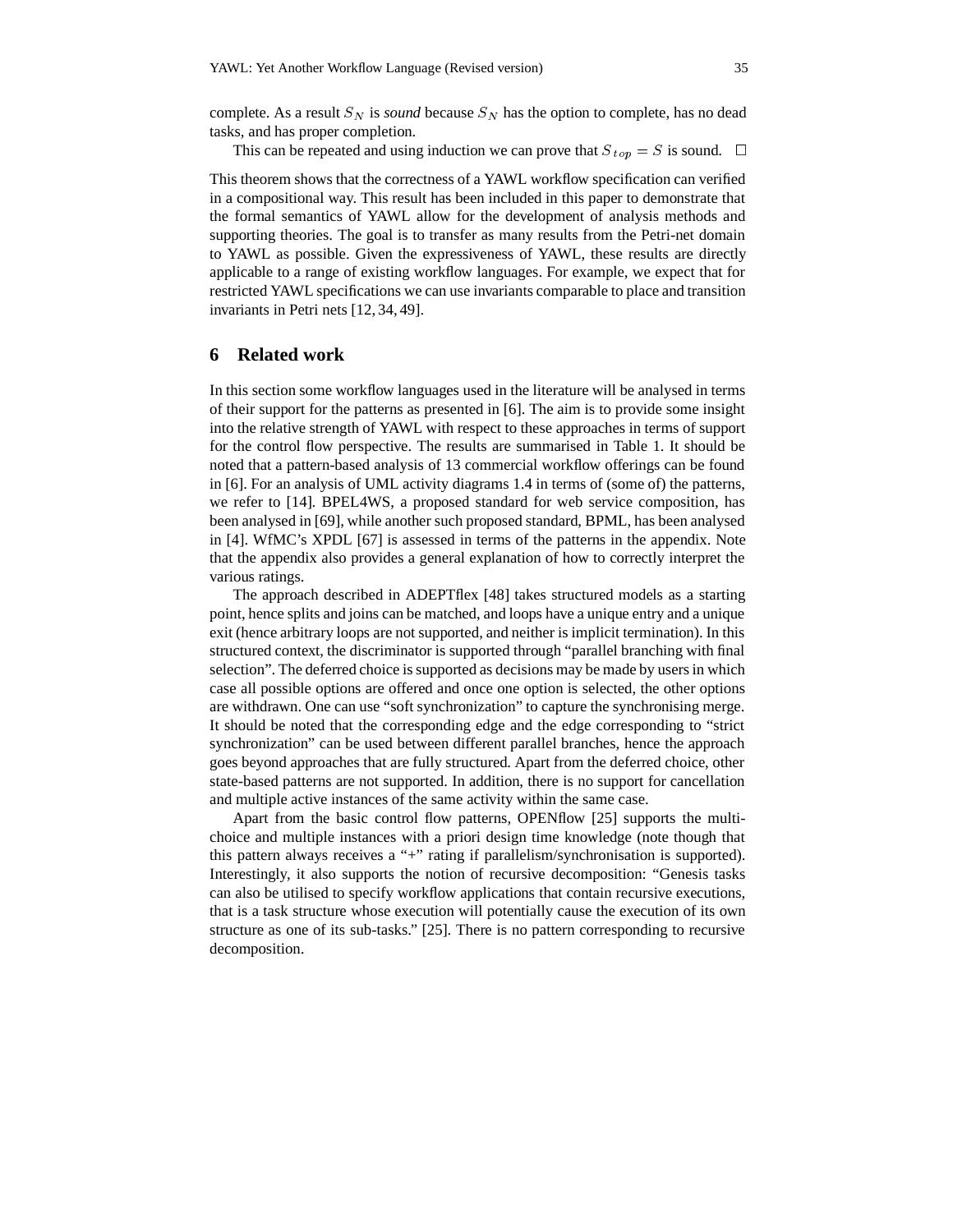complete. As a result  $S_N$  is *sound* because  $S_N$  has the option to complete, has no dead tasks, and has proper completion.

This can be repeated and using induction we can prove that  $S_{top} = S$  is sound.  $\Box$ 

This theorem shows that the correctness of a YAWL workflow specification can verified in a compositional way. This result has been included in this paper to demonstrate that the formal semantics of YAWL allow for the development of analysis methods and supporting theories. The goal is to transfer as many results from the Petri-net domain to YAWL as possible. Given the expressiveness of YAWL, these results are directly applicable to a range of existing workflow languages. For example, we expect that for restricted YAWL specifications we can use invariants comparable to place and transition invariants in Petri nets [12, 34, 49].

### **6 Related work**

In this section some workflow languages used in the literature will be analysed in terms of their support for the patterns as presented in [6]. The aim is to provide some insight into the relative strength of YAWL with respect to these approaches in terms of support for the control flow perspective. The results are summarised in Table 1. It should be noted that a pattern-based analysis of 13 commercial workflow offerings can be found in [6]. For an analysis of UML activity diagrams 1.4 in terms of (some of) the patterns, we refer to [14]. BPEL4WS, a proposed standard for web service composition, has been analysed in [69], while another such proposed standard, BPML, has been analysed in [4]. WfMC's XPDL [67] is assessed in terms of the patterns in the appendix. Note that the appendix also provides a general explanation of how to correctly interpret the various ratings.

The approach described in ADEPTflex [48] takes structured models as a starting point, hence splits and joins can be matched, and loops have a unique entry and a unique exit (hence arbitrary loops are not supported, and neither is implicit termination). In this structured context, the discriminator is supported through "parallel branching with final selection". The deferred choice is supported as decisions may be made by users in which case all possible options are offered and once one option is selected, the other options are withdrawn. One can use "soft synchronization" to capture the synchronising merge. It should be noted that the corresponding edge and the edge corresponding to "strict synchronization" can be used between different parallel branches, hence the approach goes beyond approaches that are fully structured. Apart from the deferred choice, other state-based patterns are not supported. In addition, there is no support for cancellation and multiple active instances of the same activity within the same case.

Apart from the basic control flow patterns, OPENflow [25] supports the multichoice and multiple instances with a priori design time knowledge (note though that this pattern always receives a "+" rating if parallelism/synchronisation is supported). Interestingly, it also supports the notion of recursive decomposition: "Genesis tasks can also be utilised to specify workflow applications that contain recursive executions, that is a task structure whose execution will potentially cause the execution of its own structure as one of its sub-tasks." [25]. There is no pattern corresponding to recursive decomposition.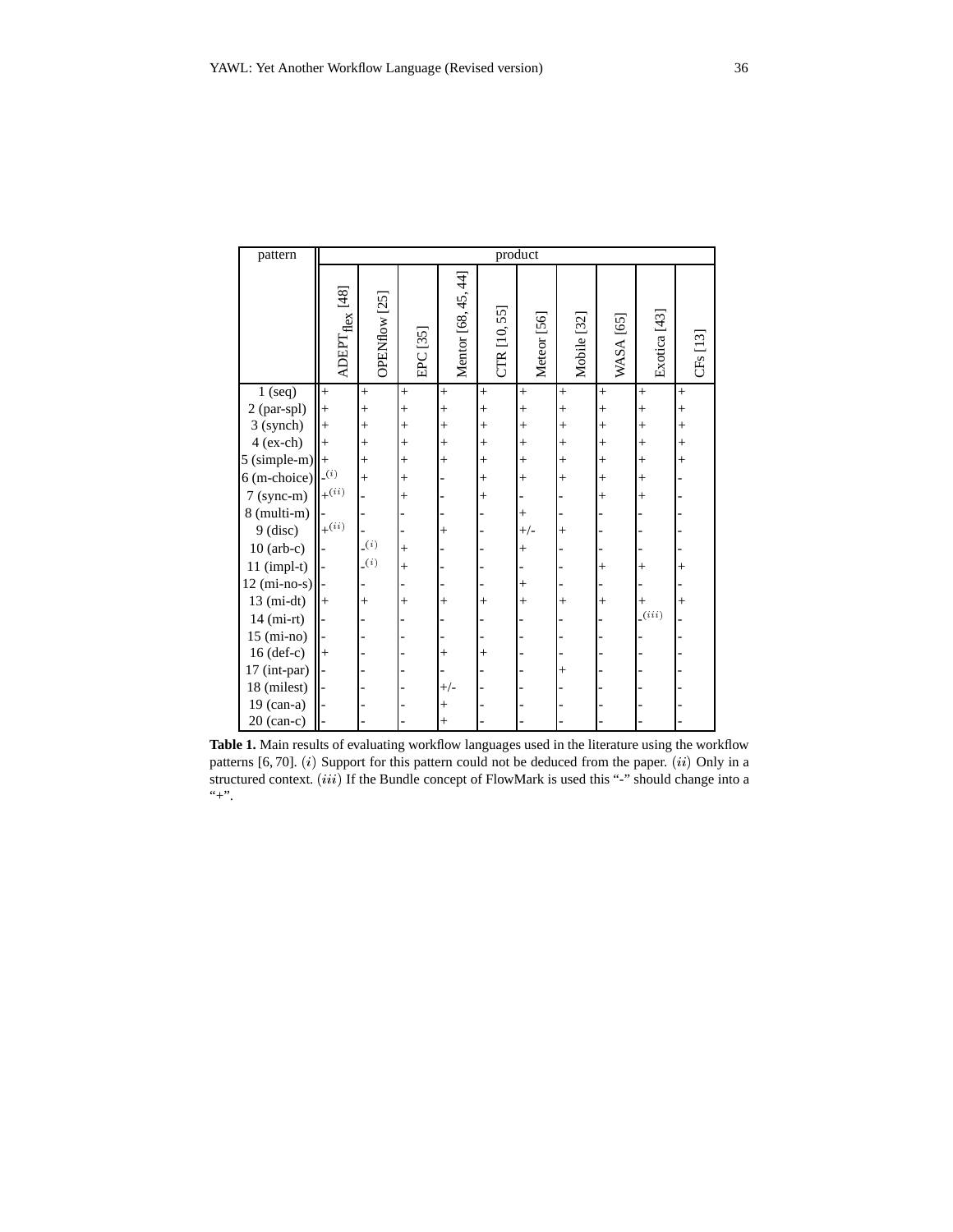| pattern                        | product             |                |           |                     |              |                |             |                  |              |              |
|--------------------------------|---------------------|----------------|-----------|---------------------|--------------|----------------|-------------|------------------|--------------|--------------|
|                                | $ADEPT_{flex}$ [48] | OPENflow [25]  | EPC [35]  | Mentor [68, 45, 44] | CTR [10, 55] | Meteor [56]    | Mobile [32] | <b>WASA</b> [65] | Exotica [43] | $CFs$ $[13]$ |
| $\overline{1}$ (seq)           | $\overline{+}$      | $^{+}$         | $\ddot{}$ | $^{+}$              | $^{+}$       | $^{+}$         | $^{+}$      | $^{+}$           | $^{+}$       | $^{+}$       |
| 2 (par-spl)                    | $+$                 | $^{+}$         | $\ddot{}$ | $^{+}$              | $^{+}$       | $\overline{+}$ | $^{+}$      | $^{+}$           | $^{+}$       | $^{+}$       |
| 3 (synch)                      | $+$                 | $^{+}$         | $^{+}$    | $^{+}$              | $^{+}$       | $^{+}$         | $^{+}$      | $^{+}$           | $^{+}$       | $^{+}$       |
| $4 (ex-ch)$                    | $^{+}$              | $^{+}$         | $^{+}$    | $^{+}$              | $\ddot{}$    | $^{+}$         | $^{+}$      | $^{+}$           | $^{+}$       | $^{+}$       |
| $5$ (simple-m) $ +$            |                     | $^{+}$         | $^{+}$    | $^{+}$              | $^{+}$       | $\overline{+}$ | $^{+}$      | $^{+}$           | $^{+}$       | $^{+}$       |
| 6 (m-choice) $\ \cdot^{(i)}\ $ |                     | $\overline{+}$ | $^{+}$    |                     | $^{+}$       | $^{+}$         | $\ddot{}$   | $^{+}$           | $^{+}$       |              |
| $7$ (sync-m)                   | $+(ii)$             |                | $^{+}$    |                     | $^{+}$       |                |             | $\ddot{}$        | $^{+}$       |              |
| 8 (multi-m)                    |                     |                |           |                     |              | $^{+}$         |             |                  |              |              |
| $9$ (disc)                     | $+$ <sup>(ii)</sup> |                |           | $^{+}$              |              | $+/-$          | $^{+}$      |                  |              |              |
| $10$ (arb-c)                   |                     | (i)            | $^{+}$    |                     |              | $^{+}$         |             |                  |              |              |
| $11$ (impl-t)                  |                     | (i)            | $^{+}$    |                     |              |                |             | $^{+}$           | $\,+\,$      | $\,+\,$      |
| $12 \text{ (mi-no-s)}$         |                     |                |           |                     |              | $^{+}$         |             |                  |              |              |
| $13$ (mi-dt)                   | $\overline{+}$      | $^{+}$         | $^{+}$    | $\,+\,$             | $^{+}$       | $^{+}$         | $^{+}$      | $^{+}$           | $^{+}$       | $^{+}$       |
| $14$ (mi-rt)                   |                     |                |           |                     |              |                |             |                  | (iii)        |              |
| $15$ (mi-no)                   |                     |                |           |                     |              |                |             |                  |              |              |
| $16$ (def-c)                   | $\overline{+}$      |                |           | $^{+}$              | $^+$         |                |             |                  |              |              |
| 17 (int-par)                   |                     |                |           |                     |              |                | $^{+}$      |                  |              |              |
| 18 (milest)                    |                     |                |           | $+/-$               |              |                |             |                  |              |              |
| $19$ (can-a)                   |                     |                |           | $\overline{+}$      |              |                |             |                  |              |              |
| $20$ (can-c)                   |                     |                |           | $^+$                |              |                |             |                  |              |              |

**Table 1.** Main results of evaluating workflow languages used in the literature using the workflow patterns [6, 70].  $(i)$  Support for this pattern could not be deduced from the paper.  $(ii)$  Only in a structured context. (iii) If the Bundle concept of FlowMark is used this "-" should change into a "+".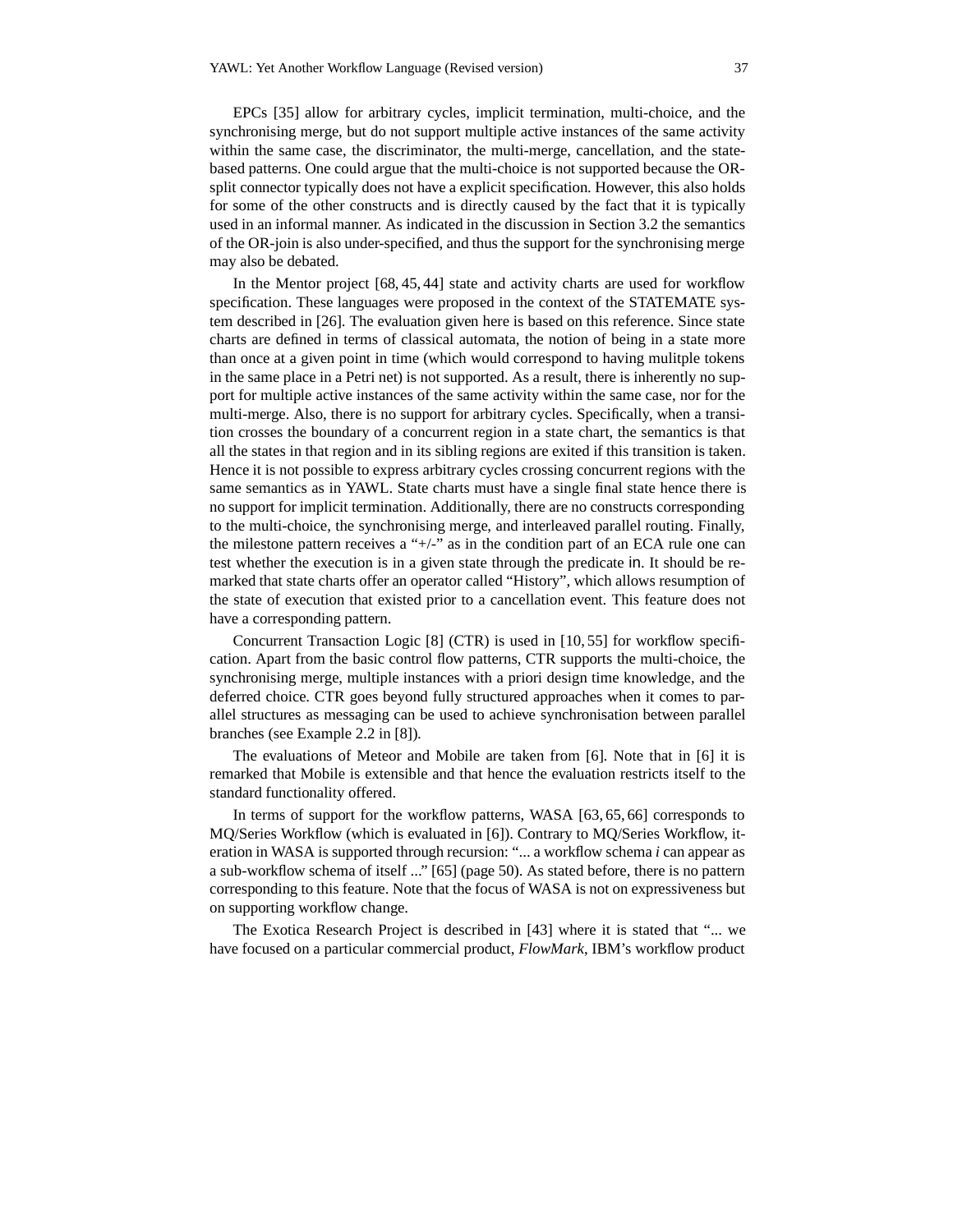EPCs [35] allow for arbitrary cycles, implicit termination, multi-choice, and the synchronising merge, but do not support multiple active instances of the same activity within the same case, the discriminator, the multi-merge, cancellation, and the statebased patterns. One could argue that the multi-choice is not supported because the ORsplit connector typically does not have a explicit specification. However, this also holds for some of the other constructs and is directly caused by the fact that it is typically used in an informal manner. As indicated in the discussion in Section 3.2 the semantics of the OR-join is also under-specified, and thus the support for the synchronising merge may also be debated.

In the Mentor project [68, 45, 44] state and activity charts are used for workflow specification. These languages were proposed in the context of the STATEMATE system described in [26]. The evaluation given here is based on this reference. Since state charts are defined in terms of classical automata, the notion of being in a state more than once at a given point in time (which would correspond to having mulitple tokens in the same place in a Petri net) is not supported. As a result, there is inherently no support for multiple active instances of the same activity within the same case, nor for the multi-merge. Also, there is no support for arbitrary cycles. Specifically, when a transition crosses the boundary of a concurrent region in a state chart, the semantics is that all the states in that region and in its sibling regions are exited if this transition is taken. Hence it is not possible to express arbitrary cycles crossing concurrent regions with the same semantics as in YAWL. State charts must have a single final state hence there is no support for implicit termination. Additionally, there are no constructs corresponding to the multi-choice, the synchronising merge, and interleaved parallel routing. Finally, the milestone pattern receives a " $+/-$ " as in the condition part of an ECA rule one can test whether the execution is in a given state through the predicate in. It should be remarked that state charts offer an operator called "History", which allows resumption of the state of execution that existed prior to a cancellation event. This feature does not have a corresponding pattern.

Concurrent Transaction Logic [8] (CTR) is used in [10, 55] for workflow specification. Apart from the basic control flow patterns, CTR supports the multi-choice, the synchronising merge, multiple instances with a priori design time knowledge, and the deferred choice. CTR goes beyond fully structured approaches when it comes to parallel structures as messaging can be used to achieve synchronisation between parallel branches (see Example 2.2 in [8]).

The evaluations of Meteor and Mobile are taken from [6]. Note that in [6] it is remarked that Mobile is extensible and that hence the evaluation restricts itself to the standard functionality offered.

In terms of support for the workflow patterns, WASA [63, 65, 66] corresponds to MQ/Series Workflow (which is evaluated in [6]). Contrary to MQ/Series Workflow, iteration in WASA is supported through recursion: "... a workflow schema *i* can appear as a sub-workflow schema of itself ..." [65] (page 50). As stated before, there is no pattern corresponding to this feature. Note that the focus of WASA is not on expressiveness but on supporting workflow change.

The Exotica Research Project is described in [43] where it is stated that "... we have focused on a particular commercial product, *FlowMark*, IBM's workflow product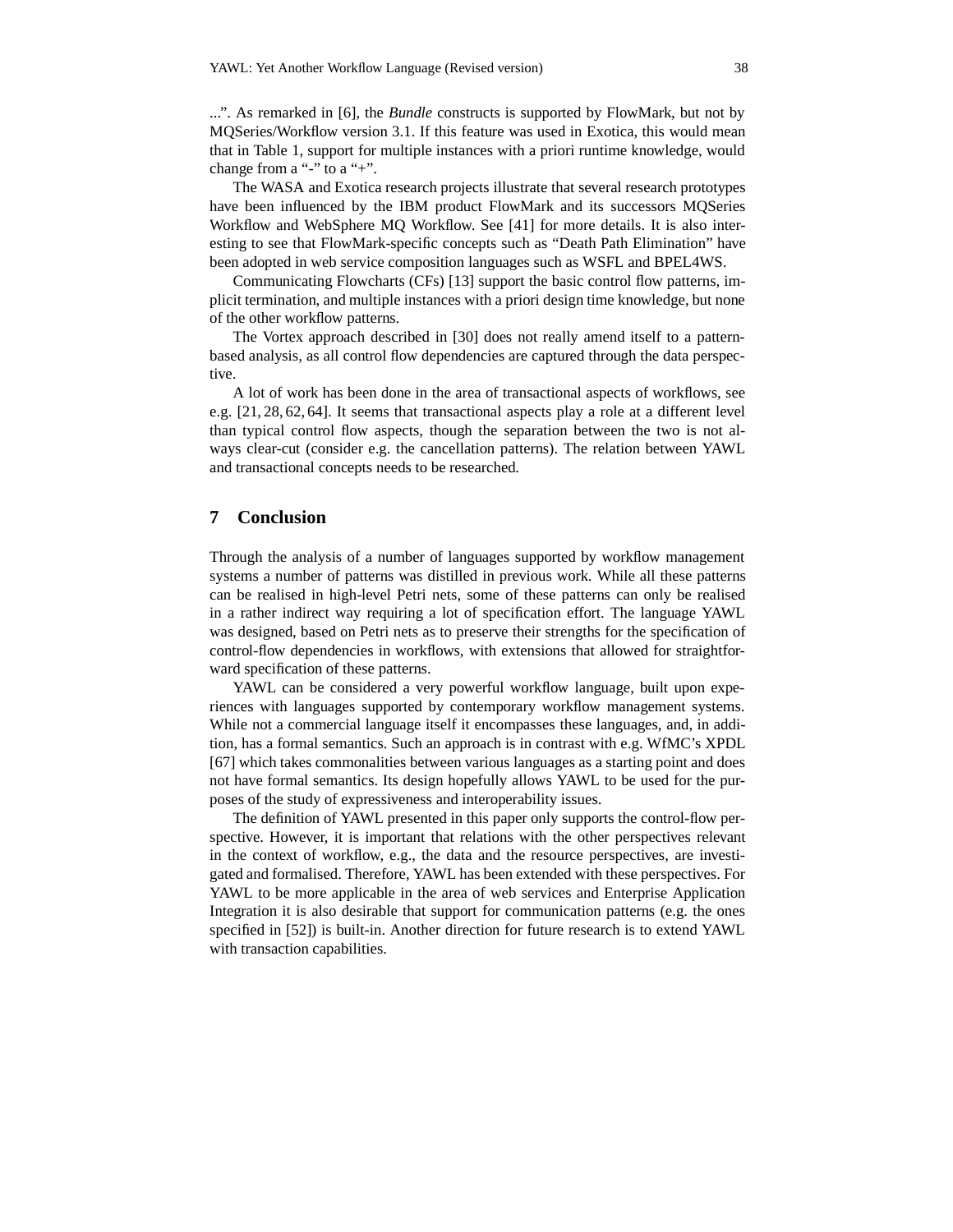...". As remarked in [6], the *Bundle* constructs is supported by FlowMark, but not by MQSeries/Workflow version 3.1. If this feature was used in Exotica, this would mean that in Table 1, support for multiple instances with a priori runtime knowledge, would change from a "-" to a "+".

The WASA and Exotica research projects illustrate that several research prototypes have been influenced by the IBM product FlowMark and its successors MQSeries Workflow and WebSphere MQ Workflow. See [41] for more details. It is also interesting to see that FlowMark-specific concepts such as "Death Path Elimination" have been adopted in web service composition languages such as WSFL and BPEL4WS.

Communicating Flowcharts (CFs) [13] support the basic control flow patterns, implicit termination, and multiple instances with a priori design time knowledge, but none of the other workflow patterns.

The Vortex approach described in [30] does not really amend itself to a patternbased analysis, as all control flow dependencies are captured through the data perspective.

A lot of work has been done in the area of transactional aspects of workflows, see e.g. [21, 28, 62, 64]. It seems that transactional aspects play a role at a different level than typical control flow aspects, though the separation between the two is not always clear-cut (consider e.g. the cancellation patterns). The relation between YAWL and transactional concepts needs to be researched.

# **7 Conclusion**

Through the analysis of a number of languages supported by workflow management systems a number of patterns was distilled in previous work. While all these patterns can be realised in high-level Petri nets, some of these patterns can only be realised in a rather indirect way requiring a lot of specification effort. The language YAWL was designed, based on Petri nets as to preserve their strengths for the specification of control-flow dependencies in workflows, with extensions that allowed for straightforward specification of these patterns.

YAWL can be considered a very powerful workflow language, built upon experiences with languages supported by contemporary workflow management systems. While not a commercial language itself it encompasses these languages, and, in addition, has a formal semantics. Such an approach is in contrast with e.g. WfMC's XPDL [67] which takes commonalities between various languages as a starting point and does not have formal semantics. Its design hopefully allows YAWL to be used for the purposes of the study of expressiveness and interoperability issues.

The definition of YAWL presented in this paper only supports the control-flow perspective. However, it is important that relations with the other perspectives relevant in the context of workflow, e.g., the data and the resource perspectives, are investigated and formalised. Therefore, YAWL has been extended with these perspectives. For YAWL to be more applicable in the area of web services and Enterprise Application Integration it is also desirable that support for communication patterns (e.g. the ones specified in [52]) is built-in. Another direction for future research is to extend YAWL with transaction capabilities.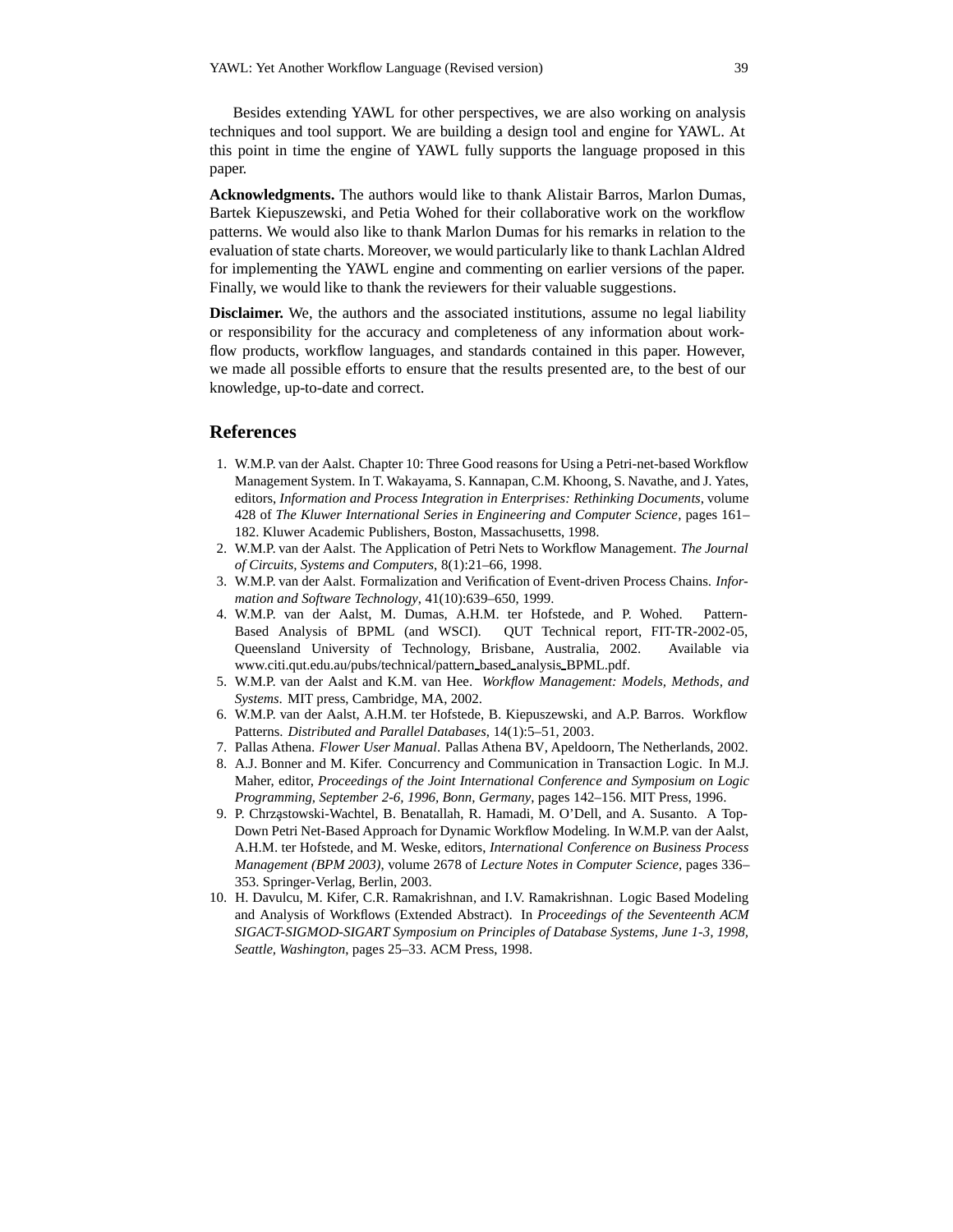Besides extending YAWL for other perspectives, we are also working on analysis techniques and tool support. We are building a design tool and engine for YAWL. At this point in time the engine of YAWL fully supports the language proposed in this paper.

**Acknowledgments.** The authors would like to thank Alistair Barros, Marlon Dumas, Bartek Kiepuszewski, and Petia Wohed for their collaborative work on the workflow patterns. We would also like to thank Marlon Dumas for his remarks in relation to the evaluation of state charts. Moreover, we would particularly like to thank Lachlan Aldred for implementing the YAWL engine and commenting on earlier versions of the paper. Finally, we would like to thank the reviewers for their valuable suggestions.

**Disclaimer.** We, the authors and the associated institutions, assume no legal liability or responsibility for the accuracy and completeness of any information about workflow products, workflow languages, and standards contained in this paper. However, we made all possible efforts to ensure that the results presented are, to the best of our knowledge, up-to-date and correct.

# **References**

- 1. W.M.P. van der Aalst. Chapter 10: Three Good reasons for Using a Petri-net-based Workflow Management System. In T. Wakayama, S. Kannapan, C.M. Khoong, S. Navathe, and J. Yates, editors, *Information and Process Integration in Enterprises: Rethinking Documents*, volume 428 of *The Kluwer International Series in Engineering and Computer Science*, pages 161– 182. Kluwer Academic Publishers, Boston, Massachusetts, 1998.
- 2. W.M.P. van der Aalst. The Application of Petri Nets to Workflow Management. *The Journal of Circuits, Systems and Computers*, 8(1):21–66, 1998.
- 3. W.M.P. van der Aalst. Formalization and Verification of Event-driven Process Chains. *Information and Software Technology*, 41(10):639–650, 1999.
- 4. W.M.P. van der Aalst, M. Dumas, A.H.M. ter Hofstede, and P. Wohed. Pattern-Based Analysis of BPML (and WSCI). QUT Technical report, FIT-TR-2002-05, Queensland University of Technology, Brisbane, Australia, 2002. Available via www.citi.qut.edu.au/pubs/technical/pattern based analysis BPML.pdf.
- 5. W.M.P. van der Aalst and K.M. van Hee. *Workflow Management: Models, Methods, and Systems*. MIT press, Cambridge, MA, 2002.
- 6. W.M.P. van der Aalst, A.H.M. ter Hofstede, B. Kiepuszewski, and A.P. Barros. Workflow Patterns. *Distributed and Parallel Databases*, 14(1):5–51, 2003.
- 7. Pallas Athena. *Flower User Manual*. Pallas Athena BV, Apeldoorn, The Netherlands, 2002.
- 8. A.J. Bonner and M. Kifer. Concurrency and Communication in Transaction Logic. In M.J. Maher, editor, *Proceedings of the Joint International Conference and Symposium on Logic Programming, September 2-6, 1996, Bonn, Germany*, pages 142–156. MIT Press, 1996.
- 9. P. Chrząstowski-Wachtel, B. Benatallah, R. Hamadi, M. O'Dell, and A. Susanto. A Top-Down Petri Net-Based Approach for Dynamic Workflow Modeling. In W.M.P. van der Aalst, A.H.M. ter Hofstede, and M. Weske, editors, *International Conference on Business Process Management (BPM 2003)*, volume 2678 of *Lecture Notes in Computer Science*, pages 336– 353. Springer-Verlag, Berlin, 2003.
- 10. H. Davulcu, M. Kifer, C.R. Ramakrishnan, and I.V. Ramakrishnan. Logic Based Modeling and Analysis of Workflows (Extended Abstract). In *Proceedings of the Seventeenth ACM SIGACT-SIGMOD-SIGART Symposium on Principles of Database Systems, June 1-3, 1998, Seattle, Washington*, pages 25–33. ACM Press, 1998.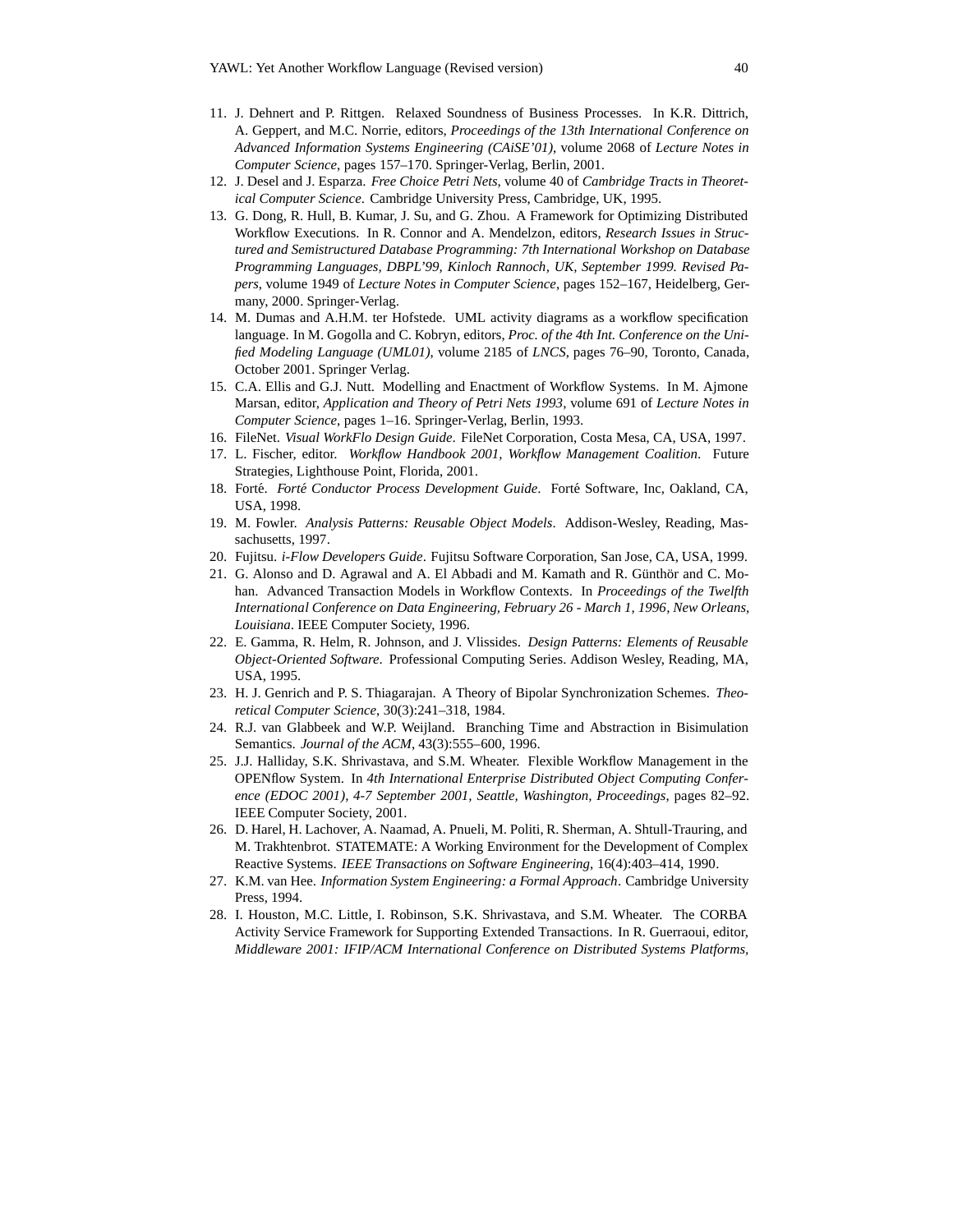- 11. J. Dehnert and P. Rittgen. Relaxed Soundness of Business Processes. In K.R. Dittrich, A. Geppert, and M.C. Norrie, editors, *Proceedings of the 13th International Conference on Advanced Information Systems Engineering (CAiSE'01)*, volume 2068 of *Lecture Notes in Computer Science*, pages 157–170. Springer-Verlag, Berlin, 2001.
- 12. J. Desel and J. Esparza. *Free Choice Petri Nets*, volume 40 of *Cambridge Tracts in Theoretical Computer Science*. Cambridge University Press, Cambridge, UK, 1995.
- 13. G. Dong, R. Hull, B. Kumar, J. Su, and G. Zhou. A Framework for Optimizing Distributed Workflow Executions. In R. Connor and A. Mendelzon, editors, *Research Issues in Structured and Semistructured Database Programming: 7th International Workshop on Database Programming Languages, DBPL'99, Kinloch Rannoch, UK, September 1999. Revised Papers*, volume 1949 of *Lecture Notes in Computer Science*, pages 152–167, Heidelberg, Germany, 2000. Springer-Verlag.
- 14. M. Dumas and A.H.M. ter Hofstede. UML activity diagrams as a workflow specification language. In M. Gogolla and C. Kobryn, editors, *Proc. of the 4th Int. Conference on the Unified Modeling Language (UML01)*, volume 2185 of *LNCS*, pages 76–90, Toronto, Canada, October 2001. Springer Verlag.
- 15. C.A. Ellis and G.J. Nutt. Modelling and Enactment of Workflow Systems. In M. Ajmone Marsan, editor, *Application and Theory of Petri Nets 1993*, volume 691 of *Lecture Notes in Computer Science*, pages 1–16. Springer-Verlag, Berlin, 1993.
- 16. FileNet. *Visual WorkFlo Design Guide*. FileNet Corporation, Costa Mesa, CA, USA, 1997.
- 17. L. Fischer, editor. *Workflow Handbook 2001, Workflow Management Coalition*. Future Strategies, Lighthouse Point, Florida, 2001.
- 18. Forté. Forté Conductor Process Development Guide. Forté Software, Inc, Oakland, CA, USA, 1998.
- 19. M. Fowler. *Analysis Patterns: Reusable Object Models*. Addison-Wesley, Reading, Massachusetts, 1997.
- 20. Fujitsu. *i-Flow Developers Guide*. Fujitsu Software Corporation, San Jose, CA, USA, 1999.
- 21. G. Alonso and D. Agrawal and A. El Abbadi and M. Kamath and R. Günthör and C. Mohan. Advanced Transaction Models in Workflow Contexts. In *Proceedings of the Twelfth International Conference on Data Engineering, February 26 - March 1, 1996, New Orleans, Louisiana*. IEEE Computer Society, 1996.
- 22. E. Gamma, R. Helm, R. Johnson, and J. Vlissides. *Design Patterns: Elements of Reusable Object-Oriented Software*. Professional Computing Series. Addison Wesley, Reading, MA, USA, 1995.
- 23. H. J. Genrich and P. S. Thiagarajan. A Theory of Bipolar Synchronization Schemes. *Theoretical Computer Science*, 30(3):241–318, 1984.
- 24. R.J. van Glabbeek and W.P. Weijland. Branching Time and Abstraction in Bisimulation Semantics. *Journal of the ACM*, 43(3):555-600, 1996.
- 25. J.J. Halliday, S.K. Shrivastava, and S.M. Wheater. Flexible Workflow Management in the OPENflow System. In *4th International Enterprise Distributed Object Computing Conference (EDOC 2001), 4-7 September 2001, Seattle, Washington, Proceedings*, pages 82–92. IEEE Computer Society, 2001.
- 26. D. Harel, H. Lachover, A. Naamad, A. Pnueli, M. Politi, R. Sherman, A. Shtull-Trauring, and M. Trakhtenbrot. STATEMATE: A Working Environment for the Development of Complex Reactive Systems. *IEEE Transactions on Software Engineering*, 16(4):403–414, 1990.
- 27. K.M. van Hee. *Information System Engineering: a Formal Approach*. Cambridge University Press, 1994.
- 28. I. Houston, M.C. Little, I. Robinson, S.K. Shrivastava, and S.M. Wheater. The CORBA Activity Service Framework for Supporting Extended Transactions. In R. Guerraoui, editor, *Middleware 2001: IFIP/ACM International Conference on Distributed Systems Platforms,*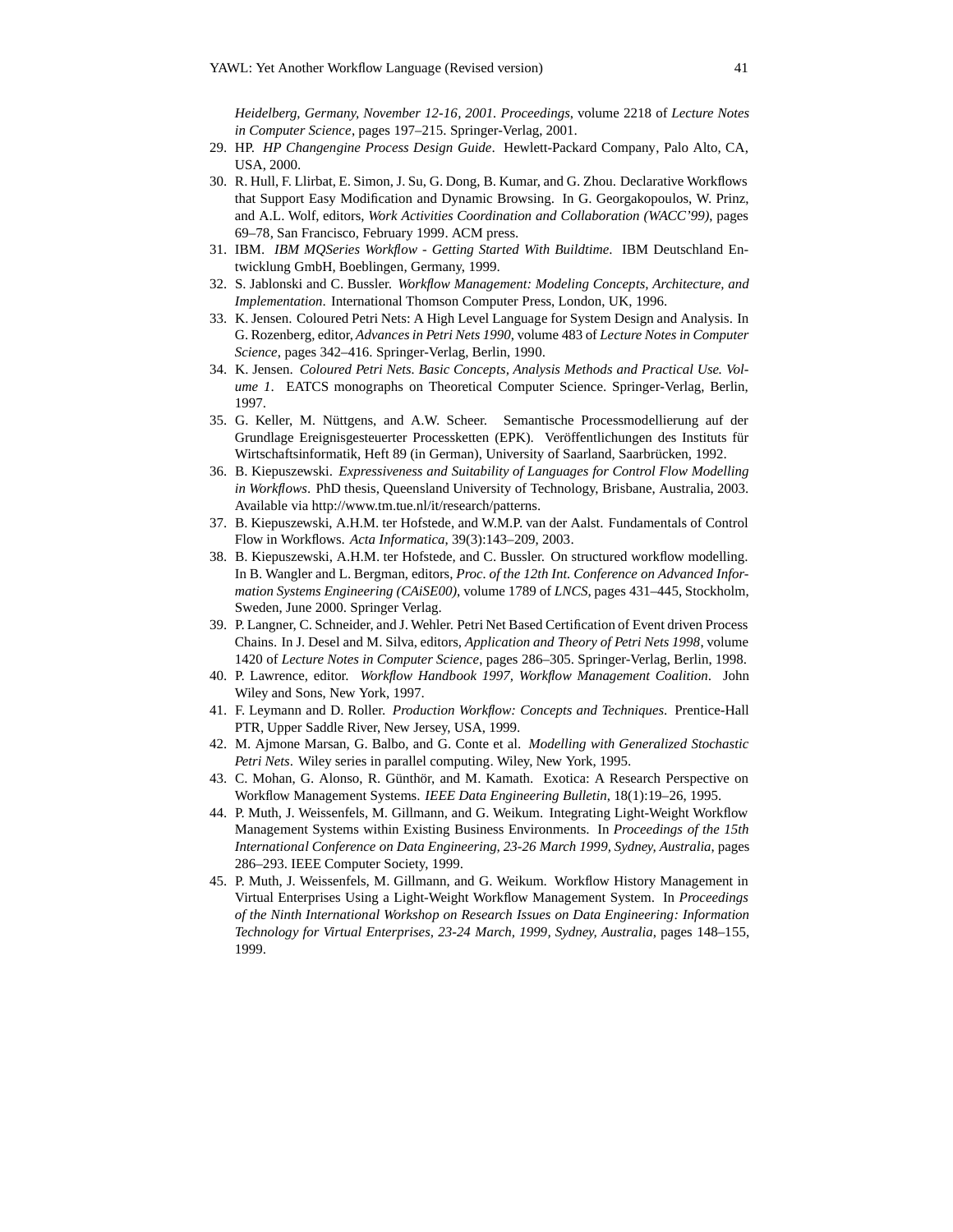*Heidelberg, Germany, November 12-16, 2001. Proceedings*, volume 2218 of *Lecture Notes in Computer Science*, pages 197–215. Springer-Verlag, 2001.

- 29. HP. *HP Changengine Process Design Guide*. Hewlett-Packard Company, Palo Alto, CA, USA, 2000.
- 30. R. Hull, F. Llirbat, E. Simon, J. Su, G. Dong, B. Kumar, and G. Zhou. Declarative Workflows that Support Easy Modification and Dynamic Browsing. In G. Georgakopoulos, W. Prinz, and A.L. Wolf, editors, *Work Activities Coordination and Collaboration (WACC'99)*, pages 69–78, San Francisco, February 1999. ACM press.
- 31. IBM. *IBM MQSeries Workflow Getting Started With Buildtime*. IBM Deutschland Entwicklung GmbH, Boeblingen, Germany, 1999.
- 32. S. Jablonski and C. Bussler. *Workflow Management: Modeling Concepts, Architecture, and Implementation*. International Thomson Computer Press, London, UK, 1996.
- 33. K. Jensen. Coloured Petri Nets: A High Level Language for System Design and Analysis. In G. Rozenberg, editor, *Advances in Petri Nets 1990*, volume 483 of *Lecture Notes in Computer Science*, pages 342–416. Springer-Verlag, Berlin, 1990.
- 34. K. Jensen. *Coloured Petri Nets. Basic Concepts, Analysis Methods and Practical Use. Volume 1*. EATCS monographs on Theoretical Computer Science. Springer-Verlag, Berlin, 1997.
- 35. G. Keller, M. N¨uttgens, and A.W. Scheer. Semantische Processmodellierung auf der Grundlage Ereignisgesteuerter Processketten (EPK). Veröffentlichungen des Instituts für Wirtschaftsinformatik, Heft 89 (in German), University of Saarland, Saarbrücken, 1992.
- 36. B. Kiepuszewski. *Expressiveness and Suitability of Languages for Control Flow Modelling in Workflows*. PhD thesis, Queensland University of Technology, Brisbane, Australia, 2003. Available via http://www.tm.tue.nl/it/research/patterns.
- 37. B. Kiepuszewski, A.H.M. ter Hofstede, and W.M.P. van der Aalst. Fundamentals of Control Flow in Workflows. *Acta Informatica*, 39(3):143–209, 2003.
- 38. B. Kiepuszewski, A.H.M. ter Hofstede, and C. Bussler. On structured workflow modelling. In B. Wangler and L. Bergman, editors, *Proc. of the 12th Int. Conference on Advanced Information Systems Engineering (CAiSE00)*, volume 1789 of *LNCS*, pages 431–445, Stockholm, Sweden, June 2000. Springer Verlag.
- 39. P. Langner, C. Schneider, and J. Wehler. Petri Net Based Certification of Event driven Process Chains. In J. Desel and M. Silva, editors, *Application and Theory of Petri Nets 1998*, volume 1420 of *Lecture Notes in Computer Science*, pages 286–305. Springer-Verlag, Berlin, 1998.
- 40. P. Lawrence, editor. *Workflow Handbook 1997, Workflow Management Coalition*. John Wiley and Sons, New York, 1997.
- 41. F. Leymann and D. Roller. *Production Workflow: Concepts and Techniques*. Prentice-Hall PTR, Upper Saddle River, New Jersey, USA, 1999.
- 42. M. Ajmone Marsan, G. Balbo, and G. Conte et al. *Modelling with Generalized Stochastic Petri Nets*. Wiley series in parallel computing. Wiley, New York, 1995.
- 43. C. Mohan, G. Alonso, R. Günthör, and M. Kamath. Exotica: A Research Perspective on Workflow Management Systems. *IEEE Data Engineering Bulletin*, 18(1):19–26, 1995.
- 44. P. Muth, J. Weissenfels, M. Gillmann, and G. Weikum. Integrating Light-Weight Workflow Management Systems within Existing Business Environments. In *Proceedings of the 15th International Conference on Data Engineering, 23-26 March 1999, Sydney, Australia*, pages 286–293. IEEE Computer Society, 1999.
- 45. P. Muth, J. Weissenfels, M. Gillmann, and G. Weikum. Workflow History Management in Virtual Enterprises Using a Light-Weight Workflow Management System. In *Proceedings of the Ninth International Workshop on Research Issues on Data Engineering: Information Technology for Virtual Enterprises, 23-24 March, 1999, Sydney, Australia*, pages 148–155, 1999.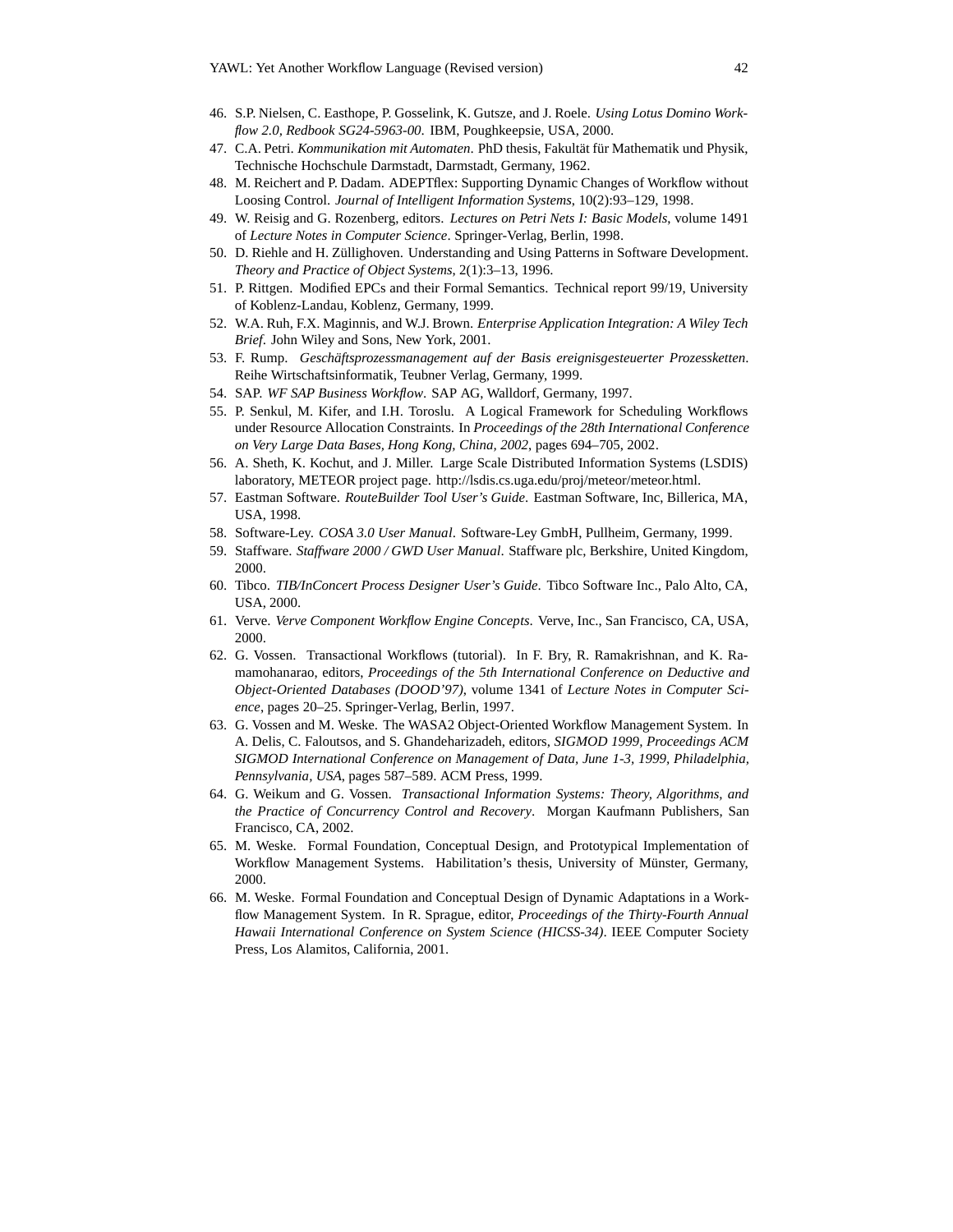- 46. S.P. Nielsen, C. Easthope, P. Gosselink, K. Gutsze, and J. Roele. *Using Lotus Domino Workflow 2.0, Redbook SG24-5963-00*. IBM, Poughkeepsie, USA, 2000.
- 47. C.A. Petri. *Kommunikation mit Automaten*. PhD thesis, Fakultät für Mathematik und Physik, Technische Hochschule Darmstadt, Darmstadt, Germany, 1962.
- 48. M. Reichert and P. Dadam. ADEPTflex: Supporting Dynamic Changes of Workflow without Loosing Control. *Journal of Intelligent Information Systems*, 10(2):93–129, 1998.
- 49. W. Reisig and G. Rozenberg, editors. *Lectures on Petri Nets I: Basic Models*, volume 1491 of *Lecture Notes in Computer Science*. Springer-Verlag, Berlin, 1998.
- 50. D. Riehle and H. Züllighoven. Understanding and Using Patterns in Software Development. *Theory and Practice of Object Systems*, 2(1):3–13, 1996.
- 51. P. Rittgen. Modified EPCs and their Formal Semantics. Technical report 99/19, University of Koblenz-Landau, Koblenz, Germany, 1999.
- 52. W.A. Ruh, F.X. Maginnis, and W.J. Brown. *Enterprise Application Integration: A Wiley Tech Brief*. John Wiley and Sons, New York, 2001.
- 53. F. Rump. *Geschäftsprozessmanagement auf der Basis ereignisgesteuerter Prozessketten*. Reihe Wirtschaftsinformatik, Teubner Verlag, Germany, 1999.
- 54. SAP. *WF SAP Business Workflow*. SAP AG, Walldorf, Germany, 1997.
- 55. P. Senkul, M. Kifer, and I.H. Toroslu. A Logical Framework for Scheduling Workflows under Resource Allocation Constraints. In *Proceedings of the 28th International Conference on Very Large Data Bases, Hong Kong, China, 2002*, pages 694–705, 2002.
- 56. A. Sheth, K. Kochut, and J. Miller. Large Scale Distributed Information Systems (LSDIS) laboratory, METEOR project page. http://lsdis.cs.uga.edu/proj/meteor/meteor.html.
- 57. Eastman Software. *RouteBuilder Tool User's Guide*. Eastman Software, Inc, Billerica, MA, USA, 1998.
- 58. Software-Ley. *COSA 3.0 User Manual*. Software-Ley GmbH, Pullheim, Germany, 1999.
- 59. Staffware. *Staffware 2000 / GWD User Manual*. Staffware plc, Berkshire, United Kingdom, 2000.
- 60. Tibco. *TIB/InConcert Process Designer User's Guide*. Tibco Software Inc., Palo Alto, CA, USA, 2000.
- 61. Verve. *Verve Component Workflow Engine Concepts*. Verve, Inc., San Francisco, CA, USA, 2000.
- 62. G. Vossen. Transactional Workflows (tutorial). In F. Bry, R. Ramakrishnan, and K. Ramamohanarao, editors, *Proceedings of the 5th International Conference on Deductive and Object-Oriented Databases (DOOD'97)*, volume 1341 of *Lecture Notes in Computer Science*, pages 20–25. Springer-Verlag, Berlin, 1997.
- 63. G. Vossen and M. Weske. The WASA2 Object-Oriented Workflow Management System. In A. Delis, C. Faloutsos, and S. Ghandeharizadeh, editors, *SIGMOD 1999, Proceedings ACM SIGMOD International Conference on Management of Data, June 1-3, 1999, Philadelphia, Pennsylvania, USA*, pages 587–589. ACM Press, 1999.
- 64. G. Weikum and G. Vossen. *Transactional Information Systems: Theory, Algorithms, and the Practice of Concurrency Control and Recovery*. Morgan Kaufmann Publishers, San Francisco, CA, 2002.
- 65. M. Weske. Formal Foundation, Conceptual Design, and Prototypical Implementation of Workflow Management Systems. Habilitation's thesis, University of Münster, Germany, 2000.
- 66. M. Weske. Formal Foundation and Conceptual Design of Dynamic Adaptations in a Workflow Management System. In R. Sprague, editor, *Proceedings of the Thirty-Fourth Annual Hawaii International Conference on System Science (HICSS-34)*. IEEE Computer Society Press, Los Alamitos, California, 2001.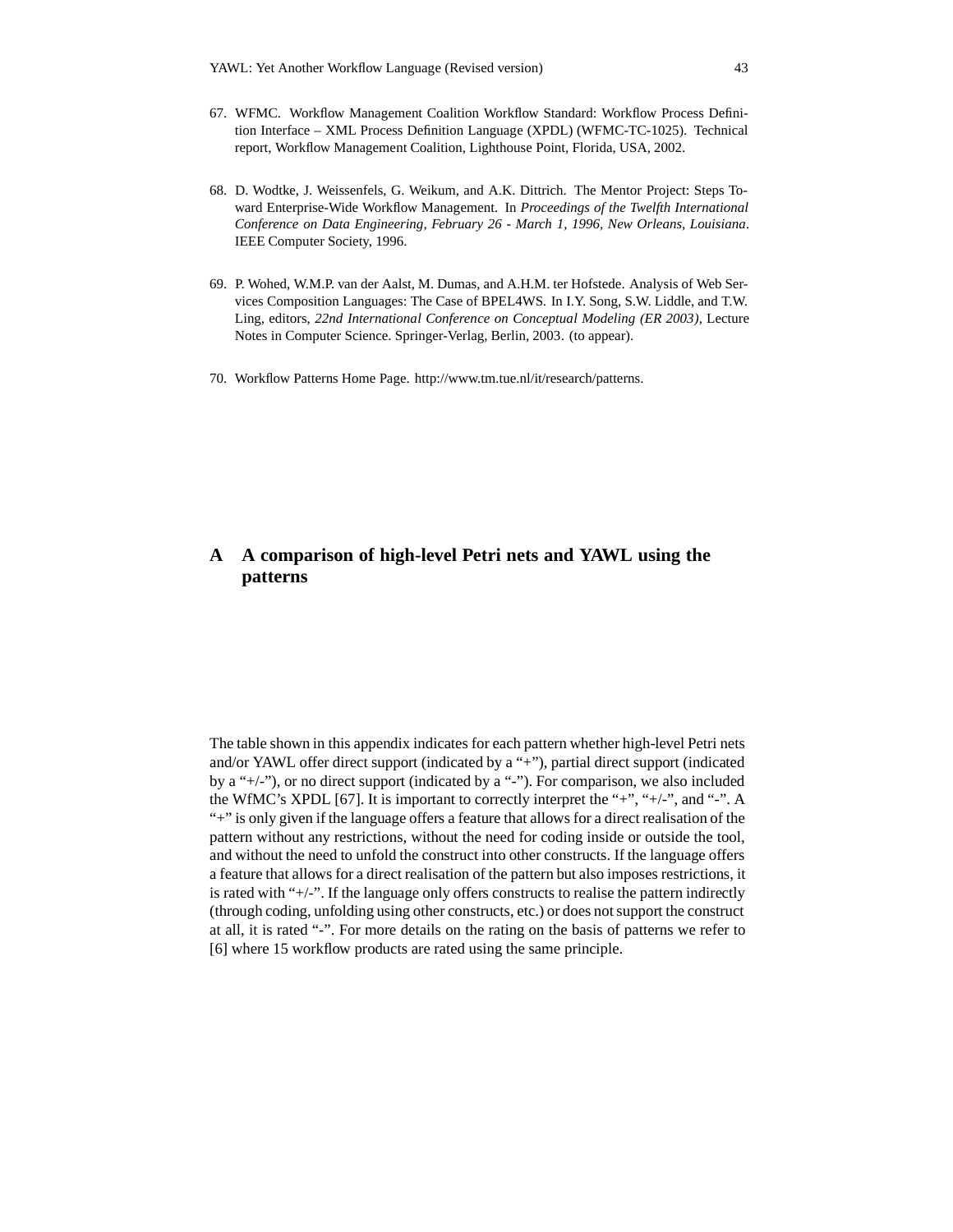- 67. WFMC. Workflow Management Coalition Workflow Standard: Workflow Process Definition Interface – XML Process Definition Language (XPDL) (WFMC-TC-1025). Technical report, Workflow Management Coalition, Lighthouse Point, Florida, USA, 2002.
- 68. D. Wodtke, J. Weissenfels, G. Weikum, and A.K. Dittrich. The Mentor Project: Steps Toward Enterprise-Wide Workflow Management. In *Proceedings of the Twelfth International Conference on Data Engineering, February 26 - March 1, 1996, New Orleans, Louisiana*. IEEE Computer Society, 1996.
- 69. P. Wohed, W.M.P. van der Aalst, M. Dumas, and A.H.M. ter Hofstede. Analysis of Web Services Composition Languages: The Case of BPEL4WS. In I.Y. Song, S.W. Liddle, and T.W. Ling, editors, *22nd International Conference on Conceptual Modeling (ER 2003)*, Lecture Notes in Computer Science. Springer-Verlag, Berlin, 2003. (to appear).
- 70. Workflow Patterns Home Page. http://www.tm.tue.nl/it/research/patterns.

# **A A comparison of high-level Petri nets and YAWL using the patterns**

The table shown in this appendix indicates for each pattern whether high-level Petri nets and/or YAWL offer direct support (indicated by a "+"), partial direct support (indicated by a "+/-"), or no direct support (indicated by a "-"). For comparison, we also included the WfMC's XPDL [67]. It is important to correctly interpret the "+", "+/-", and "-". A "+" is only given if the language offers a feature that allows for a direct realisation of the pattern without any restrictions, without the need for coding inside or outside the tool, and without the need to unfold the construct into other constructs. If the language offers a feature that allows for a direct realisation of the pattern but also imposes restrictions, it is rated with "+/-". If the language only offers constructs to realise the pattern indirectly (through coding, unfolding using other constructs, etc.) or does not support the construct at all, it is rated "-". For more details on the rating on the basis of patterns we refer to [6] where 15 workflow products are rated using the same principle.